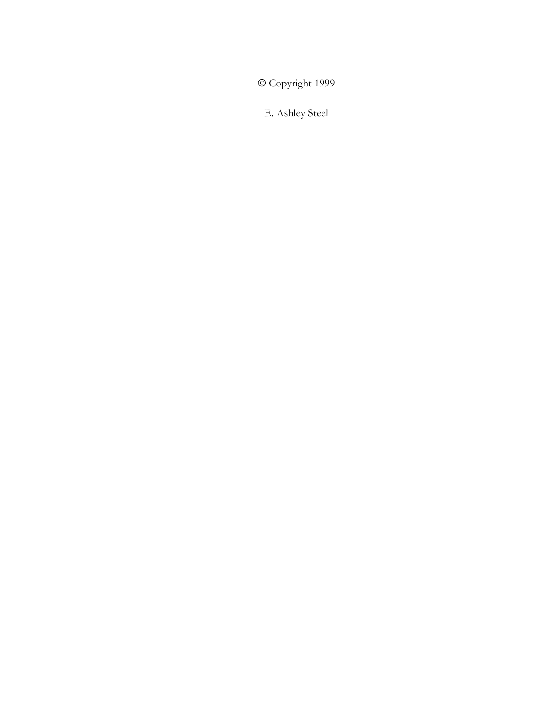Copyright 1999

E. Ashley Steel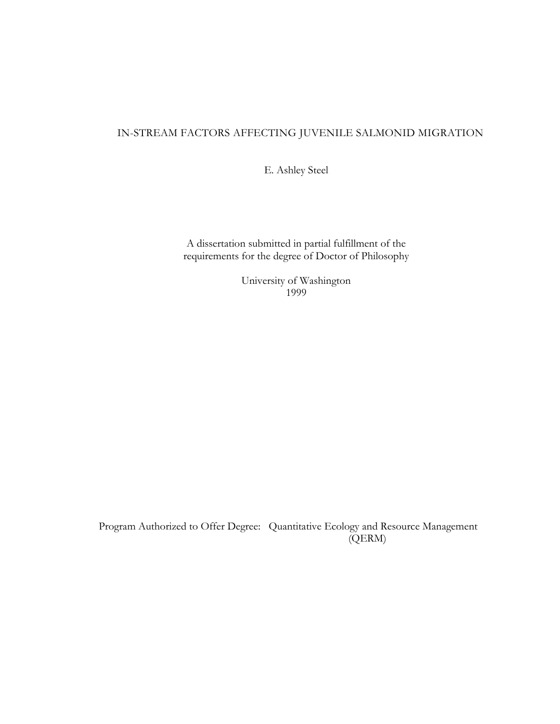## IN-STREAM FACTORS AFFECTING JUVENILE SALMONID MIGRATION

E. Ashley Steel

A dissertation submitted in partial fulfillment of the requirements for the degree of Doctor of Philosophy

> University of Washington 1999

Program Authorized to Offer Degree: Quantitative Ecology and Resource Management (QERM)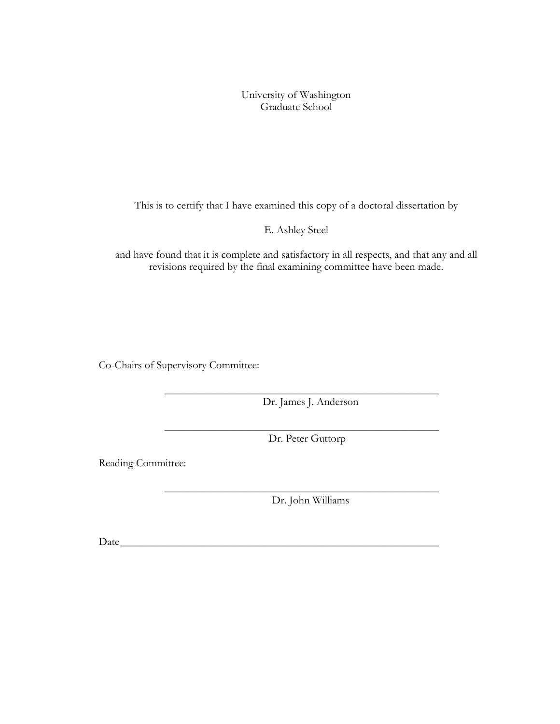University of Washington Graduate School

This is to certify that I have examined this copy of a doctoral dissertation by

E. Ashley Steel

and have found that it is complete and satisfactory in all respects, and that any and all revisions required by the final examining committee have been made.

Co-Chairs of Supervisory Committee:

\_\_\_\_\_\_\_\_\_\_\_\_\_\_\_\_\_\_\_\_\_\_\_\_\_\_\_\_\_\_\_\_\_\_\_\_\_\_\_\_\_\_\_\_\_\_\_\_\_\_ Dr. James J. Anderson

\_\_\_\_\_\_\_\_\_\_\_\_\_\_\_\_\_\_\_\_\_\_\_\_\_\_\_\_\_\_\_\_\_\_\_\_\_\_\_\_\_\_\_\_\_\_\_\_\_\_ Dr. Peter Guttorp

Reading Committee:

\_\_\_\_\_\_\_\_\_\_\_\_\_\_\_\_\_\_\_\_\_\_\_\_\_\_\_\_\_\_\_\_\_\_\_\_\_\_\_\_\_\_\_\_\_\_\_\_\_\_ Dr. John Williams

Date\_\_\_\_\_\_\_\_\_\_\_\_\_\_\_\_\_\_\_\_\_\_\_\_\_\_\_\_\_\_\_\_\_\_\_\_\_\_\_\_\_\_\_\_\_\_\_\_\_\_\_\_\_\_\_\_\_\_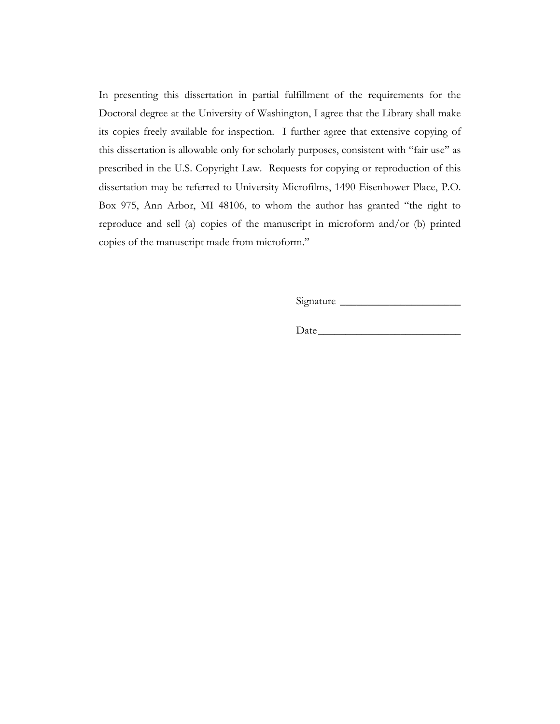In presenting this dissertation in partial fulfillment of the requirements for the Doctoral degree at the University of Washington, I agree that the Library shall make its copies freely available for inspection. I further agree that extensive copying of this dissertation is allowable only for scholarly purposes, consistent with "fair use" as prescribed in the U.S. Copyright Law. Requests for copying or reproduction of this dissertation may be referred to University Microfilms, 1490 Eisenhower Place, P.O. Box 975, Ann Arbor, MI 48106, to whom the author has granted "the right to reproduce and sell (a) copies of the manuscript in microform and/or (b) printed copies of the manuscript made from microform."

Signature \_\_\_\_\_\_\_\_\_\_\_\_\_\_\_\_\_\_\_\_\_\_

Date\_\_\_\_\_\_\_\_\_\_\_\_\_\_\_\_\_\_\_\_\_\_\_\_\_\_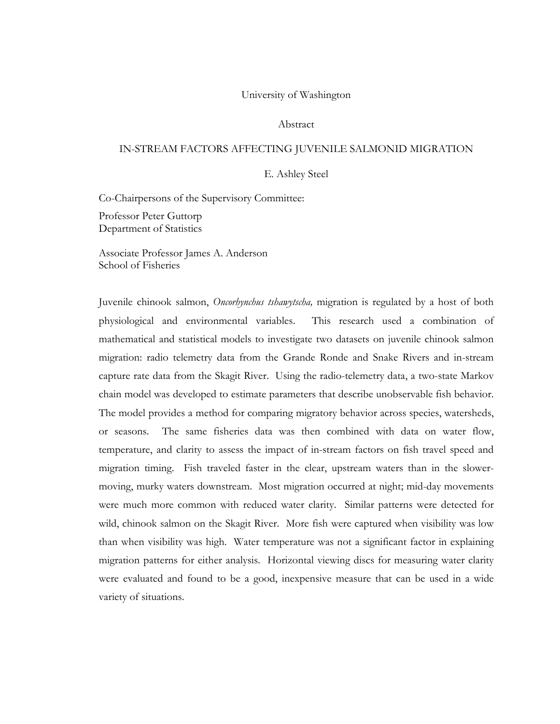### University of Washington

### Abstract

### IN-STREAM FACTORS AFFECTING JUVENILE SALMONID MIGRATION

### E. Ashley Steel

Co-Chairpersons of the Supervisory Committee:

Professor Peter Guttorp Department of Statistics

Associate Professor James A. Anderson School of Fisheries

Juvenile chinook salmon, *Oncorhynchus tshawytscha,* migration is regulated by a host of both physiological and environmental variables. This research used a combination of mathematical and statistical models to investigate two datasets on juvenile chinook salmon migration: radio telemetry data from the Grande Ronde and Snake Rivers and in-stream capture rate data from the Skagit River. Using the radio-telemetry data, a two-state Markov chain model was developed to estimate parameters that describe unobservable fish behavior. The model provides a method for comparing migratory behavior across species, watersheds, or seasons. The same fisheries data was then combined with data on water flow, temperature, and clarity to assess the impact of in-stream factors on fish travel speed and migration timing. Fish traveled faster in the clear, upstream waters than in the slowermoving, murky waters downstream. Most migration occurred at night; mid-day movements were much more common with reduced water clarity. Similar patterns were detected for wild, chinook salmon on the Skagit River. More fish were captured when visibility was low than when visibility was high. Water temperature was not a significant factor in explaining migration patterns for either analysis. Horizontal viewing discs for measuring water clarity were evaluated and found to be a good, inexpensive measure that can be used in a wide variety of situations.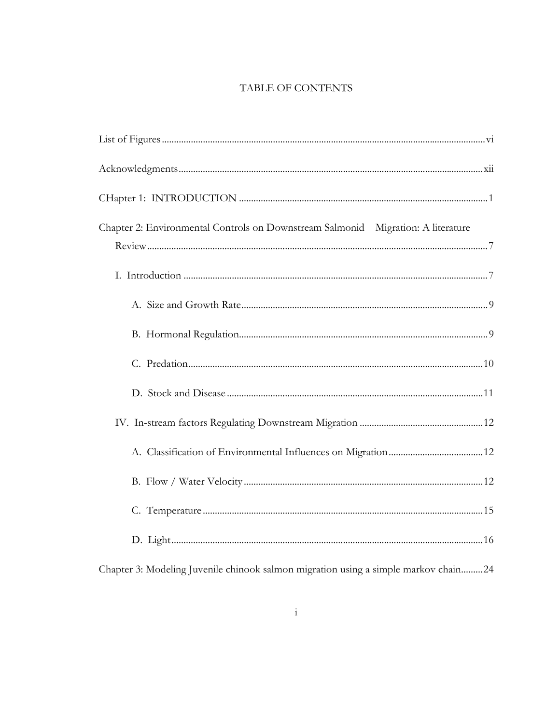# TABLE OF CONTENTS

| Chapter 2: Environmental Controls on Downstream Salmonid Migration: A literature    |
|-------------------------------------------------------------------------------------|
|                                                                                     |
|                                                                                     |
|                                                                                     |
|                                                                                     |
|                                                                                     |
|                                                                                     |
|                                                                                     |
|                                                                                     |
|                                                                                     |
|                                                                                     |
| Chapter 3: Modeling Juvenile chinook salmon migration using a simple markov chain24 |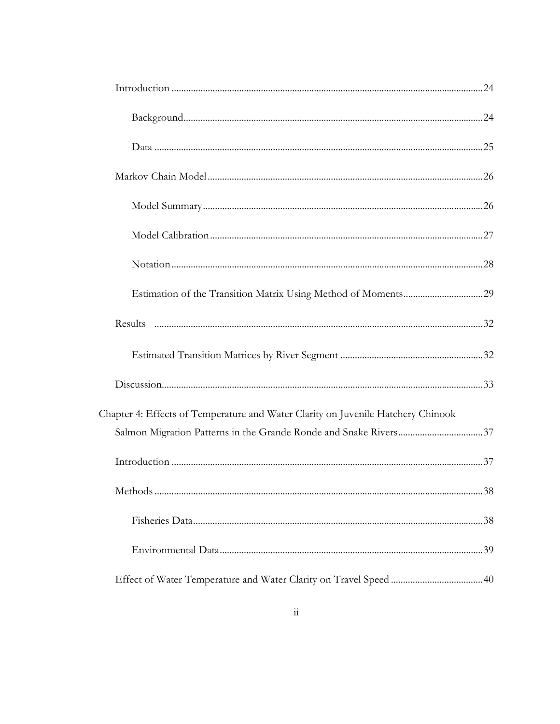| Chapter 4: Effects of Temperature and Water Clarity on Juvenile Hatchery Chinook |    |
|----------------------------------------------------------------------------------|----|
| Salmon Migration Patterns in the Grande Ronde and Snake Rivers37                 |    |
|                                                                                  |    |
|                                                                                  | 38 |
|                                                                                  |    |
|                                                                                  |    |
|                                                                                  |    |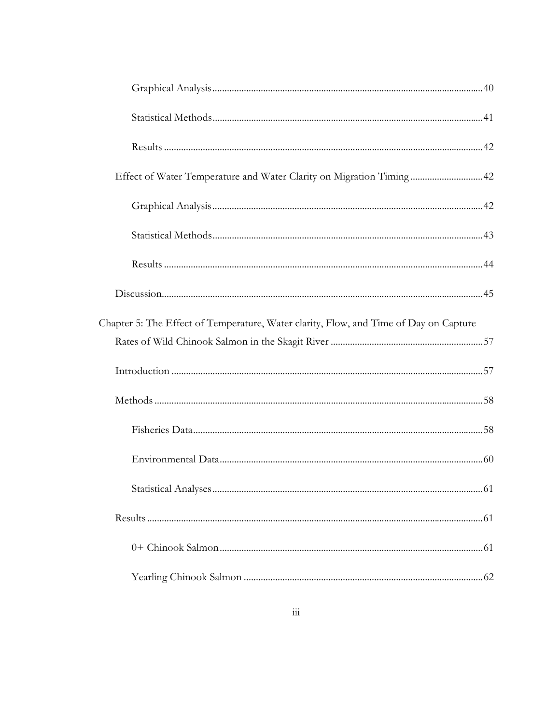| Effect of Water Temperature and Water Clarity on Migration Timing42                   |  |
|---------------------------------------------------------------------------------------|--|
|                                                                                       |  |
|                                                                                       |  |
|                                                                                       |  |
|                                                                                       |  |
| Chapter 5: The Effect of Temperature, Water clarity, Flow, and Time of Day on Capture |  |
|                                                                                       |  |
|                                                                                       |  |
|                                                                                       |  |
|                                                                                       |  |
|                                                                                       |  |
|                                                                                       |  |
| . 61                                                                                  |  |
|                                                                                       |  |
|                                                                                       |  |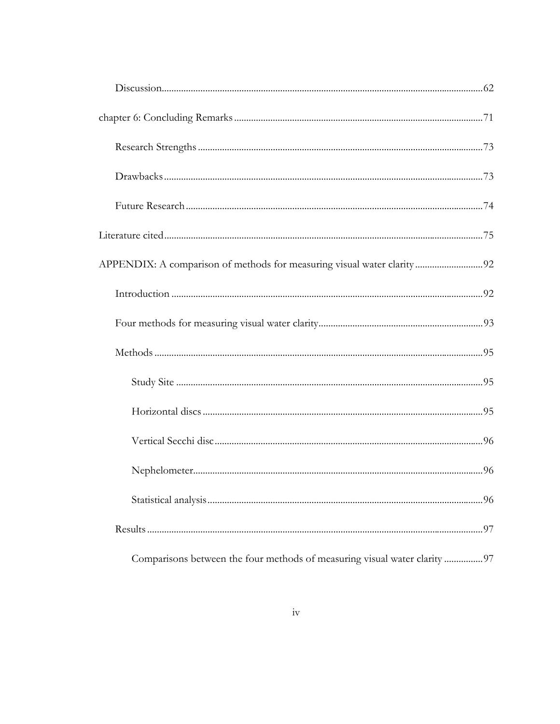| Comparisons between the four methods of measuring visual water clarity 97 |  |
|---------------------------------------------------------------------------|--|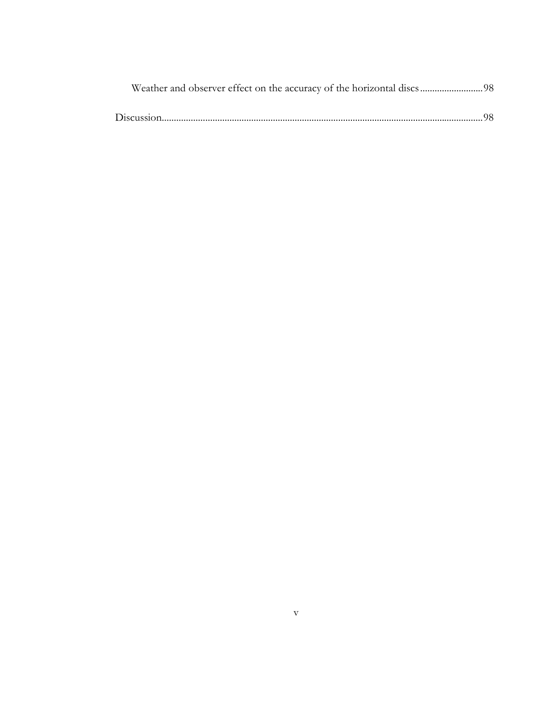| Weather and observer effect on the accuracy of the horizontal discs98 |  |
|-----------------------------------------------------------------------|--|
|                                                                       |  |
|                                                                       |  |
|                                                                       |  |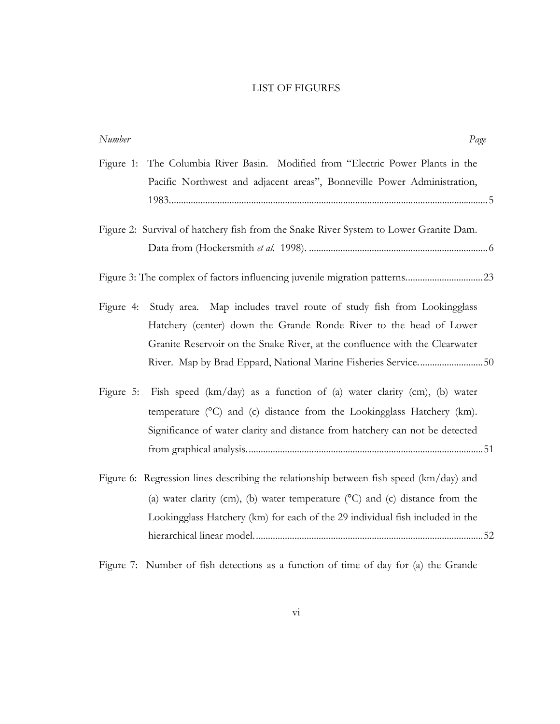## LIST OF FIGURES

| Number    | Page                                                                                   |
|-----------|----------------------------------------------------------------------------------------|
| Figure 1: | The Columbia River Basin. Modified from "Electric Power Plants in the                  |
|           | Pacific Northwest and adjacent areas", Bonneville Power Administration,                |
|           |                                                                                        |
|           | Figure 2: Survival of hatchery fish from the Snake River System to Lower Granite Dam.  |
|           |                                                                                        |
|           |                                                                                        |
|           | Figure 4: Study area. Map includes travel route of study fish from Lookingglass        |
|           | Hatchery (center) down the Grande Ronde River to the head of Lower                     |
|           | Granite Reservoir on the Snake River, at the confluence with the Clearwater            |
|           | River. Map by Brad Eppard, National Marine Fisheries Service50                         |
| Figure 5: | Fish speed $(km/day)$ as a function of (a) water clarity (cm), (b) water               |
|           | temperature (°C) and (c) distance from the Lookingglass Hatchery (km).                 |
|           | Significance of water clarity and distance from hatchery can not be detected           |
|           |                                                                                        |
|           | Figure 6: Regression lines describing the relationship between fish speed (km/day) and |
|           | (a) water clarity (cm), (b) water temperature $(^{\circ}C)$ and (c) distance from the  |
|           | Lookingglass Hatchery (km) for each of the 29 individual fish included in the          |
|           |                                                                                        |
|           | Figure 7: Number of fish detections as a function of time of day for (a) the Grande    |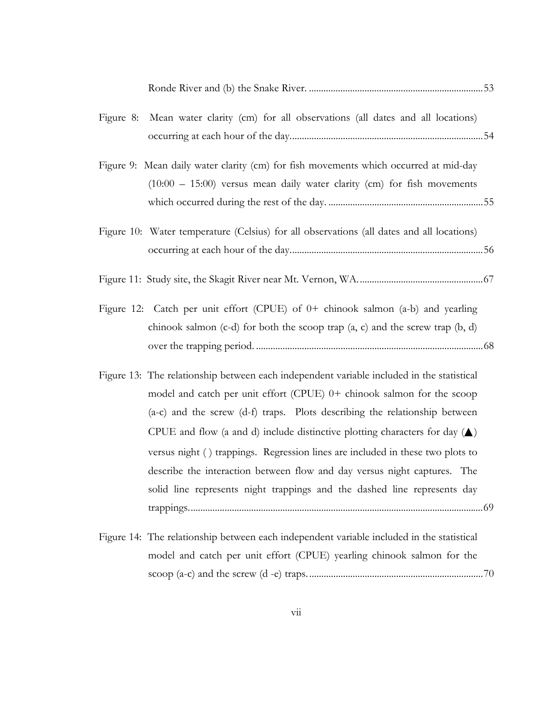| Mean water clarity (cm) for all observations (all dates and all locations)<br>Figure 8:                                                                                                                                                                                                                                                                                                                                                                                                                                                                                              |
|--------------------------------------------------------------------------------------------------------------------------------------------------------------------------------------------------------------------------------------------------------------------------------------------------------------------------------------------------------------------------------------------------------------------------------------------------------------------------------------------------------------------------------------------------------------------------------------|
| Figure 9: Mean daily water clarity (cm) for fish movements which occurred at mid-day<br>$(10:00 - 15:00)$ versus mean daily water clarity (cm) for fish movements                                                                                                                                                                                                                                                                                                                                                                                                                    |
| Figure 10: Water temperature (Celsius) for all observations (all dates and all locations)                                                                                                                                                                                                                                                                                                                                                                                                                                                                                            |
|                                                                                                                                                                                                                                                                                                                                                                                                                                                                                                                                                                                      |
| Figure 12: Catch per unit effort (CPUE) of $0+$ chinook salmon (a-b) and yearling<br>chinook salmon (c-d) for both the scoop trap $(a, c)$ and the screw trap $(b, d)$                                                                                                                                                                                                                                                                                                                                                                                                               |
| Figure 13: The relationship between each independent variable included in the statistical<br>model and catch per unit effort (CPUE) 0+ chinook salmon for the scoop<br>(a-c) and the screw (d-f) traps. Plots describing the relationship between<br>CPUE and flow (a and d) include distinctive plotting characters for day $(\triangle)$<br>versus night () trappings. Regression lines are included in these two plots to<br>describe the interaction between flow and day versus night captures. The<br>solid line represents night trappings and the dashed line represents day |
| Figure 14: The relationship between each independent variable included in the statistical                                                                                                                                                                                                                                                                                                                                                                                                                                                                                            |

model and catch per unit effort (CPUE) yearling chinook salmon for the scoop (a-c) and the screw (d -e) traps.........................................................................70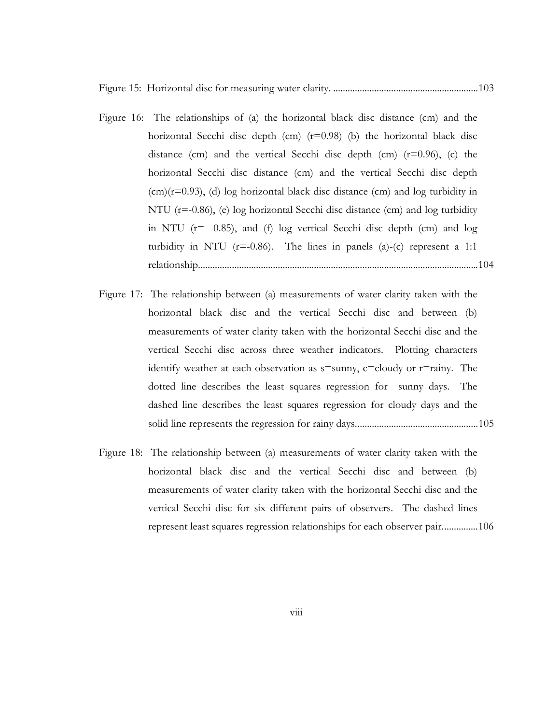Figure 15: Horizontal disc for measuring water clarity. ............................................................103

- Figure 16: The relationships of (a) the horizontal black disc distance (cm) and the horizontal Secchi disc depth (cm)  $(r=0.98)$  (b) the horizontal black disc distance (cm) and the vertical Secchi disc depth (cm)  $(r=0.96)$ , (c) the horizontal Secchi disc distance (cm) and the vertical Secchi disc depth  $(cm)(r=0.93)$ , (d) log horizontal black disc distance  $(cm)$  and log turbidity in NTU ( $r = -0.86$ ), (e) log horizontal Secchi disc distance (cm) and log turbidity in NTU  $(r= -0.85)$ , and  $(f)$  log vertical Secchi disc depth  $(cm)$  and log turbidity in NTU ( $r = -0.86$ ). The lines in panels (a)-(c) represent a 1:1 relationship....................................................................................................................104
- Figure 17: The relationship between (a) measurements of water clarity taken with the horizontal black disc and the vertical Secchi disc and between (b) measurements of water clarity taken with the horizontal Secchi disc and the vertical Secchi disc across three weather indicators. Plotting characters identify weather at each observation as  $s =$ sunny,  $c =$ cloudy or  $r =$ rainy. The dotted line describes the least squares regression for sunny days. The dashed line describes the least squares regression for cloudy days and the solid line represents the regression for rainy days...................................................105
- Figure 18: The relationship between (a) measurements of water clarity taken with the horizontal black disc and the vertical Secchi disc and between (b) measurements of water clarity taken with the horizontal Secchi disc and the vertical Secchi disc for six different pairs of observers. The dashed lines represent least squares regression relationships for each observer pair...............106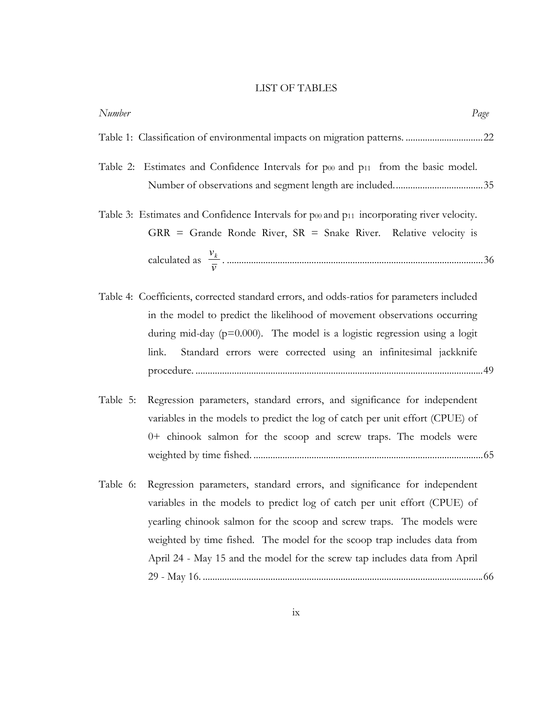## LIST OF TABLES

| Number<br>Page                                                                                                                                                                                                                                                                                                                                                                                        |
|-------------------------------------------------------------------------------------------------------------------------------------------------------------------------------------------------------------------------------------------------------------------------------------------------------------------------------------------------------------------------------------------------------|
|                                                                                                                                                                                                                                                                                                                                                                                                       |
| Estimates and Confidence Intervals for $p_{00}$ and $p_{11}$ from the basic model.<br>Table 2:                                                                                                                                                                                                                                                                                                        |
| Table 3: Estimates and Confidence Intervals for $p_{00}$ and $p_{11}$ incorporating river velocity.<br>GRR = Grande Ronde River, $SR = Snake$ River. Relative velocity is                                                                                                                                                                                                                             |
| Table 4: Coefficients, corrected standard errors, and odds-ratios for parameters included<br>in the model to predict the likelihood of movement observations occurring<br>during mid-day ( $p=0.000$ ). The model is a logistic regression using a logit<br>link.<br>Standard errors were corrected using an infinitesimal jackknife                                                                  |
| Table 5:<br>Regression parameters, standard errors, and significance for independent<br>variables in the models to predict the log of catch per unit effort (CPUE) of<br>0+ chinook salmon for the scoop and screw traps. The models were                                                                                                                                                             |
| Table 6:<br>Regression parameters, standard errors, and significance for independent<br>variables in the models to predict log of catch per unit effort (CPUE) of<br>yearling chinook salmon for the scoop and screw traps. The models were<br>weighted by time fished. The model for the scoop trap includes data from<br>April 24 - May 15 and the model for the screw tap includes data from April |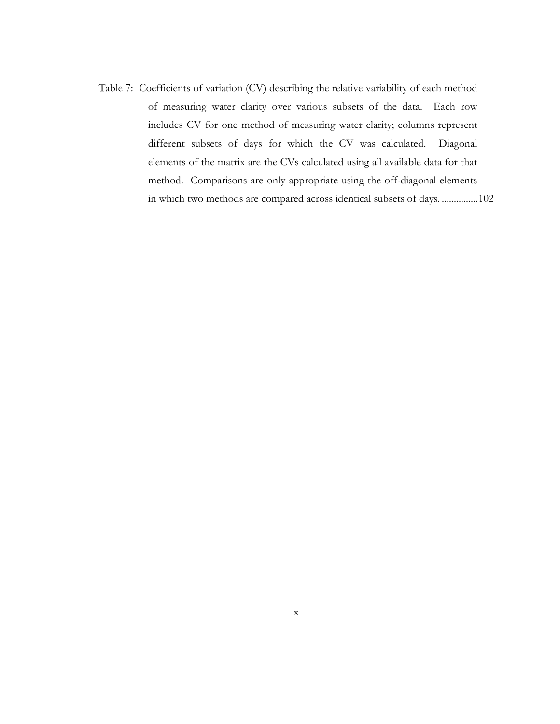Table 7: Coefficients of variation (CV) describing the relative variability of each method of measuring water clarity over various subsets of the data. Each row includes CV for one method of measuring water clarity; columns represent different subsets of days for which the CV was calculated. Diagonal elements of the matrix are the CVs calculated using all available data for that method. Comparisons are only appropriate using the off-diagonal elements in which two methods are compared across identical subsets of days. ...............102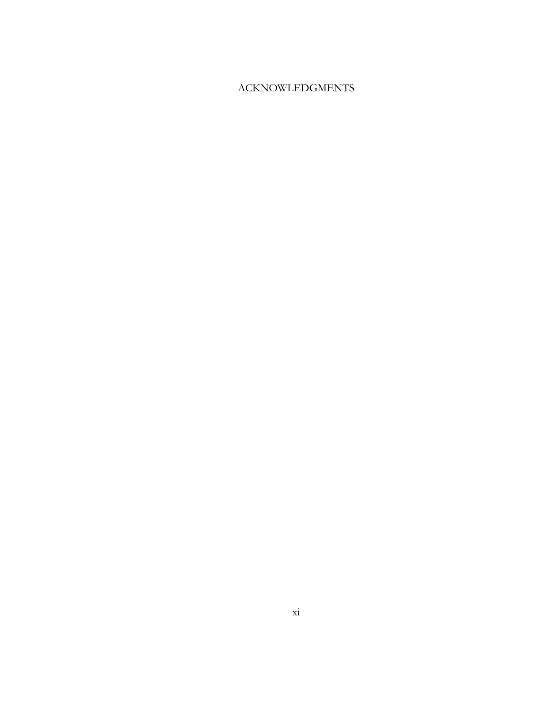# ACKNOWLEDGMENTS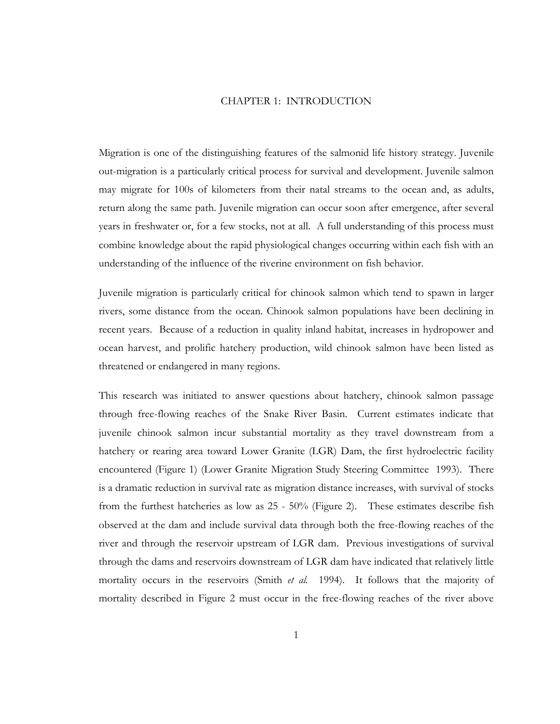### CHAPTER 1: INTRODUCTION

Migration is one of the distinguishing features of the salmonid life history strategy. Juvenile out-migration is a particularly critical process for survival and development. Juvenile salmon may migrate for 100s of kilometers from their natal streams to the ocean and, as adults, return along the same path. Juvenile migration can occur soon after emergence, after several years in freshwater or, for a few stocks, not at all. A full understanding of this process must combine knowledge about the rapid physiological changes occurring within each fish with an understanding of the influence of the riverine environment on fish behavior.

Juvenile migration is particularly critical for chinook salmon which tend to spawn in larger rivers, some distance from the ocean. Chinook salmon populations have been declining in recent years. Because of a reduction in quality inland habitat, increases in hydropower and ocean harvest, and prolific hatchery production, wild chinook salmon have been listed as threatened or endangered in many regions.

This research was initiated to answer questions about hatchery, chinook salmon passage through free-flowing reaches of the Snake River Basin. Current estimates indicate that juvenile chinook salmon incur substantial mortality as they travel downstream from a hatchery or rearing area toward Lower Granite (LGR) Dam, the first hydroelectric facility encountered (Figure 1) (Lower Granite Migration Study Steering Committee 1993). There is a dramatic reduction in survival rate as migration distance increases, with survival of stocks from the furthest hatcheries as low as 25 - 50% (Figure 2). These estimates describe fish observed at the dam and include survival data through both the free-flowing reaches of the river and through the reservoir upstream of LGR dam. Previous investigations of survival through the dams and reservoirs downstream of LGR dam have indicated that relatively little mortality occurs in the reservoirs (Smith *et al.* 1994). It follows that the majority of mortality described in Figure 2 must occur in the free-flowing reaches of the river above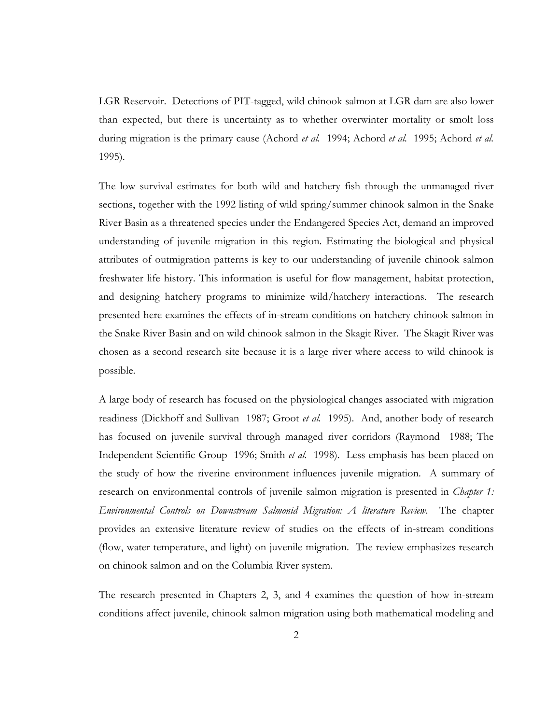LGR Reservoir. Detections of PIT-tagged, wild chinook salmon at LGR dam are also lower than expected, but there is uncertainty as to whether overwinter mortality or smolt loss during migration is the primary cause (Achord *et al.* 1994; Achord *et al.* 1995; Achord *et al.* 1995).

The low survival estimates for both wild and hatchery fish through the unmanaged river sections, together with the 1992 listing of wild spring/summer chinook salmon in the Snake River Basin as a threatened species under the Endangered Species Act, demand an improved understanding of juvenile migration in this region. Estimating the biological and physical attributes of outmigration patterns is key to our understanding of juvenile chinook salmon freshwater life history. This information is useful for flow management, habitat protection, and designing hatchery programs to minimize wild/hatchery interactions. The research presented here examines the effects of in-stream conditions on hatchery chinook salmon in the Snake River Basin and on wild chinook salmon in the Skagit River. The Skagit River was chosen as a second research site because it is a large river where access to wild chinook is possible.

A large body of research has focused on the physiological changes associated with migration readiness (Dickhoff and Sullivan 1987; Groot *et al.* 1995). And, another body of research has focused on juvenile survival through managed river corridors (Raymond 1988; The Independent Scientific Group 1996; Smith *et al.* 1998). Less emphasis has been placed on the study of how the riverine environment influences juvenile migration. A summary of research on environmental controls of juvenile salmon migration is presented in *Chapter 1: Environmental Controls on Downstream Salmonid Migration: A literature Review*. The chapter provides an extensive literature review of studies on the effects of in-stream conditions (flow, water temperature, and light) on juvenile migration. The review emphasizes research on chinook salmon and on the Columbia River system.

The research presented in Chapters 2, 3, and 4 examines the question of how in-stream conditions affect juvenile, chinook salmon migration using both mathematical modeling and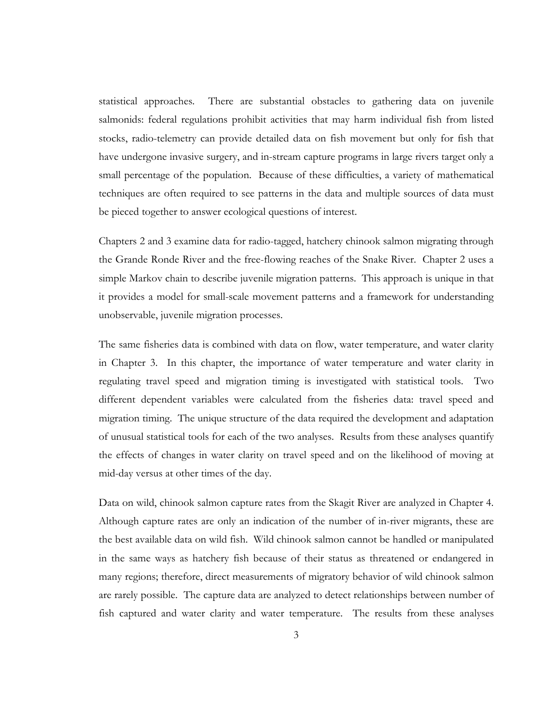statistical approaches. There are substantial obstacles to gathering data on juvenile salmonids: federal regulations prohibit activities that may harm individual fish from listed stocks, radio-telemetry can provide detailed data on fish movement but only for fish that have undergone invasive surgery, and in-stream capture programs in large rivers target only a small percentage of the population. Because of these difficulties, a variety of mathematical techniques are often required to see patterns in the data and multiple sources of data must be pieced together to answer ecological questions of interest.

Chapters 2 and 3 examine data for radio-tagged, hatchery chinook salmon migrating through the Grande Ronde River and the free-flowing reaches of the Snake River. Chapter 2 uses a simple Markov chain to describe juvenile migration patterns. This approach is unique in that it provides a model for small-scale movement patterns and a framework for understanding unobservable, juvenile migration processes.

The same fisheries data is combined with data on flow, water temperature, and water clarity in Chapter 3. In this chapter, the importance of water temperature and water clarity in regulating travel speed and migration timing is investigated with statistical tools. Two different dependent variables were calculated from the fisheries data: travel speed and migration timing. The unique structure of the data required the development and adaptation of unusual statistical tools for each of the two analyses. Results from these analyses quantify the effects of changes in water clarity on travel speed and on the likelihood of moving at mid-day versus at other times of the day.

Data on wild, chinook salmon capture rates from the Skagit River are analyzed in Chapter 4. Although capture rates are only an indication of the number of in-river migrants, these are the best available data on wild fish. Wild chinook salmon cannot be handled or manipulated in the same ways as hatchery fish because of their status as threatened or endangered in many regions; therefore, direct measurements of migratory behavior of wild chinook salmon are rarely possible. The capture data are analyzed to detect relationships between number of fish captured and water clarity and water temperature. The results from these analyses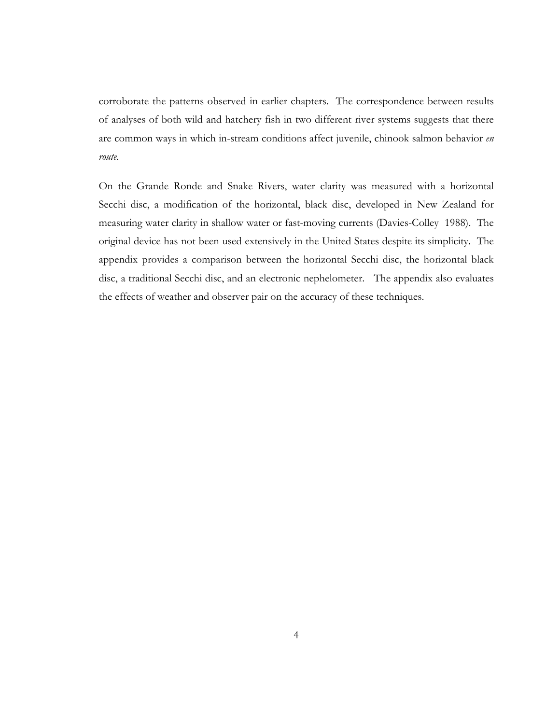corroborate the patterns observed in earlier chapters. The correspondence between results of analyses of both wild and hatchery fish in two different river systems suggests that there are common ways in which in-stream conditions affect juvenile, chinook salmon behavior *en route*.

On the Grande Ronde and Snake Rivers, water clarity was measured with a horizontal Secchi disc, a modification of the horizontal, black disc, developed in New Zealand for measuring water clarity in shallow water or fast-moving currents (Davies-Colley 1988). The original device has not been used extensively in the United States despite its simplicity. The appendix provides a comparison between the horizontal Secchi disc, the horizontal black disc, a traditional Secchi disc, and an electronic nephelometer. The appendix also evaluates the effects of weather and observer pair on the accuracy of these techniques.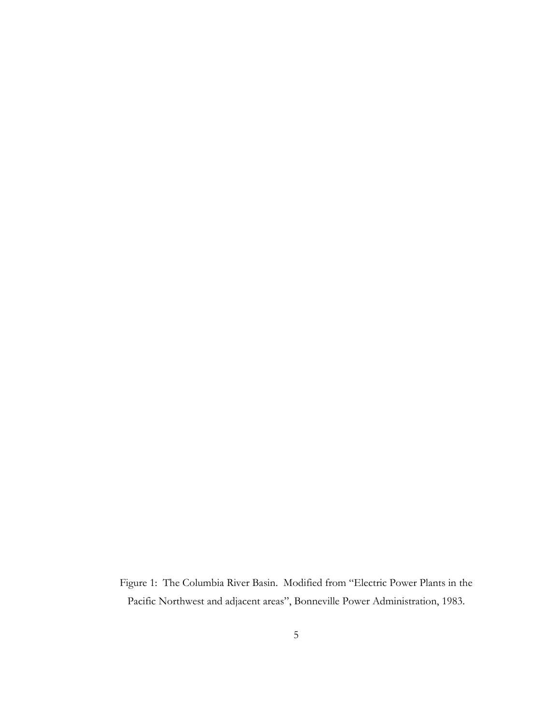Figure 1: The Columbia River Basin. Modified from "Electric Power Plants in the Pacific Northwest and adjacent areas", Bonneville Power Administration, 1983.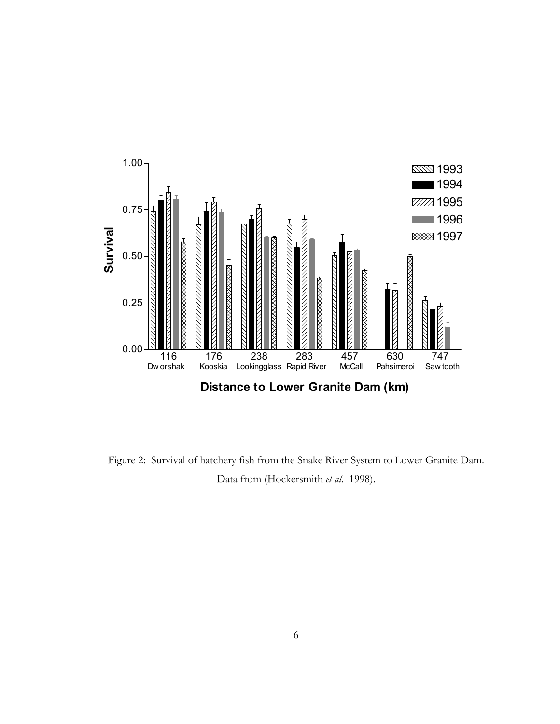

Figure 2: Survival of hatchery fish from the Snake River System to Lower Granite Dam. Data from (Hockersmith *et al.* 1998).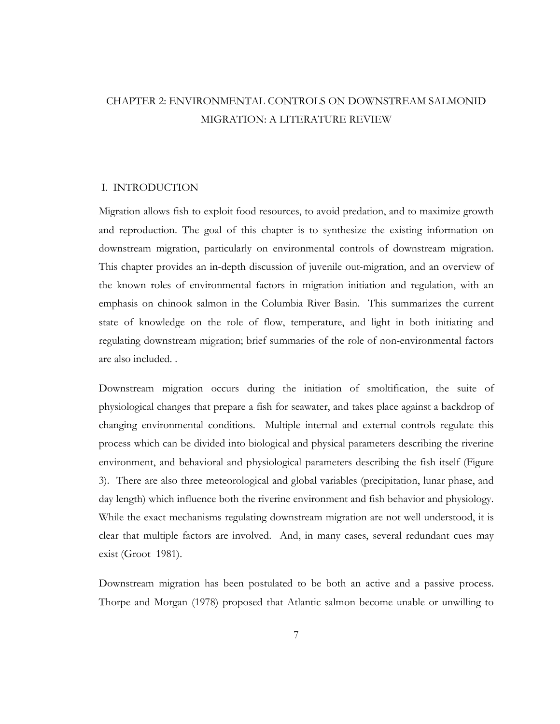# CHAPTER 2: ENVIRONMENTAL CONTROLS ON DOWNSTREAM SALMONID MIGRATION: A LITERATURE REVIEW

### I. INTRODUCTION

Migration allows fish to exploit food resources, to avoid predation, and to maximize growth and reproduction. The goal of this chapter is to synthesize the existing information on downstream migration, particularly on environmental controls of downstream migration. This chapter provides an in-depth discussion of juvenile out-migration, and an overview of the known roles of environmental factors in migration initiation and regulation, with an emphasis on chinook salmon in the Columbia River Basin. This summarizes the current state of knowledge on the role of flow, temperature, and light in both initiating and regulating downstream migration; brief summaries of the role of non-environmental factors are also included. .

Downstream migration occurs during the initiation of smoltification, the suite of physiological changes that prepare a fish for seawater, and takes place against a backdrop of changing environmental conditions. Multiple internal and external controls regulate this process which can be divided into biological and physical parameters describing the riverine environment, and behavioral and physiological parameters describing the fish itself (Figure 3). There are also three meteorological and global variables (precipitation, lunar phase, and day length) which influence both the riverine environment and fish behavior and physiology. While the exact mechanisms regulating downstream migration are not well understood, it is clear that multiple factors are involved. And, in many cases, several redundant cues may exist (Groot 1981).

Downstream migration has been postulated to be both an active and a passive process. Thorpe and Morgan (1978) proposed that Atlantic salmon become unable or unwilling to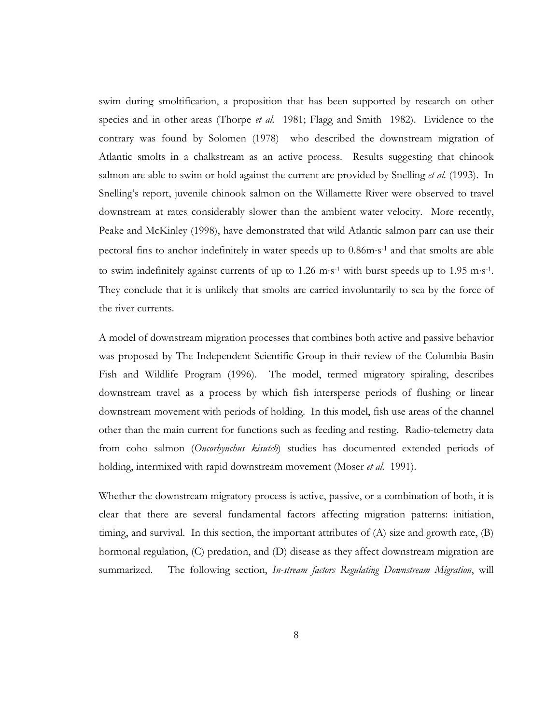swim during smoltification, a proposition that has been supported by research on other species and in other areas (Thorpe *et al.* 1981; Flagg and Smith 1982). Evidence to the contrary was found by Solomen (1978) who described the downstream migration of Atlantic smolts in a chalkstream as an active process. Results suggesting that chinook salmon are able to swim or hold against the current are provided by Snelling *et al.* (1993). In Snelling's report, juvenile chinook salmon on the Willamette River were observed to travel downstream at rates considerably slower than the ambient water velocity. More recently, Peake and McKinley (1998), have demonstrated that wild Atlantic salmon parr can use their pectoral fins to anchor indefinitely in water speeds up to  $0.86 \text{m} \cdot \text{s}^{-1}$  and that smolts are able to swim indefinitely against currents of up to  $1.26 \text{ m} \cdot \text{s}^{-1}$  with burst speeds up to  $1.95 \text{ m} \cdot \text{s}^{-1}$ . They conclude that it is unlikely that smolts are carried involuntarily to sea by the force of the river currents.

A model of downstream migration processes that combines both active and passive behavior was proposed by The Independent Scientific Group in their review of the Columbia Basin Fish and Wildlife Program (1996). The model, termed migratory spiraling, describes downstream travel as a process by which fish intersperse periods of flushing or linear downstream movement with periods of holding. In this model, fish use areas of the channel other than the main current for functions such as feeding and resting. Radio-telemetry data from coho salmon (*Oncorhynchus kisutch*) studies has documented extended periods of holding, intermixed with rapid downstream movement (Moser *et al.* 1991).

Whether the downstream migratory process is active, passive, or a combination of both, it is clear that there are several fundamental factors affecting migration patterns: initiation, timing, and survival. In this section, the important attributes of  $(A)$  size and growth rate,  $(B)$ hormonal regulation, (C) predation, and (D) disease as they affect downstream migration are summarized. The following section, *In-stream factors Regulating Downstream Migration*, will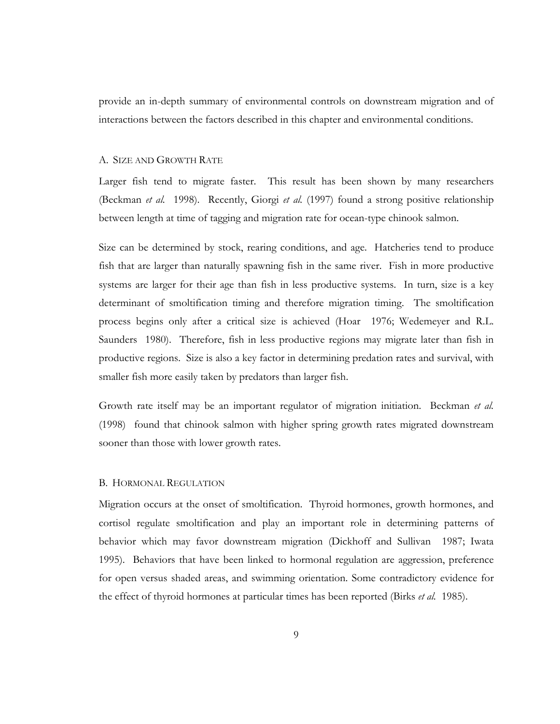provide an in-depth summary of environmental controls on downstream migration and of interactions between the factors described in this chapter and environmental conditions.

### A. SIZE AND GROWTH RATE

Larger fish tend to migrate faster. This result has been shown by many researchers (Beckman *et al.* 1998). Recently, Giorgi *et al.* (1997) found a strong positive relationship between length at time of tagging and migration rate for ocean-type chinook salmon.

Size can be determined by stock, rearing conditions, and age. Hatcheries tend to produce fish that are larger than naturally spawning fish in the same river. Fish in more productive systems are larger for their age than fish in less productive systems. In turn, size is a key determinant of smoltification timing and therefore migration timing. The smoltification process begins only after a critical size is achieved (Hoar 1976; Wedemeyer and R.L. Saunders 1980). Therefore, fish in less productive regions may migrate later than fish in productive regions. Size is also a key factor in determining predation rates and survival, with smaller fish more easily taken by predators than larger fish.

Growth rate itself may be an important regulator of migration initiation. Beckman *et al.* (1998) found that chinook salmon with higher spring growth rates migrated downstream sooner than those with lower growth rates.

### B. HORMONAL REGULATION

Migration occurs at the onset of smoltification. Thyroid hormones, growth hormones, and cortisol regulate smoltification and play an important role in determining patterns of behavior which may favor downstream migration (Dickhoff and Sullivan 1987; Iwata 1995). Behaviors that have been linked to hormonal regulation are aggression, preference for open versus shaded areas, and swimming orientation. Some contradictory evidence for the effect of thyroid hormones at particular times has been reported (Birks *et al.* 1985).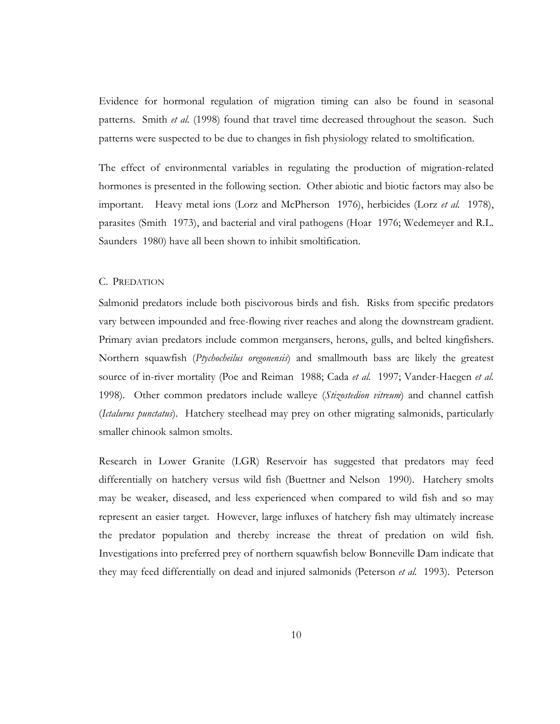Evidence for hormonal regulation of migration timing can also be found in seasonal patterns. Smith *et al.* (1998) found that travel time decreased throughout the season. Such patterns were suspected to be due to changes in fish physiology related to smoltification.

The effect of environmental variables in regulating the production of migration-related hormones is presented in the following section. Other abiotic and biotic factors may also be important. Heavy metal ions (Lorz and McPherson 1976), herbicides (Lorz *et al.* 1978), parasites (Smith 1973), and bacterial and viral pathogens (Hoar 1976; Wedemeyer and R.L. Saunders 1980) have all been shown to inhibit smoltification.

### C. PREDATION

Salmonid predators include both piscivorous birds and fish. Risks from specific predators vary between impounded and free-flowing river reaches and along the downstream gradient. Primary avian predators include common mergansers, herons, gulls, and belted kingfishers. Northern squawfish (*Ptychocheilus oregonensis*) and smallmouth bass are likely the greatest source of in-river mortality (Poe and Reiman 1988; Cada *et al.* 1997; Vander-Haegen *et al.* 1998). Other common predators include walleye (*Stizostedion vitreum*) and channel catfish (*Ictalurus punctatus*). Hatchery steelhead may prey on other migrating salmonids, particularly smaller chinook salmon smolts.

Research in Lower Granite (LGR) Reservoir has suggested that predators may feed differentially on hatchery versus wild fish (Buettner and Nelson 1990). Hatchery smolts may be weaker, diseased, and less experienced when compared to wild fish and so may represent an easier target. However, large influxes of hatchery fish may ultimately increase the predator population and thereby increase the threat of predation on wild fish. Investigations into preferred prey of northern squawfish below Bonneville Dam indicate that they may feed differentially on dead and injured salmonids (Peterson *et al.* 1993). Peterson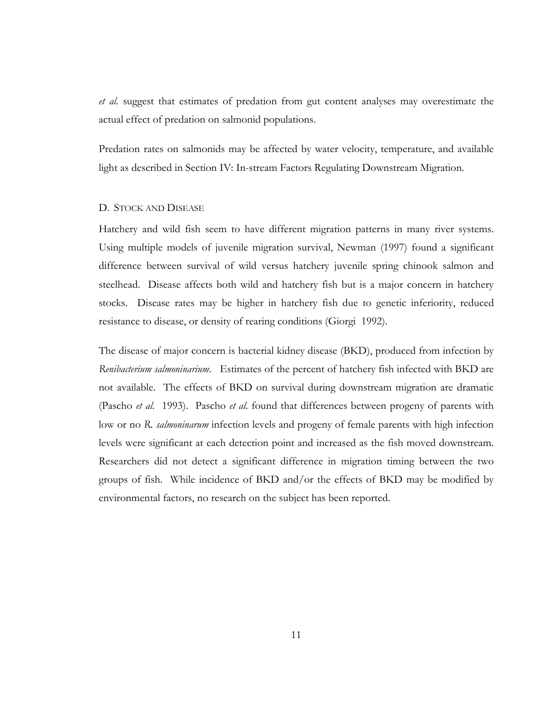*et al*. suggest that estimates of predation from gut content analyses may overestimate the actual effect of predation on salmonid populations.

Predation rates on salmonids may be affected by water velocity, temperature, and available light as described in Section IV: In-stream Factors Regulating Downstream Migration.

### D. STOCK AND DISEASE

Hatchery and wild fish seem to have different migration patterns in many river systems. Using multiple models of juvenile migration survival, Newman (1997) found a significant difference between survival of wild versus hatchery juvenile spring chinook salmon and steelhead. Disease affects both wild and hatchery fish but is a major concern in hatchery stocks. Disease rates may be higher in hatchery fish due to genetic inferiority, reduced resistance to disease, or density of rearing conditions (Giorgi 1992).

The disease of major concern is bacterial kidney disease (BKD), produced from infection by *Renibacterium salmoninarium*. Estimates of the percent of hatchery fish infected with BKD are not available. The effects of BKD on survival during downstream migration are dramatic (Pascho *et al.* 1993). Pascho *et al.* found that differences between progeny of parents with low or no *R. salmoninarum* infection levels and progeny of female parents with high infection levels were significant at each detection point and increased as the fish moved downstream. Researchers did not detect a significant difference in migration timing between the two groups of fish. While incidence of BKD and/or the effects of BKD may be modified by environmental factors, no research on the subject has been reported.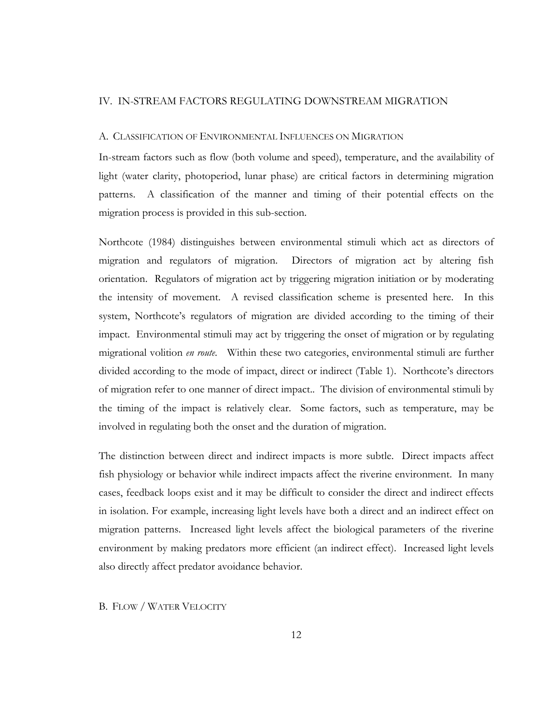### IV. IN-STREAM FACTORS REGULATING DOWNSTREAM MIGRATION

### A. CLASSIFICATION OF ENVIRONMENTAL INFLUENCES ON MIGRATION

In-stream factors such as flow (both volume and speed), temperature, and the availability of light (water clarity, photoperiod, lunar phase) are critical factors in determining migration patterns. A classification of the manner and timing of their potential effects on the migration process is provided in this sub-section.

Northcote (1984) distinguishes between environmental stimuli which act as directors of migration and regulators of migration. Directors of migration act by altering fish orientation. Regulators of migration act by triggering migration initiation or by moderating the intensity of movement. A revised classification scheme is presented here. In this system, Northcote's regulators of migration are divided according to the timing of their impact. Environmental stimuli may act by triggering the onset of migration or by regulating migrational volition *en route*. Within these two categories, environmental stimuli are further divided according to the mode of impact, direct or indirect (Table 1). Northcote's directors of migration refer to one manner of direct impact.. The division of environmental stimuli by the timing of the impact is relatively clear. Some factors, such as temperature, may be involved in regulating both the onset and the duration of migration.

The distinction between direct and indirect impacts is more subtle. Direct impacts affect fish physiology or behavior while indirect impacts affect the riverine environment. In many cases, feedback loops exist and it may be difficult to consider the direct and indirect effects in isolation. For example, increasing light levels have both a direct and an indirect effect on migration patterns. Increased light levels affect the biological parameters of the riverine environment by making predators more efficient (an indirect effect). Increased light levels also directly affect predator avoidance behavior.

### B. FLOW / WATER VELOCITY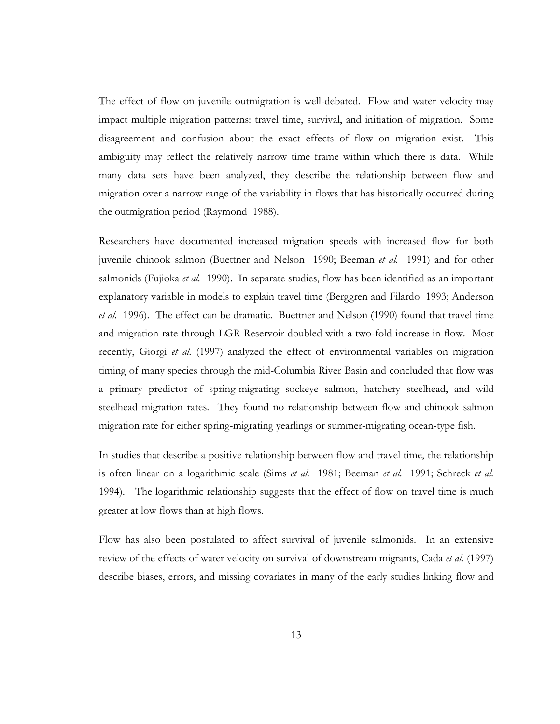The effect of flow on juvenile outmigration is well-debated. Flow and water velocity may impact multiple migration patterns: travel time, survival, and initiation of migration. Some disagreement and confusion about the exact effects of flow on migration exist. This ambiguity may reflect the relatively narrow time frame within which there is data. While many data sets have been analyzed, they describe the relationship between flow and migration over a narrow range of the variability in flows that has historically occurred during the outmigration period (Raymond 1988).

Researchers have documented increased migration speeds with increased flow for both juvenile chinook salmon (Buettner and Nelson 1990; Beeman *et al.* 1991) and for other salmonids (Fujioka *et al.* 1990). In separate studies, flow has been identified as an important explanatory variable in models to explain travel time (Berggren and Filardo 1993; Anderson *et al.* 1996). The effect can be dramatic. Buettner and Nelson (1990) found that travel time and migration rate through LGR Reservoir doubled with a two-fold increase in flow. Most recently, Giorgi *et al.* (1997) analyzed the effect of environmental variables on migration timing of many species through the mid-Columbia River Basin and concluded that flow was a primary predictor of spring-migrating sockeye salmon, hatchery steelhead, and wild steelhead migration rates. They found no relationship between flow and chinook salmon migration rate for either spring-migrating yearlings or summer-migrating ocean-type fish.

In studies that describe a positive relationship between flow and travel time, the relationship is often linear on a logarithmic scale (Sims *et al.* 1981; Beeman *et al.* 1991; Schreck *et al.* 1994). The logarithmic relationship suggests that the effect of flow on travel time is much greater at low flows than at high flows.

Flow has also been postulated to affect survival of juvenile salmonids. In an extensive review of the effects of water velocity on survival of downstream migrants, Cada *et al.* (1997) describe biases, errors, and missing covariates in many of the early studies linking flow and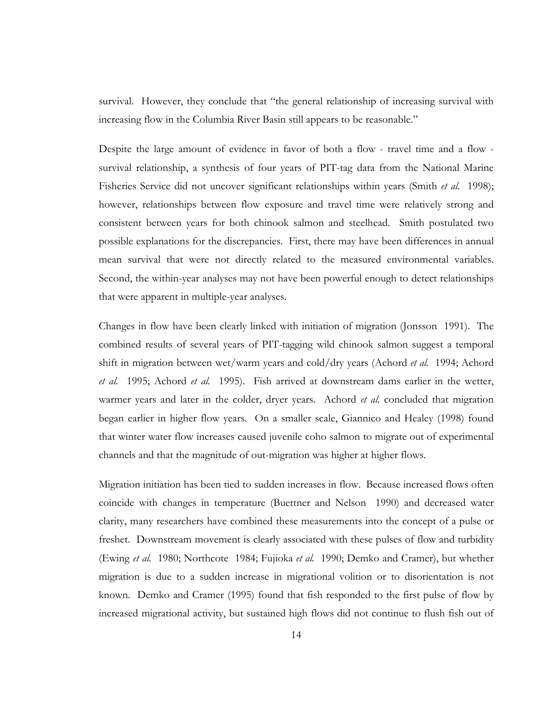survival. However, they conclude that "the general relationship of increasing survival with increasing flow in the Columbia River Basin still appears to be reasonable."

Despite the large amount of evidence in favor of both a flow - travel time and a flow survival relationship, a synthesis of four years of PIT-tag data from the National Marine Fisheries Service did not uncover significant relationships within years (Smith *et al.* 1998); however, relationships between flow exposure and travel time were relatively strong and consistent between years for both chinook salmon and steelhead. Smith postulated two possible explanations for the discrepancies. First, there may have been differences in annual mean survival that were not directly related to the measured environmental variables. Second, the within-year analyses may not have been powerful enough to detect relationships that were apparent in multiple-year analyses.

Changes in flow have been clearly linked with initiation of migration (Jonsson 1991). The combined results of several years of PIT-tagging wild chinook salmon suggest a temporal shift in migration between wet/warm years and cold/dry years (Achord *et al.* 1994; Achord *et al.* 1995; Achord *et al.* 1995). Fish arrived at downstream dams earlier in the wetter, warmer years and later in the colder, dryer years. Achord *et al.* concluded that migration began earlier in higher flow years. On a smaller scale, Giannico and Healey (1998) found that winter water flow increases caused juvenile coho salmon to migrate out of experimental channels and that the magnitude of out-migration was higher at higher flows.

Migration initiation has been tied to sudden increases in flow. Because increased flows often coincide with changes in temperature (Buettner and Nelson 1990) and decreased water clarity, many researchers have combined these measurements into the concept of a pulse or freshet. Downstream movement is clearly associated with these pulses of flow and turbidity (Ewing *et al.* 1980; Northcote 1984; Fujioka *et al.* 1990; Demko and Cramer), but whether migration is due to a sudden increase in migrational volition or to disorientation is not known. Demko and Cramer (1995) found that fish responded to the first pulse of flow by increased migrational activity, but sustained high flows did not continue to flush fish out of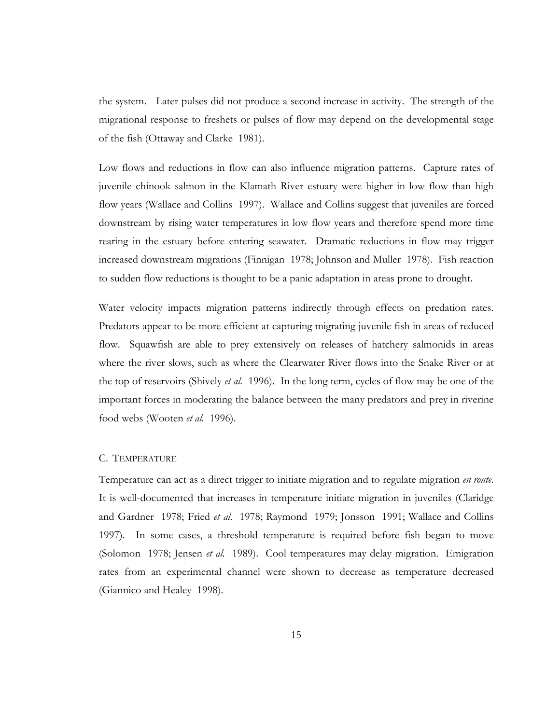the system. Later pulses did not produce a second increase in activity. The strength of the migrational response to freshets or pulses of flow may depend on the developmental stage of the fish (Ottaway and Clarke 1981).

Low flows and reductions in flow can also influence migration patterns. Capture rates of juvenile chinook salmon in the Klamath River estuary were higher in low flow than high flow years (Wallace and Collins 1997). Wallace and Collins suggest that juveniles are forced downstream by rising water temperatures in low flow years and therefore spend more time rearing in the estuary before entering seawater. Dramatic reductions in flow may trigger increased downstream migrations (Finnigan 1978; Johnson and Muller 1978). Fish reaction to sudden flow reductions is thought to be a panic adaptation in areas prone to drought.

Water velocity impacts migration patterns indirectly through effects on predation rates. Predators appear to be more efficient at capturing migrating juvenile fish in areas of reduced flow. Squawfish are able to prey extensively on releases of hatchery salmonids in areas where the river slows, such as where the Clearwater River flows into the Snake River or at the top of reservoirs (Shively *et al.* 1996). In the long term, cycles of flow may be one of the important forces in moderating the balance between the many predators and prey in riverine food webs (Wooten *et al.* 1996).

### C. TEMPERATURE

Temperature can act as a direct trigger to initiate migration and to regulate migration *en route*. It is well-documented that increases in temperature initiate migration in juveniles (Claridge and Gardner 1978; Fried *et al.* 1978; Raymond 1979; Jonsson 1991; Wallace and Collins 1997). In some cases, a threshold temperature is required before fish began to move (Solomon 1978; Jensen *et al.* 1989). Cool temperatures may delay migration. Emigration rates from an experimental channel were shown to decrease as temperature decreased (Giannico and Healey 1998).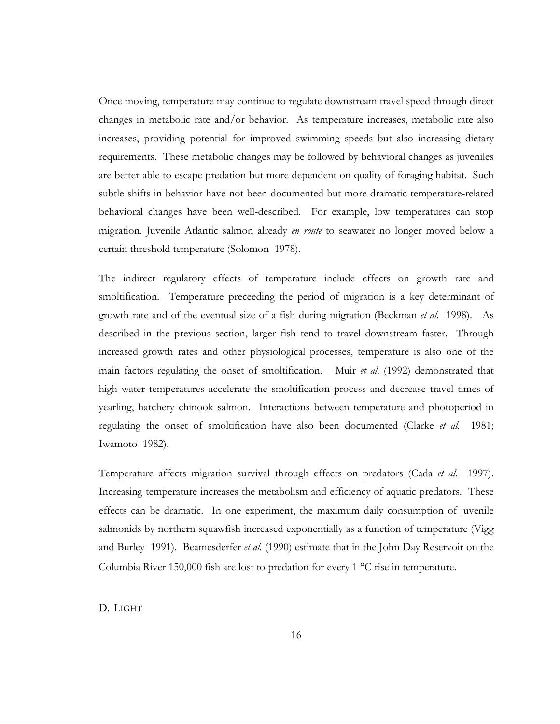Once moving, temperature may continue to regulate downstream travel speed through direct changes in metabolic rate and/or behavior. As temperature increases, metabolic rate also increases, providing potential for improved swimming speeds but also increasing dietary requirements. These metabolic changes may be followed by behavioral changes as juveniles are better able to escape predation but more dependent on quality of foraging habitat. Such subtle shifts in behavior have not been documented but more dramatic temperature-related behavioral changes have been well-described. For example, low temperatures can stop migration. Juvenile Atlantic salmon already *en route* to seawater no longer moved below a certain threshold temperature (Solomon 1978).

The indirect regulatory effects of temperature include effects on growth rate and smoltification. Temperature preceeding the period of migration is a key determinant of growth rate and of the eventual size of a fish during migration (Beckman *et al.* 1998). As described in the previous section, larger fish tend to travel downstream faster. Through increased growth rates and other physiological processes, temperature is also one of the main factors regulating the onset of smoltification. Muir *et al*. (1992) demonstrated that high water temperatures accelerate the smoltification process and decrease travel times of yearling, hatchery chinook salmon. Interactions between temperature and photoperiod in regulating the onset of smoltification have also been documented (Clarke *et al.* 1981; Iwamoto 1982).

Temperature affects migration survival through effects on predators (Cada *et al.* 1997). Increasing temperature increases the metabolism and efficiency of aquatic predators. These effects can be dramatic. In one experiment, the maximum daily consumption of juvenile salmonids by northern squawfish increased exponentially as a function of temperature (Vigg and Burley 1991). Beamesderfer *et al.* (1990) estimate that in the John Day Reservoir on the Columbia River 150,000 fish are lost to predation for every 1  $^{\circ}$ C rise in temperature.

D. LIGHT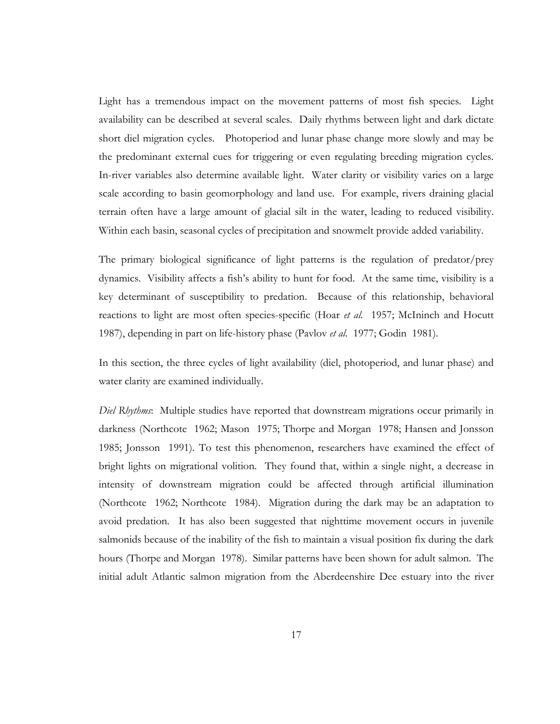Light has a tremendous impact on the movement patterns of most fish species. Light availability can be described at several scales. Daily rhythms between light and dark dictate short diel migration cycles. Photoperiod and lunar phase change more slowly and may be the predominant external cues for triggering or even regulating breeding migration cycles. In-river variables also determine available light. Water clarity or visibility varies on a large scale according to basin geomorphology and land use. For example, rivers draining glacial terrain often have a large amount of glacial silt in the water, leading to reduced visibility. Within each basin, seasonal cycles of precipitation and snowmelt provide added variability.

The primary biological significance of light patterns is the regulation of predator/prey dynamics. Visibility affects a fish's ability to hunt for food. At the same time, visibility is a key determinant of susceptibility to predation. Because of this relationship, behavioral reactions to light are most often species-specific (Hoar *et al.* 1957; McIninch and Hocutt 1987), depending in part on life-history phase (Pavlov *et al.* 1977; Godin 1981).

In this section, the three cycles of light availability (diel, photoperiod, and lunar phase) and water clarity are examined individually.

*Diel Rhythms*: Multiple studies have reported that downstream migrations occur primarily in darkness (Northcote 1962; Mason 1975; Thorpe and Morgan 1978; Hansen and Jonsson 1985; Jonsson 1991). To test this phenomenon, researchers have examined the effect of bright lights on migrational volition. They found that, within a single night, a decrease in intensity of downstream migration could be affected through artificial illumination (Northcote 1962; Northcote 1984). Migration during the dark may be an adaptation to avoid predation. It has also been suggested that nighttime movement occurs in juvenile salmonids because of the inability of the fish to maintain a visual position fix during the dark hours (Thorpe and Morgan 1978). Similar patterns have been shown for adult salmon. The initial adult Atlantic salmon migration from the Aberdeenshire Dee estuary into the river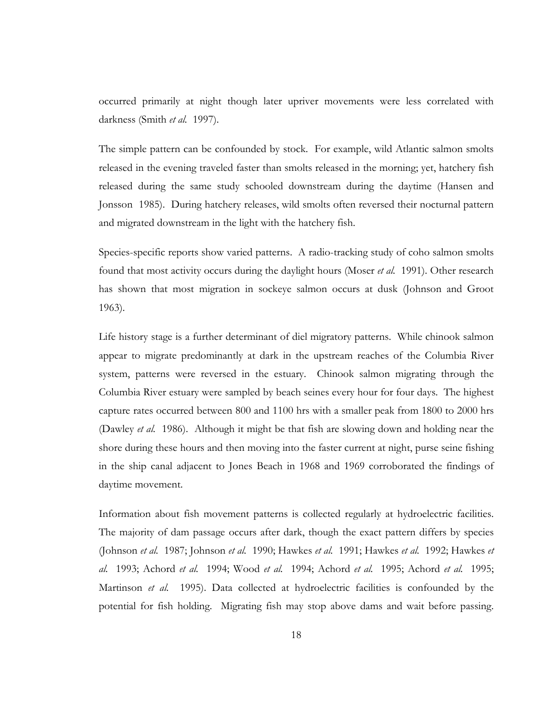occurred primarily at night though later upriver movements were less correlated with darkness (Smith *et al.* 1997).

The simple pattern can be confounded by stock. For example, wild Atlantic salmon smolts released in the evening traveled faster than smolts released in the morning; yet, hatchery fish released during the same study schooled downstream during the daytime (Hansen and Jonsson 1985). During hatchery releases, wild smolts often reversed their nocturnal pattern and migrated downstream in the light with the hatchery fish.

Species-specific reports show varied patterns. A radio-tracking study of coho salmon smolts found that most activity occurs during the daylight hours (Moser *et al.* 1991). Other research has shown that most migration in sockeye salmon occurs at dusk (Johnson and Groot 1963).

Life history stage is a further determinant of diel migratory patterns. While chinook salmon appear to migrate predominantly at dark in the upstream reaches of the Columbia River system, patterns were reversed in the estuary. Chinook salmon migrating through the Columbia River estuary were sampled by beach seines every hour for four days. The highest capture rates occurred between 800 and 1100 hrs with a smaller peak from 1800 to 2000 hrs (Dawley *et al.* 1986). Although it might be that fish are slowing down and holding near the shore during these hours and then moving into the faster current at night, purse seine fishing in the ship canal adjacent to Jones Beach in 1968 and 1969 corroborated the findings of daytime movement.

Information about fish movement patterns is collected regularly at hydroelectric facilities. The majority of dam passage occurs after dark, though the exact pattern differs by species (Johnson *et al.* 1987; Johnson *et al.* 1990; Hawkes *et al.* 1991; Hawkes *et al.* 1992; Hawkes *et al.* 1993; Achord *et al.* 1994; Wood *et al.* 1994; Achord *et al.* 1995; Achord *et al.* 1995; Martinson *et al.* 1995). Data collected at hydroelectric facilities is confounded by the potential for fish holding. Migrating fish may stop above dams and wait before passing.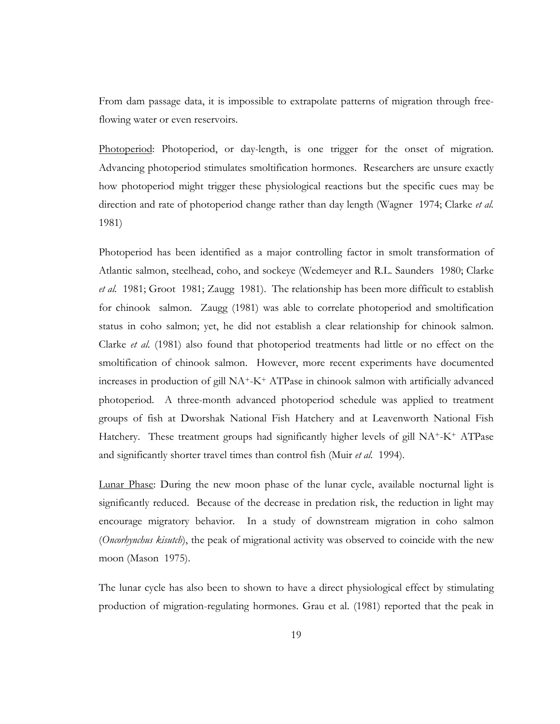From dam passage data, it is impossible to extrapolate patterns of migration through freeflowing water or even reservoirs.

Photoperiod: Photoperiod, or day-length, is one trigger for the onset of migration. Advancing photoperiod stimulates smoltification hormones. Researchers are unsure exactly how photoperiod might trigger these physiological reactions but the specific cues may be direction and rate of photoperiod change rather than day length (Wagner 1974; Clarke *et al.* 1981)

Photoperiod has been identified as a major controlling factor in smolt transformation of Atlantic salmon, steelhead, coho, and sockeye (Wedemeyer and R.L. Saunders 1980; Clarke *et al.* 1981; Groot 1981; Zaugg 1981). The relationship has been more difficult to establish for chinook salmon. Zaugg (1981) was able to correlate photoperiod and smoltification status in coho salmon; yet, he did not establish a clear relationship for chinook salmon. Clarke *et al.* (1981) also found that photoperiod treatments had little or no effect on the smoltification of chinook salmon. However, more recent experiments have documented increases in production of gill NA+-K+ ATPase in chinook salmon with artificially advanced photoperiod. A three-month advanced photoperiod schedule was applied to treatment groups of fish at Dworshak National Fish Hatchery and at Leavenworth National Fish Hatchery. These treatment groups had significantly higher levels of gill NA+-K+ ATPase and significantly shorter travel times than control fish (Muir *et al.* 1994).

Lunar Phase: During the new moon phase of the lunar cycle, available nocturnal light is significantly reduced. Because of the decrease in predation risk, the reduction in light may encourage migratory behavior. In a study of downstream migration in coho salmon (*Oncorhynchus kisutch*), the peak of migrational activity was observed to coincide with the new moon (Mason 1975).

The lunar cycle has also been to shown to have a direct physiological effect by stimulating production of migration-regulating hormones. Grau et al. (1981) reported that the peak in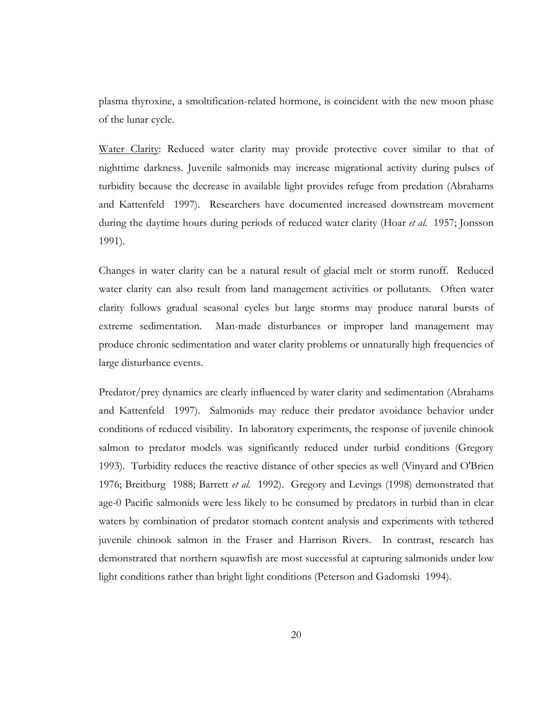plasma thyroxine, a smoltification-related hormone, is coincident with the new moon phase of the lunar cycle.

Water Clarity: Reduced water clarity may provide protective cover similar to that of nighttime darkness. Juvenile salmonids may increase migrational activity during pulses of turbidity because the decrease in available light provides refuge from predation (Abrahams and Kattenfeld 1997). Researchers have documented increased downstream movement during the daytime hours during periods of reduced water clarity (Hoar *et al.* 1957; Jonsson 1991).

Changes in water clarity can be a natural result of glacial melt or storm runoff. Reduced water clarity can also result from land management activities or pollutants. Often water clarity follows gradual seasonal cycles but large storms may produce natural bursts of extreme sedimentation. Man-made disturbances or improper land management may produce chronic sedimentation and water clarity problems or unnaturally high frequencies of large disturbance events.

Predator/prey dynamics are clearly influenced by water clarity and sedimentation (Abrahams and Kattenfeld 1997). Salmonids may reduce their predator avoidance behavior under conditions of reduced visibility. In laboratory experiments, the response of juvenile chinook salmon to predator models was significantly reduced under turbid conditions (Gregory 1993). Turbidity reduces the reactive distance of other species as well (Vinyard and O'Brien 1976; Breitburg 1988; Barrett *et al.* 1992). Gregory and Levings (1998) demonstrated that age-0 Pacific salmonids were less likely to be consumed by predators in turbid than in clear waters by combination of predator stomach content analysis and experiments with tethered juvenile chinook salmon in the Fraser and Harrison Rivers. In contrast, research has demonstrated that northern squawfish are most successful at capturing salmonids under low light conditions rather than bright light conditions (Peterson and Gadomski 1994).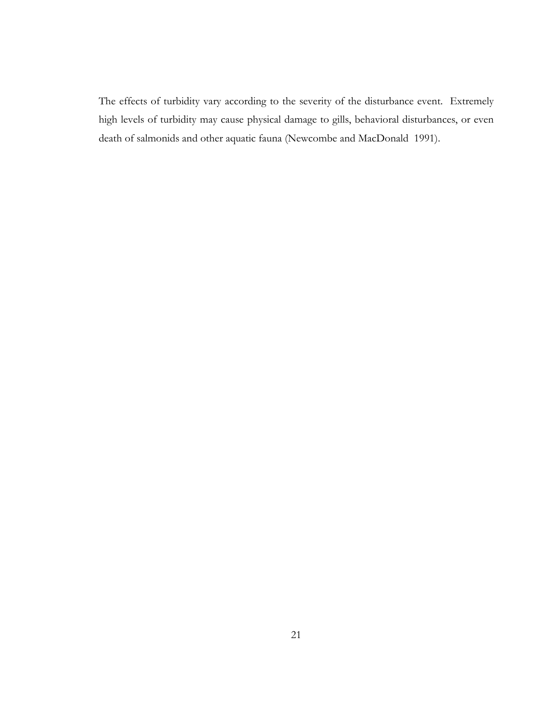The effects of turbidity vary according to the severity of the disturbance event. Extremely high levels of turbidity may cause physical damage to gills, behavioral disturbances, or even death of salmonids and other aquatic fauna (Newcombe and MacDonald 1991).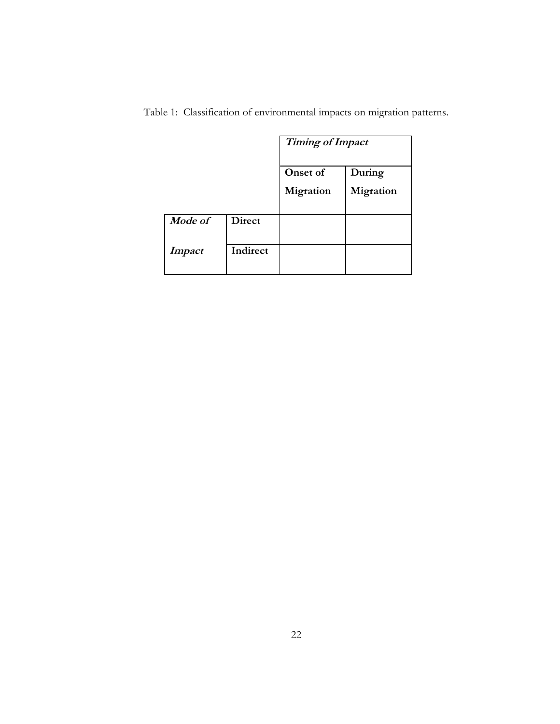|               |               | <b>Timing of Impact</b> |           |  |
|---------------|---------------|-------------------------|-----------|--|
|               |               | Onset of                | During    |  |
|               |               | Migration               | Migration |  |
| Mode of       | <b>Direct</b> |                         |           |  |
| <i>Impact</i> | Indirect      |                         |           |  |

Table 1: Classification of environmental impacts on migration patterns.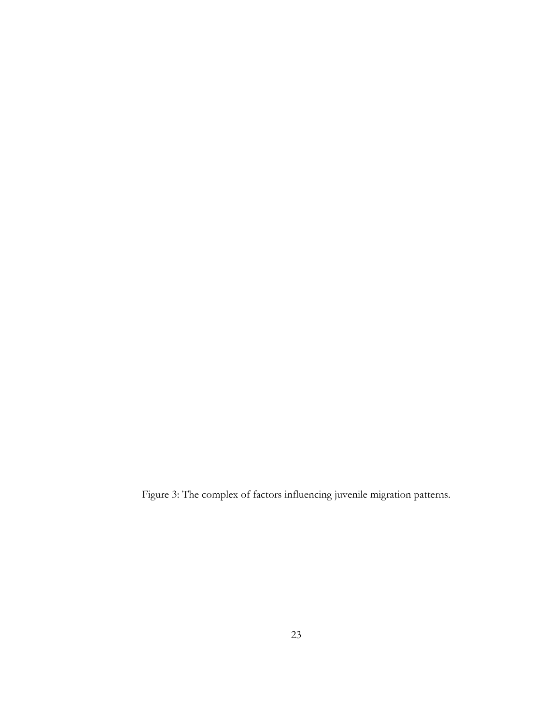Figure 3: The complex of factors influencing juvenile migration patterns.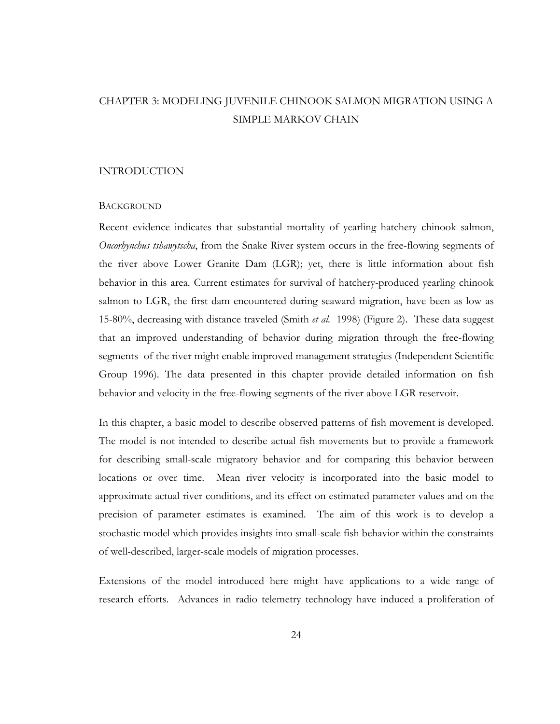# CHAPTER 3: MODELING JUVENILE CHINOOK SALMON MIGRATION USING A SIMPLE MARKOV CHAIN

## INTRODUCTION

## **BACKGROUND**

Recent evidence indicates that substantial mortality of yearling hatchery chinook salmon, *Oncorhynchus tshawytscha*, from the Snake River system occurs in the free-flowing segments of the river above Lower Granite Dam (LGR); yet, there is little information about fish behavior in this area. Current estimates for survival of hatchery-produced yearling chinook salmon to LGR, the first dam encountered during seaward migration, have been as low as 15-80%, decreasing with distance traveled (Smith *et al.* 1998) (Figure 2). These data suggest that an improved understanding of behavior during migration through the free-flowing segments of the river might enable improved management strategies (Independent Scientific Group 1996). The data presented in this chapter provide detailed information on fish behavior and velocity in the free-flowing segments of the river above LGR reservoir.

In this chapter, a basic model to describe observed patterns of fish movement is developed. The model is not intended to describe actual fish movements but to provide a framework for describing small-scale migratory behavior and for comparing this behavior between locations or over time. Mean river velocity is incorporated into the basic model to approximate actual river conditions, and its effect on estimated parameter values and on the precision of parameter estimates is examined. The aim of this work is to develop a stochastic model which provides insights into small-scale fish behavior within the constraints of well-described, larger-scale models of migration processes.

Extensions of the model introduced here might have applications to a wide range of research efforts. Advances in radio telemetry technology have induced a proliferation of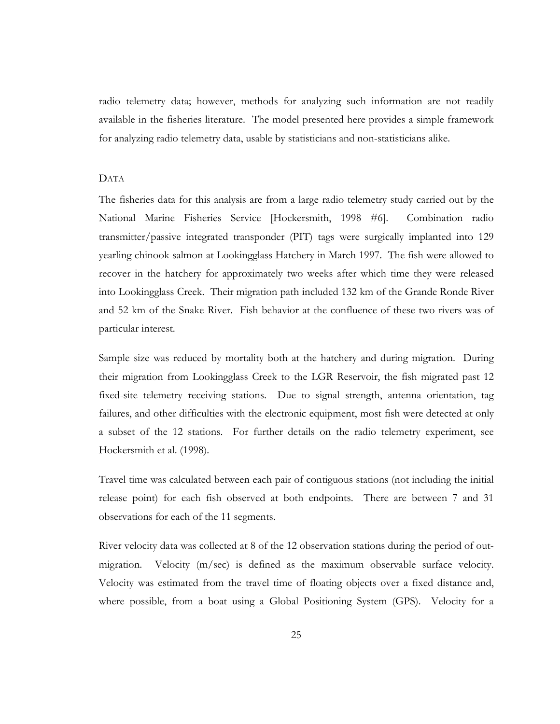radio telemetry data; however, methods for analyzing such information are not readily available in the fisheries literature. The model presented here provides a simple framework for analyzing radio telemetry data, usable by statisticians and non-statisticians alike.

#### DATA

The fisheries data for this analysis are from a large radio telemetry study carried out by the National Marine Fisheries Service [Hockersmith, 1998 #6]. Combination radio transmitter/passive integrated transponder (PIT) tags were surgically implanted into 129 yearling chinook salmon at Lookingglass Hatchery in March 1997. The fish were allowed to recover in the hatchery for approximately two weeks after which time they were released into Lookingglass Creek. Their migration path included 132 km of the Grande Ronde River and 52 km of the Snake River. Fish behavior at the confluence of these two rivers was of particular interest.

Sample size was reduced by mortality both at the hatchery and during migration. During their migration from Lookingglass Creek to the LGR Reservoir, the fish migrated past 12 fixed-site telemetry receiving stations. Due to signal strength, antenna orientation, tag failures, and other difficulties with the electronic equipment, most fish were detected at only a subset of the 12 stations. For further details on the radio telemetry experiment, see Hockersmith et al. (1998).

Travel time was calculated between each pair of contiguous stations (not including the initial release point) for each fish observed at both endpoints. There are between 7 and 31 observations for each of the 11 segments.

River velocity data was collected at 8 of the 12 observation stations during the period of outmigration. Velocity (m/sec) is defined as the maximum observable surface velocity. Velocity was estimated from the travel time of floating objects over a fixed distance and, where possible, from a boat using a Global Positioning System (GPS). Velocity for a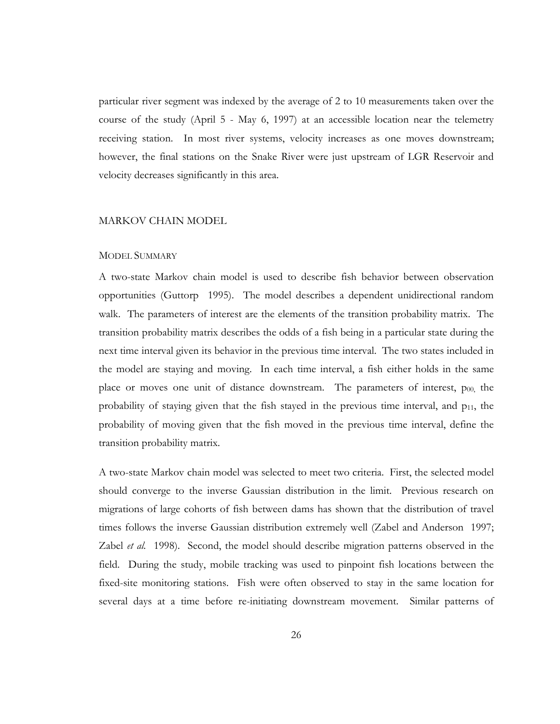particular river segment was indexed by the average of 2 to 10 measurements taken over the course of the study (April 5 - May 6, 1997) at an accessible location near the telemetry receiving station. In most river systems, velocity increases as one moves downstream; however, the final stations on the Snake River were just upstream of LGR Reservoir and velocity decreases significantly in this area.

## MARKOV CHAIN MODEL

#### MODEL SUMMARY

A two-state Markov chain model is used to describe fish behavior between observation opportunities (Guttorp 1995). The model describes a dependent unidirectional random walk. The parameters of interest are the elements of the transition probability matrix. The transition probability matrix describes the odds of a fish being in a particular state during the next time interval given its behavior in the previous time interval. The two states included in the model are staying and moving. In each time interval, a fish either holds in the same place or moves one unit of distance downstream. The parameters of interest,  $p_{00}$ , the probability of staying given that the fish stayed in the previous time interval, and  $p_{11}$ , the probability of moving given that the fish moved in the previous time interval, define the transition probability matrix.

A two-state Markov chain model was selected to meet two criteria. First, the selected model should converge to the inverse Gaussian distribution in the limit. Previous research on migrations of large cohorts of fish between dams has shown that the distribution of travel times follows the inverse Gaussian distribution extremely well (Zabel and Anderson 1997; Zabel *et al.* 1998). Second, the model should describe migration patterns observed in the field. During the study, mobile tracking was used to pinpoint fish locations between the fixed-site monitoring stations. Fish were often observed to stay in the same location for several days at a time before re-initiating downstream movement. Similar patterns of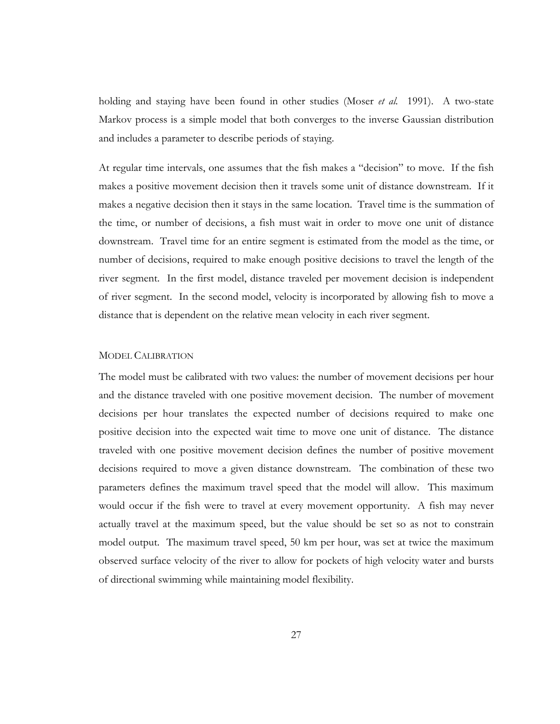holding and staying have been found in other studies (Moser *et al.* 1991). A two-state Markov process is a simple model that both converges to the inverse Gaussian distribution and includes a parameter to describe periods of staying.

At regular time intervals, one assumes that the fish makes a "decision" to move. If the fish makes a positive movement decision then it travels some unit of distance downstream. If it makes a negative decision then it stays in the same location. Travel time is the summation of the time, or number of decisions, a fish must wait in order to move one unit of distance downstream. Travel time for an entire segment is estimated from the model as the time, or number of decisions, required to make enough positive decisions to travel the length of the river segment. In the first model, distance traveled per movement decision is independent of river segment. In the second model, velocity is incorporated by allowing fish to move a distance that is dependent on the relative mean velocity in each river segment.

## MODEL CALIBRATION

The model must be calibrated with two values: the number of movement decisions per hour and the distance traveled with one positive movement decision. The number of movement decisions per hour translates the expected number of decisions required to make one positive decision into the expected wait time to move one unit of distance. The distance traveled with one positive movement decision defines the number of positive movement decisions required to move a given distance downstream. The combination of these two parameters defines the maximum travel speed that the model will allow. This maximum would occur if the fish were to travel at every movement opportunity. A fish may never actually travel at the maximum speed, but the value should be set so as not to constrain model output. The maximum travel speed, 50 km per hour, was set at twice the maximum observed surface velocity of the river to allow for pockets of high velocity water and bursts of directional swimming while maintaining model flexibility.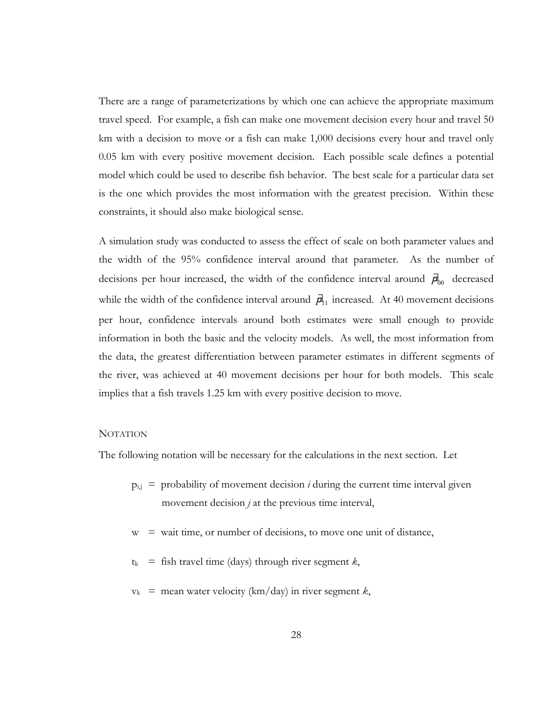There are a range of parameterizations by which one can achieve the appropriate maximum travel speed. For example, a fish can make one movement decision every hour and travel 50 km with a decision to move or a fish can make 1,000 decisions every hour and travel only 0.05 km with every positive movement decision. Each possible scale defines a potential model which could be used to describe fish behavior. The best scale for a particular data set is the one which provides the most information with the greatest precision. Within these constraints, it should also make biological sense.

A simulation study was conducted to assess the effect of scale on both parameter values and the width of the 95% confidence interval around that parameter. As the number of decisions per hour increased, the width of the confidence interval around  $\vec{p}_{00}$  decreased while the width of the confidence interval around  $\vec{p}_{11}$  increased. At 40 movement decisions per hour, confidence intervals around both estimates were small enough to provide information in both the basic and the velocity models. As well, the most information from the data, the greatest differentiation between parameter estimates in different segments of the river, was achieved at 40 movement decisions per hour for both models. This scale implies that a fish travels 1.25 km with every positive decision to move.

## **NOTATION**

The following notation will be necessary for the calculations in the next section. Let

- $p_{i,j}$  = probability of movement decision *i* during the current time interval given movement decision *j* at the previous time interval,
- $w =$  wait time, or number of decisions, to move one unit of distance,
- $t_k$  = fish travel time (days) through river segment  $k$ ,
- $v_k$  = mean water velocity (km/day) in river segment *k*,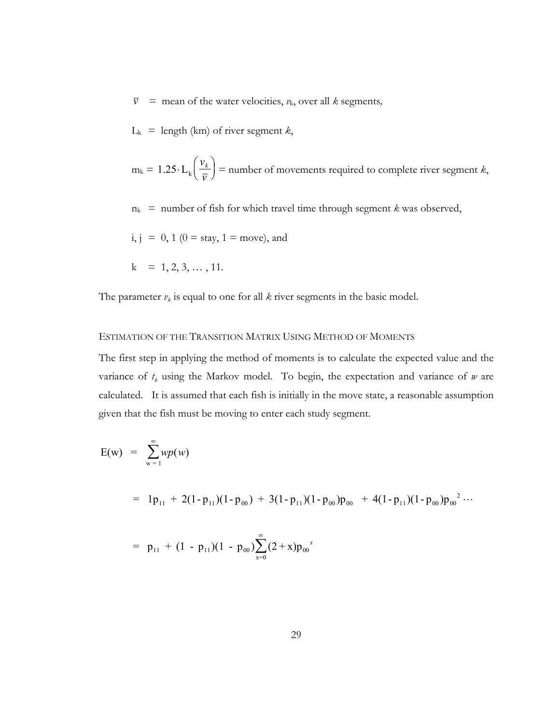$\bar{v}$  = mean of the water velocities,  $v_k$ , over all *k* segments,

 $L_k$  = length (km) of river segment  $k$ ,

$$
m_k = 1.25 \cdot L_k \left(\frac{v_k}{\bar{v}}\right)
$$
 = number of movements required to complete river segment *k*,

 $n_k$  = number of fish for which travel time through segment  $k$  was observed,

i, j = 0, 1 (0 = stay, 1 = move), and

$$
k = 1, 2, 3, \ldots, 11.
$$

The parameter  $v_k$  is equal to one for all  $k$  river segments in the basic model.

## ESTIMATION OF THE TRANSITION MATRIX USING METHOD OF MOMENTS

The first step in applying the method of moments is to calculate the expected value and the variance of  $t_k$  using the Markov model. To begin, the expectation and variance of  $w$  are calculated. It is assumed that each fish is initially in the move state, a reasonable assumption given that the fish must be moving to enter each study segment.

$$
E(w) = \sum_{w=1}^{\infty} wp(w)
$$
  
= 1p<sub>11</sub> + 2(1-p<sub>11</sub>)(1-p<sub>00</sub>) + 3(1-p<sub>11</sub>)(1-p<sub>00</sub>)p<sub>00</sub> + 4(1-p<sub>11</sub>)(1-p<sub>00</sub>)p<sub>00</sub><sup>2</sup>...

$$
= p_{11} + (1 - p_{11})(1 - p_{00}) \sum_{x=0}^{\infty} (2 + x) p_{00}^{x}
$$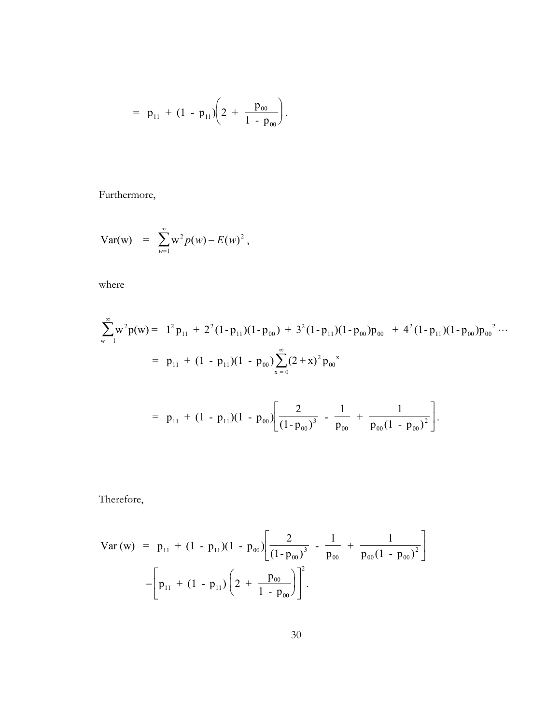$$
= p_{11} + (1 - p_{11}) \left( 2 + \frac{p_{00}}{1 - p_{00}} \right).
$$

Furthermore,

Var(w) = 
$$
\sum_{w=1}^{\infty} w^2 p(w) - E(w)^2
$$
,

where

$$
\sum_{w=1}^{\infty} w^{2} p(w) = 1^{2} p_{11} + 2^{2} (1-p_{11})(1-p_{00}) + 3^{2} (1-p_{11})(1-p_{00}) p_{00} + 4^{2} (1-p_{11})(1-p_{00}) p_{00}^{2} \cdots
$$
  
\n
$$
= p_{11} + (1-p_{11})(1-p_{00}) \sum_{x=0}^{\infty} (2+x)^{2} p_{00}^{x}
$$
  
\n
$$
= p_{11} + (1-p_{11})(1-p_{00}) \left[ \frac{2}{(1-p_{00})^{3}} - \frac{1}{p_{00}} + \frac{1}{p_{00}(1-p_{00})^{2}} \right].
$$

Therefore,

Var (w) = p<sub>11</sub> + (1 - p<sub>11</sub>)(1 - p<sub>00</sub>)
$$
\left[\frac{2}{(1 - p_{00})^3} - \frac{1}{p_{00}} + \frac{1}{p_{00}(1 - p_{00})^2}\right]
$$
  
- $\left[p_{11} + (1 - p_{11})\left(2 + \frac{p_{00}}{1 - p_{00}}\right)\right]^2$ .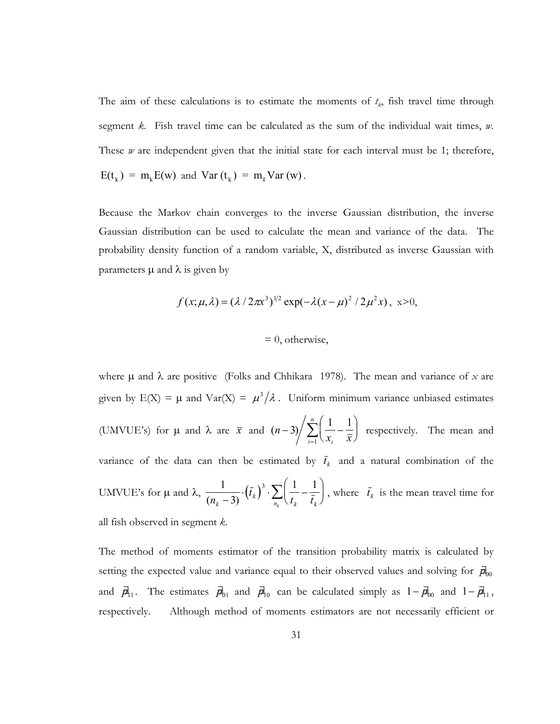The aim of these calculations is to estimate the moments of  $t_k$ , fish travel time through segment *k*. Fish travel time can be calculated as the sum of the individual wait times, *w*. These *w* are independent given that the initial state for each interval must be 1; therefore,  $E(t_k) = m_k E(w)$  and Var  $(t_k) = m_k Var(w)$ .

Because the Markov chain converges to the inverse Gaussian distribution, the inverse Gaussian distribution can be used to calculate the mean and variance of the data. The probability density function of a random variable, X, distributed as inverse Gaussian with parameters  $\mu$  and  $\lambda$  is given by

$$
f(x; \mu, \lambda) = (\lambda / 2\pi x^3)^{1/2} \exp(-\lambda (x - \mu)^2 / 2\mu^2 x), x > 0,
$$

## $= 0$ , otherwise,

where  $\mu$  and  $\lambda$  are positive (Folks and Chhikara 1978). The mean and variance of  $x$  are given by  $E(X) = \mu$  and  $Var(X) = \mu^3/\lambda$ . Uniform minimum variance unbiased estimates (UMVUE's) for  $\mu$  and  $\lambda$  are  $\bar{x}$  and  $(n-3)$  $\sum_{i=1}^{j} \binom{x_i}{x_i}$   $\bar{x}$  $-3) \left/ \sum_{n=1}^{n} \left( \frac{1}{n} \right)$  $\setminus$  $\left(\frac{1}{2},\frac{1}{2}\right)$ J  $\overline{\phantom{a}}$  $3\bigg\langle\sum_{i=1}^n\bigg(\frac{1}{x_i}-\frac{1}{\overline{x}}\bigg)$ 1 respectively. The mean and variance of the data can then be estimated by  $\bar{t}_k$  and a natural combination of the UMVUE's for  $\mu$  and  $\lambda$ ,  $\frac{1}{\lambda}$   $\cdot$   $(\bar{t}_k)$ 3  $3 \n\sqrt{1}$  1  $(n_k - 3)$ *t*  $\left( \frac{1}{k} - 3 \right)$ <sup>(kk)</sup>  $\frac{1}{n_k}$   $\left( t_k - \bar{t}_k \right)$  $\cdot (\bar{t}_k)^3 \cdot \sum \left( \frac{1}{1 - \bar{t}_k} \right)$  $\setminus$  $\sum_{k} \left( \frac{1}{t_k} - \frac{1}{\bar{t}_k} \right)$ , where  $\bar{t}_k$  is the mean travel time for all fish observed in segment *k*.

The method of moments estimator of the transition probability matrix is calculated by setting the expected value and variance equal to their observed values and solving for  $\vec{p}_{00}$ and  $\vec{p}_{11}$ . The estimates  $\vec{p}_{01}$  and  $\vec{p}_{10}$  can be calculated simply as  $1-\vec{p}_{00}$  and  $1-\vec{p}_{11}$ , respectively. Although method of moments estimators are not necessarily efficient or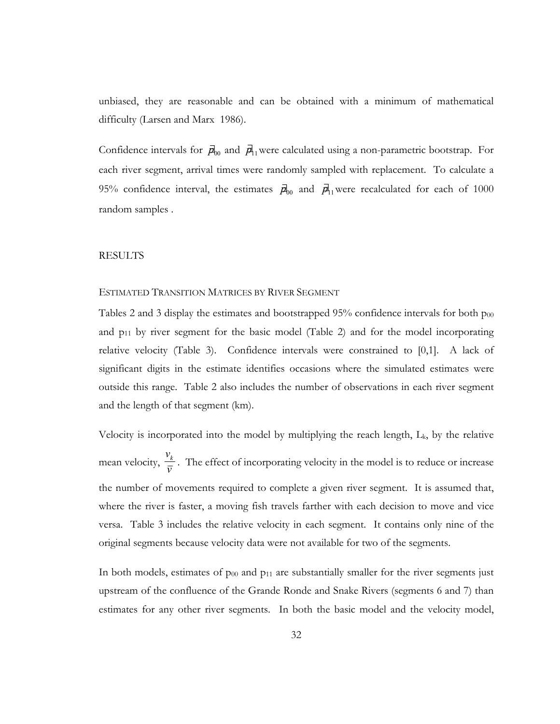unbiased, they are reasonable and can be obtained with a minimum of mathematical difficulty (Larsen and Marx 1986).

Confidence intervals for  $\vec{p}_{00}$  and  $\vec{p}_{11}$  were calculated using a non-parametric bootstrap. For each river segment, arrival times were randomly sampled with replacement. To calculate a 95% confidence interval, the estimates  $\vec{p}_{00}$  and  $\vec{p}_{11}$  were recalculated for each of 1000 random samples .

## RESULTS

### ESTIMATED TRANSITION MATRICES BY RIVER SEGMENT

Tables 2 and 3 display the estimates and bootstrapped 95% confidence intervals for both  $p_{00}$ and  $p_{11}$  by river segment for the basic model (Table 2) and for the model incorporating relative velocity (Table 3). Confidence intervals were constrained to [0,1]. A lack of significant digits in the estimate identifies occasions where the simulated estimates were outside this range. Table 2 also includes the number of observations in each river segment and the length of that segment (km).

Velocity is incorporated into the model by multiplying the reach length, Lk, by the relative mean velocity, *v*  $\frac{v_k}{\overline{v}}$ . The effect of incorporating velocity in the model is to reduce or increase the number of movements required to complete a given river segment. It is assumed that, where the river is faster, a moving fish travels farther with each decision to move and vice versa. Table 3 includes the relative velocity in each segment. It contains only nine of the original segments because velocity data were not available for two of the segments.

In both models, estimates of  $p_{00}$  and  $p_{11}$  are substantially smaller for the river segments just upstream of the confluence of the Grande Ronde and Snake Rivers (segments 6 and 7) than estimates for any other river segments. In both the basic model and the velocity model,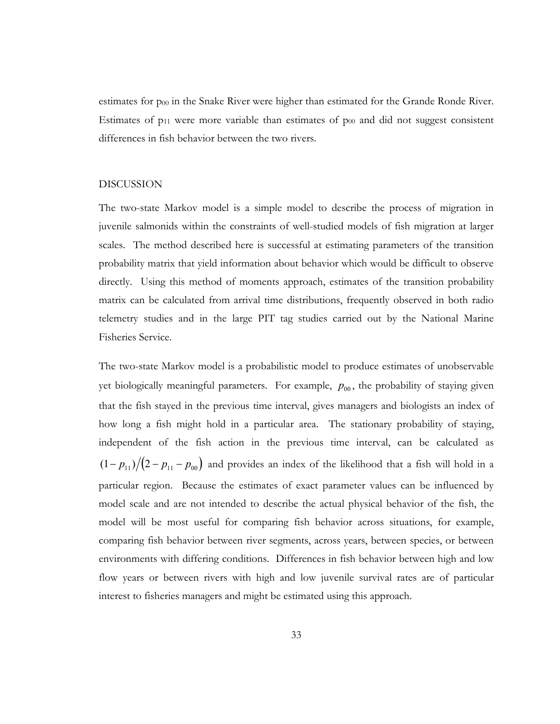estimates for  $p_{00}$  in the Snake River were higher than estimated for the Grande Ronde River. Estimates of  $p_{11}$  were more variable than estimates of  $p_{00}$  and did not suggest consistent differences in fish behavior between the two rivers.

## DISCUSSION

The two-state Markov model is a simple model to describe the process of migration in juvenile salmonids within the constraints of well-studied models of fish migration at larger scales. The method described here is successful at estimating parameters of the transition probability matrix that yield information about behavior which would be difficult to observe directly. Using this method of moments approach, estimates of the transition probability matrix can be calculated from arrival time distributions, frequently observed in both radio telemetry studies and in the large PIT tag studies carried out by the National Marine Fisheries Service.

The two-state Markov model is a probabilistic model to produce estimates of unobservable yet biologically meaningful parameters. For example,  $p_{00}$ , the probability of staying given that the fish stayed in the previous time interval, gives managers and biologists an index of how long a fish might hold in a particular area. The stationary probability of staying, independent of the fish action in the previous time interval, can be calculated as  $(1-p_{11})/(2-p_{11}-p_{00})$  and provides an index of the likelihood that a fish will hold in a particular region. Because the estimates of exact parameter values can be influenced by model scale and are not intended to describe the actual physical behavior of the fish, the model will be most useful for comparing fish behavior across situations, for example, comparing fish behavior between river segments, across years, between species, or between environments with differing conditions. Differences in fish behavior between high and low flow years or between rivers with high and low juvenile survival rates are of particular interest to fisheries managers and might be estimated using this approach.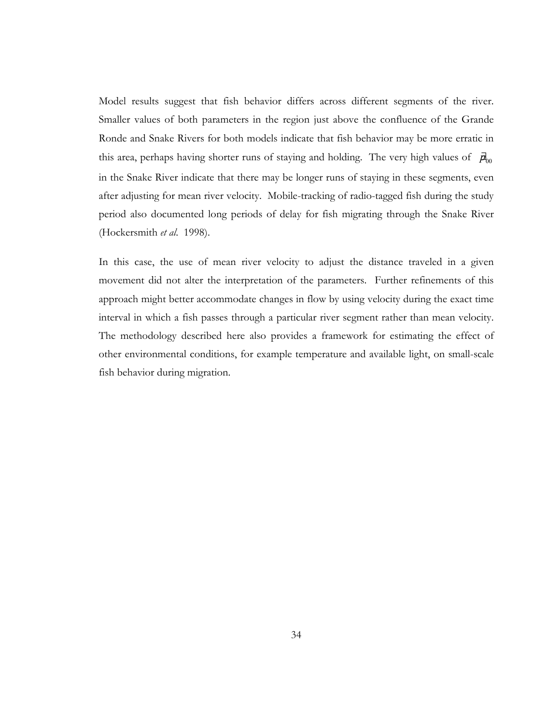Model results suggest that fish behavior differs across different segments of the river. Smaller values of both parameters in the region just above the confluence of the Grande Ronde and Snake Rivers for both models indicate that fish behavior may be more erratic in this area, perhaps having shorter runs of staying and holding. The very high values of  $\vec{p}_{00}$ in the Snake River indicate that there may be longer runs of staying in these segments, even after adjusting for mean river velocity. Mobile-tracking of radio-tagged fish during the study period also documented long periods of delay for fish migrating through the Snake River (Hockersmith *et al*. 1998).

In this case, the use of mean river velocity to adjust the distance traveled in a given movement did not alter the interpretation of the parameters. Further refinements of this approach might better accommodate changes in flow by using velocity during the exact time interval in which a fish passes through a particular river segment rather than mean velocity. The methodology described here also provides a framework for estimating the effect of other environmental conditions, for example temperature and available light, on small-scale fish behavior during migration.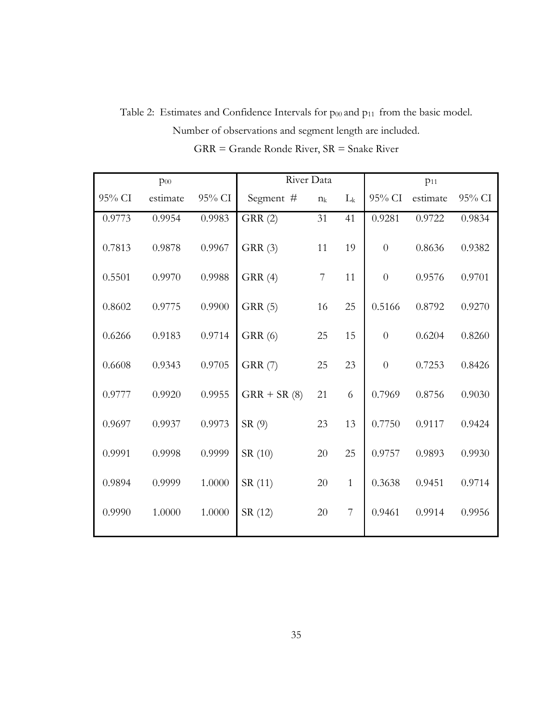| $p_{00}$ |          |        | River Data     |       |                | $p_{11}$ |          |        |
|----------|----------|--------|----------------|-------|----------------|----------|----------|--------|
| 95% CI   | estimate | 95% CI | Segment #      | $n_k$ | $L_k$          | 95% CI   | estimate | 95% CI |
| 0.9773   | 0.9954   | 0.9983 | GRR(2)         | 31    | 41             | 0.9281   | 0.9722   | 0.9834 |
| 0.7813   | 0.9878   | 0.9967 | GRR(3)         | 11    | 19             | $\theta$ | 0.8636   | 0.9382 |
| 0.5501   | 0.9970   | 0.9988 | GRR(4)         | 7     | 11             | $\theta$ | 0.9576   | 0.9701 |
| 0.8602   | 0.9775   | 0.9900 | GRR(5)         | 16    | 25             | 0.5166   | 0.8792   | 0.9270 |
| 0.6266   | 0.9183   | 0.9714 | GRR(6)         | 25    | 15             | $\theta$ | 0.6204   | 0.8260 |
| 0.6608   | 0.9343   | 0.9705 | <b>GRR</b> (7) | 25    | 23             | $\theta$ | 0.7253   | 0.8426 |
| 0.9777   | 0.9920   | 0.9955 | $GRR + SR(8)$  | 21    | 6              | 0.7969   | 0.8756   | 0.9030 |
| 0.9697   | 0.9937   | 0.9973 | SR(9)          | 23    | 13             | 0.7750   | 0.9117   | 0.9424 |
| 0.9991   | 0.9998   | 0.9999 | SR (10)        | 20    | 25             | 0.9757   | 0.9893   | 0.9930 |
| 0.9894   | 0.9999   | 1.0000 | SR(11)         | 20    | $\mathbf{1}$   | 0.3638   | 0.9451   | 0.9714 |
| 0.9990   | 1.0000   | 1.0000 | SR (12)        | 20    | $\overline{7}$ | 0.9461   | 0.9914   | 0.9956 |

Table 2: Estimates and Confidence Intervals for  $p_{00}$  and  $p_{11}$  from the basic model.

Number of observations and segment length are included.

GRR = Grande Ronde River, SR = Snake River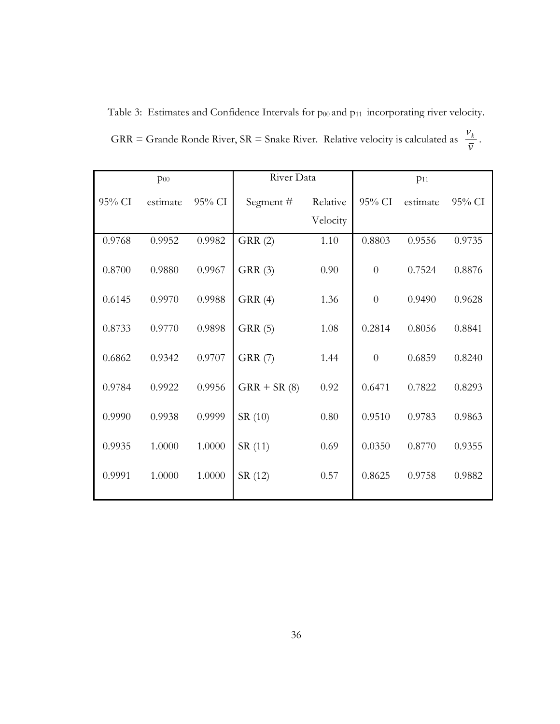Table 3: Estimates and Confidence Intervals for  $p_{00}$  and  $p_{11}$  incorporating river velocity.

| GRR = Grande Ronde River, SR = Snake River. Relative velocity is calculated as $\frac{v_k}{r}$ . |  |  |
|--------------------------------------------------------------------------------------------------|--|--|
|--------------------------------------------------------------------------------------------------|--|--|

| $p_{00}$ |        |          | River Data |                    | $p_{11}$ |                |          |           |
|----------|--------|----------|------------|--------------------|----------|----------------|----------|-----------|
|          | 95% CI | estimate | $95\%$ CI  | Segment #          | Relative | $95\%$ CI      | estimate | $95\%$ CI |
|          |        |          |            |                    | Velocity |                |          |           |
|          | 0.9768 | 0.9952   | 0.9982     | GRR(2)             | 1.10     | 0.8803         | 0.9556   | 0.9735    |
|          | 0.8700 | 0.9880   | 0.9967     | $\text{GRR}$ $(3)$ | 0.90     | $\overline{0}$ | 0.7524   | 0.8876    |
|          | 0.6145 | 0.9970   | 0.9988     | GRR(4)             | 1.36     | $\overline{0}$ | 0.9490   | 0.9628    |
|          | 0.8733 | 0.9770   | 0.9898     | GRR(5)             | 1.08     | 0.2814         | 0.8056   | 0.8841    |
|          | 0.6862 | 0.9342   | 0.9707     | <b>GRR (7)</b>     | 1.44     | $\overline{0}$ | 0.6859   | 0.8240    |
|          | 0.9784 | 0.9922   | 0.9956     | $GRR + SR(8)$      | 0.92     | 0.6471         | 0.7822   | 0.8293    |
|          | 0.9990 | 0.9938   | 0.9999     | SR (10)            | 0.80     | 0.9510         | 0.9783   | 0.9863    |
|          | 0.9935 | 1.0000   | 1.0000     | SR (11)            | 0.69     | 0.0350         | 0.8770   | 0.9355    |
|          | 0.9991 | 1.0000   | 1.0000     | SR (12)            | 0.57     | 0.8625         | 0.9758   | 0.9882    |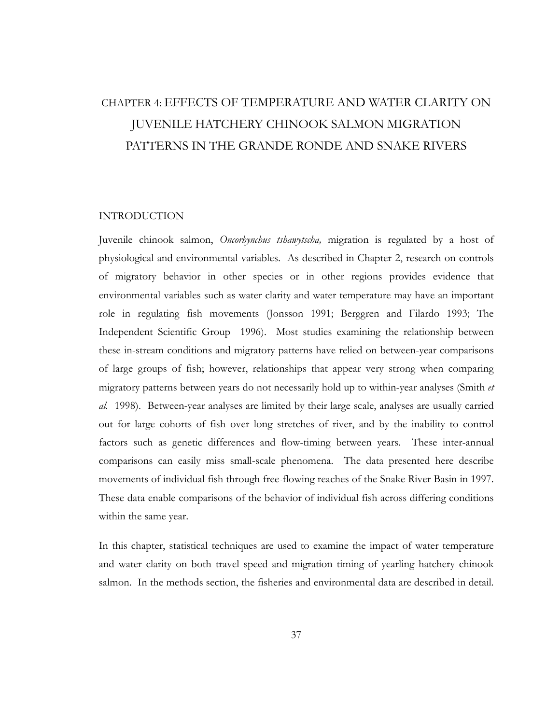# CHAPTER 4: EFFECTS OF TEMPERATURE AND WATER CLARITY ON JUVENILE HATCHERY CHINOOK SALMON MIGRATION PATTERNS IN THE GRANDE RONDE AND SNAKE RIVERS

## INTRODUCTION

Juvenile chinook salmon, *Oncorhynchus tshawytscha,* migration is regulated by a host of physiological and environmental variables. As described in Chapter 2, research on controls of migratory behavior in other species or in other regions provides evidence that environmental variables such as water clarity and water temperature may have an important role in regulating fish movements (Jonsson 1991; Berggren and Filardo 1993; The Independent Scientific Group 1996). Most studies examining the relationship between these in-stream conditions and migratory patterns have relied on between-year comparisons of large groups of fish; however, relationships that appear very strong when comparing migratory patterns between years do not necessarily hold up to within-year analyses (Smith *et al.* 1998). Between-year analyses are limited by their large scale, analyses are usually carried out for large cohorts of fish over long stretches of river, and by the inability to control factors such as genetic differences and flow-timing between years. These inter-annual comparisons can easily miss small-scale phenomena. The data presented here describe movements of individual fish through free-flowing reaches of the Snake River Basin in 1997. These data enable comparisons of the behavior of individual fish across differing conditions within the same year.

In this chapter, statistical techniques are used to examine the impact of water temperature and water clarity on both travel speed and migration timing of yearling hatchery chinook salmon. In the methods section, the fisheries and environmental data are described in detail.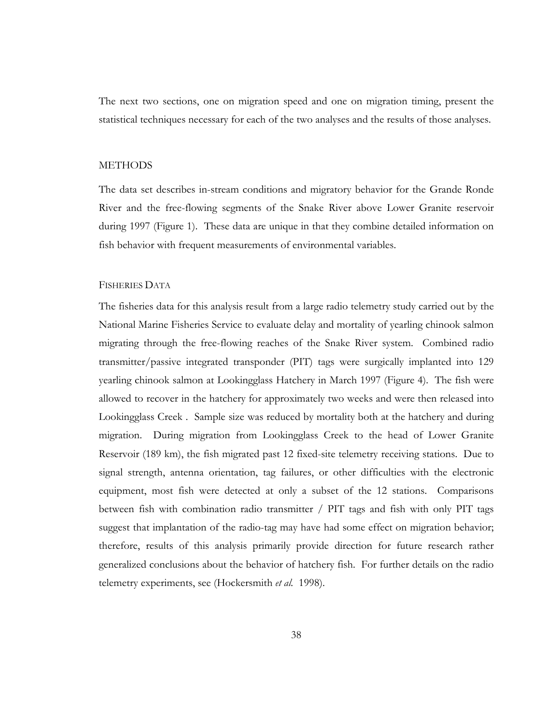The next two sections, one on migration speed and one on migration timing, present the statistical techniques necessary for each of the two analyses and the results of those analyses.

## **METHODS**

The data set describes in-stream conditions and migratory behavior for the Grande Ronde River and the free-flowing segments of the Snake River above Lower Granite reservoir during 1997 (Figure 1). These data are unique in that they combine detailed information on fish behavior with frequent measurements of environmental variables.

## FISHERIES DATA

The fisheries data for this analysis result from a large radio telemetry study carried out by the National Marine Fisheries Service to evaluate delay and mortality of yearling chinook salmon migrating through the free-flowing reaches of the Snake River system. Combined radio transmitter/passive integrated transponder (PIT) tags were surgically implanted into 129 yearling chinook salmon at Lookingglass Hatchery in March 1997 (Figure 4). The fish were allowed to recover in the hatchery for approximately two weeks and were then released into Lookingglass Creek . Sample size was reduced by mortality both at the hatchery and during migration. During migration from Lookingglass Creek to the head of Lower Granite Reservoir (189 km), the fish migrated past 12 fixed-site telemetry receiving stations. Due to signal strength, antenna orientation, tag failures, or other difficulties with the electronic equipment, most fish were detected at only a subset of the 12 stations. Comparisons between fish with combination radio transmitter / PIT tags and fish with only PIT tags suggest that implantation of the radio-tag may have had some effect on migration behavior; therefore, results of this analysis primarily provide direction for future research rather generalized conclusions about the behavior of hatchery fish. For further details on the radio telemetry experiments, see (Hockersmith *et al.* 1998).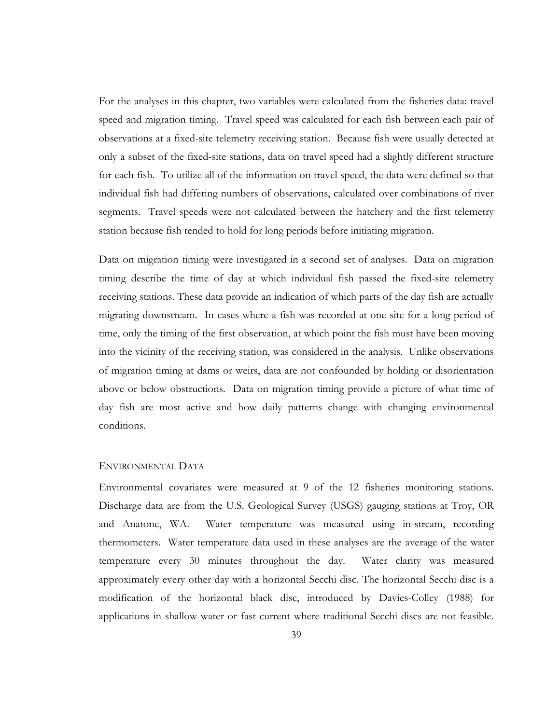For the analyses in this chapter, two variables were calculated from the fisheries data: travel speed and migration timing. Travel speed was calculated for each fish between each pair of observations at a fixed-site telemetry receiving station. Because fish were usually detected at only a subset of the fixed-site stations, data on travel speed had a slightly different structure for each fish. To utilize all of the information on travel speed, the data were defined so that individual fish had differing numbers of observations, calculated over combinations of river segments. Travel speeds were not calculated between the hatchery and the first telemetry station because fish tended to hold for long periods before initiating migration.

Data on migration timing were investigated in a second set of analyses. Data on migration timing describe the time of day at which individual fish passed the fixed-site telemetry receiving stations. These data provide an indication of which parts of the day fish are actually migrating downstream. In cases where a fish was recorded at one site for a long period of time, only the timing of the first observation, at which point the fish must have been moving into the vicinity of the receiving station, was considered in the analysis. Unlike observations of migration timing at dams or weirs, data are not confounded by holding or disorientation above or below obstructions. Data on migration timing provide a picture of what time of day fish are most active and how daily patterns change with changing environmental conditions.

## ENVIRONMENTAL DATA

Environmental covariates were measured at 9 of the 12 fisheries monitoring stations. Discharge data are from the U.S. Geological Survey (USGS) gauging stations at Troy, OR and Anatone, WA. Water temperature was measured using in-stream, recording thermometers. Water temperature data used in these analyses are the average of the water temperature every 30 minutes throughout the day. Water clarity was measured approximately every other day with a horizontal Secchi disc. The horizontal Secchi disc is a modification of the horizontal black disc, introduced by Davies-Colley (1988) for applications in shallow water or fast current where traditional Secchi discs are not feasible.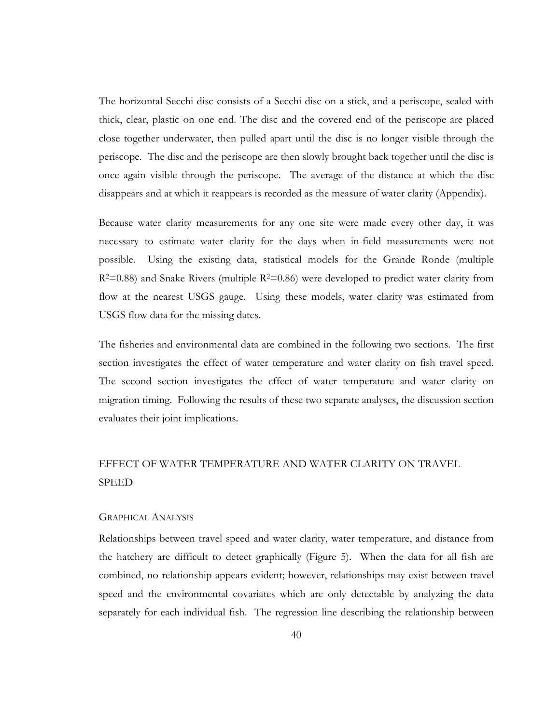The horizontal Secchi disc consists of a Secchi disc on a stick, and a periscope, sealed with thick, clear, plastic on one end. The disc and the covered end of the periscope are placed close together underwater, then pulled apart until the disc is no longer visible through the periscope. The disc and the periscope are then slowly brought back together until the disc is once again visible through the periscope. The average of the distance at which the disc disappears and at which it reappears is recorded as the measure of water clarity (Appendix).

Because water clarity measurements for any one site were made every other day, it was necessary to estimate water clarity for the days when in-field measurements were not possible. Using the existing data, statistical models for the Grande Ronde (multiple  $R^2=0.88$ ) and Snake Rivers (multiple  $R^2=0.86$ ) were developed to predict water clarity from flow at the nearest USGS gauge. Using these models, water clarity was estimated from USGS flow data for the missing dates.

The fisheries and environmental data are combined in the following two sections. The first section investigates the effect of water temperature and water clarity on fish travel speed. The second section investigates the effect of water temperature and water clarity on migration timing. Following the results of these two separate analyses, the discussion section evaluates their joint implications.

# EFFECT OF WATER TEMPERATURE AND WATER CLARITY ON TRAVEL SPEED

## GRAPHICAL ANALYSIS

Relationships between travel speed and water clarity, water temperature, and distance from the hatchery are difficult to detect graphically (Figure 5). When the data for all fish are combined, no relationship appears evident; however, relationships may exist between travel speed and the environmental covariates which are only detectable by analyzing the data separately for each individual fish. The regression line describing the relationship between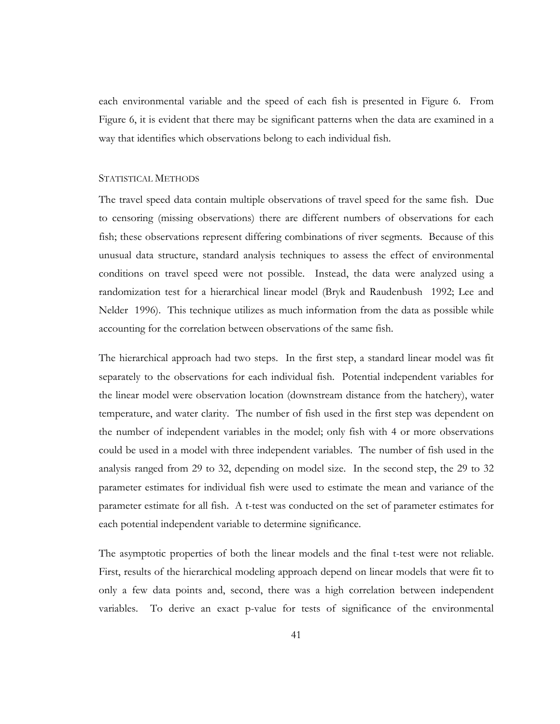each environmental variable and the speed of each fish is presented in Figure 6. From Figure 6, it is evident that there may be significant patterns when the data are examined in a way that identifies which observations belong to each individual fish.

#### STATISTICAL METHODS

The travel speed data contain multiple observations of travel speed for the same fish. Due to censoring (missing observations) there are different numbers of observations for each fish; these observations represent differing combinations of river segments. Because of this unusual data structure, standard analysis techniques to assess the effect of environmental conditions on travel speed were not possible. Instead, the data were analyzed using a randomization test for a hierarchical linear model (Bryk and Raudenbush 1992; Lee and Nelder 1996). This technique utilizes as much information from the data as possible while accounting for the correlation between observations of the same fish.

The hierarchical approach had two steps. In the first step, a standard linear model was fit separately to the observations for each individual fish. Potential independent variables for the linear model were observation location (downstream distance from the hatchery), water temperature, and water clarity. The number of fish used in the first step was dependent on the number of independent variables in the model; only fish with 4 or more observations could be used in a model with three independent variables. The number of fish used in the analysis ranged from 29 to 32, depending on model size. In the second step, the 29 to 32 parameter estimates for individual fish were used to estimate the mean and variance of the parameter estimate for all fish. A t-test was conducted on the set of parameter estimates for each potential independent variable to determine significance.

The asymptotic properties of both the linear models and the final t-test were not reliable. First, results of the hierarchical modeling approach depend on linear models that were fit to only a few data points and, second, there was a high correlation between independent variables. To derive an exact p-value for tests of significance of the environmental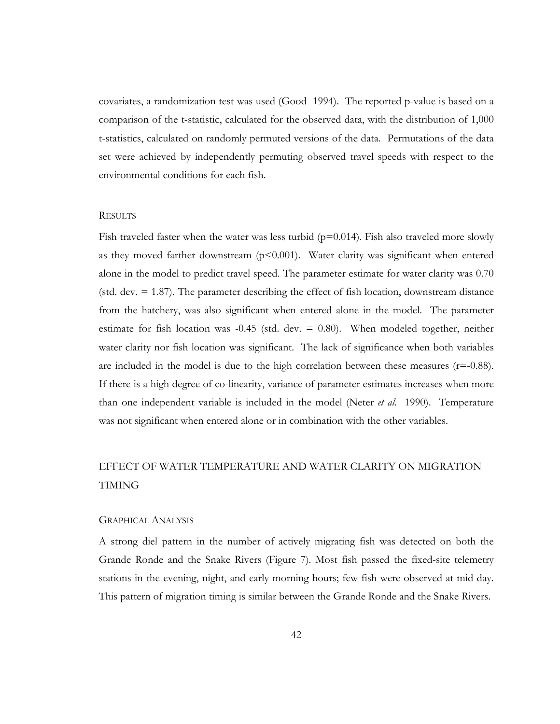covariates, a randomization test was used (Good 1994). The reported p-value is based on a comparison of the t-statistic, calculated for the observed data, with the distribution of 1,000 t-statistics, calculated on randomly permuted versions of the data. Permutations of the data set were achieved by independently permuting observed travel speeds with respect to the environmental conditions for each fish.

## **RESULTS**

Fish traveled faster when the water was less turbid ( $p=0.014$ ). Fish also traveled more slowly as they moved farther downstream  $(p<0.001)$ . Water clarity was significant when entered alone in the model to predict travel speed. The parameter estimate for water clarity was 0.70 (std. dev.  $= 1.87$ ). The parameter describing the effect of fish location, downstream distance from the hatchery, was also significant when entered alone in the model. The parameter estimate for fish location was  $-0.45$  (std. dev.  $= 0.80$ ). When modeled together, neither water clarity nor fish location was significant. The lack of significance when both variables are included in the model is due to the high correlation between these measures  $(r=-0.88)$ . If there is a high degree of co-linearity, variance of parameter estimates increases when more than one independent variable is included in the model (Neter *et al.* 1990). Temperature was not significant when entered alone or in combination with the other variables.

# EFFECT OF WATER TEMPERATURE AND WATER CLARITY ON MIGRATION TIMING

## GRAPHICAL ANALYSIS

A strong diel pattern in the number of actively migrating fish was detected on both the Grande Ronde and the Snake Rivers (Figure 7). Most fish passed the fixed-site telemetry stations in the evening, night, and early morning hours; few fish were observed at mid-day. This pattern of migration timing is similar between the Grande Ronde and the Snake Rivers.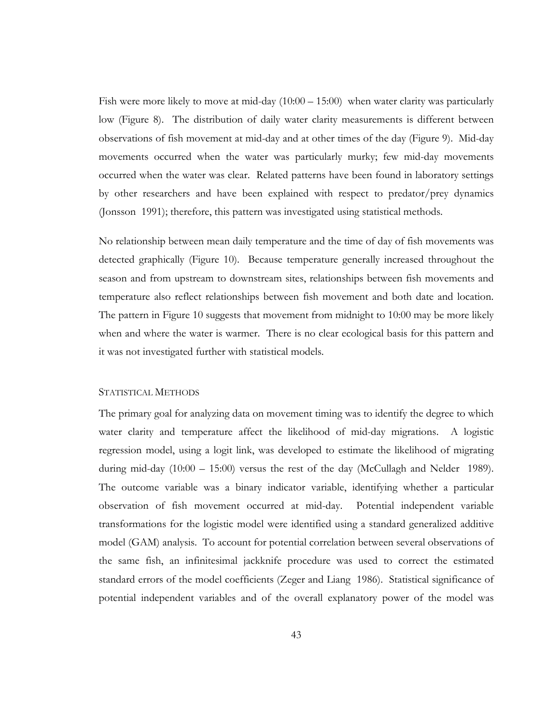Fish were more likely to move at mid-day  $(10:00 - 15:00)$  when water clarity was particularly low (Figure 8). The distribution of daily water clarity measurements is different between observations of fish movement at mid-day and at other times of the day (Figure 9). Mid-day movements occurred when the water was particularly murky; few mid-day movements occurred when the water was clear. Related patterns have been found in laboratory settings by other researchers and have been explained with respect to predator/prey dynamics (Jonsson 1991); therefore, this pattern was investigated using statistical methods.

No relationship between mean daily temperature and the time of day of fish movements was detected graphically (Figure 10). Because temperature generally increased throughout the season and from upstream to downstream sites, relationships between fish movements and temperature also reflect relationships between fish movement and both date and location. The pattern in Figure 10 suggests that movement from midnight to 10:00 may be more likely when and where the water is warmer. There is no clear ecological basis for this pattern and it was not investigated further with statistical models.

## STATISTICAL METHODS

The primary goal for analyzing data on movement timing was to identify the degree to which water clarity and temperature affect the likelihood of mid-day migrations. A logistic regression model, using a logit link, was developed to estimate the likelihood of migrating during mid-day  $(10:00 - 15:00)$  versus the rest of the day (McCullagh and Nelder 1989). The outcome variable was a binary indicator variable, identifying whether a particular observation of fish movement occurred at mid-day. Potential independent variable transformations for the logistic model were identified using a standard generalized additive model (GAM) analysis. To account for potential correlation between several observations of the same fish, an infinitesimal jackknife procedure was used to correct the estimated standard errors of the model coefficients (Zeger and Liang 1986). Statistical significance of potential independent variables and of the overall explanatory power of the model was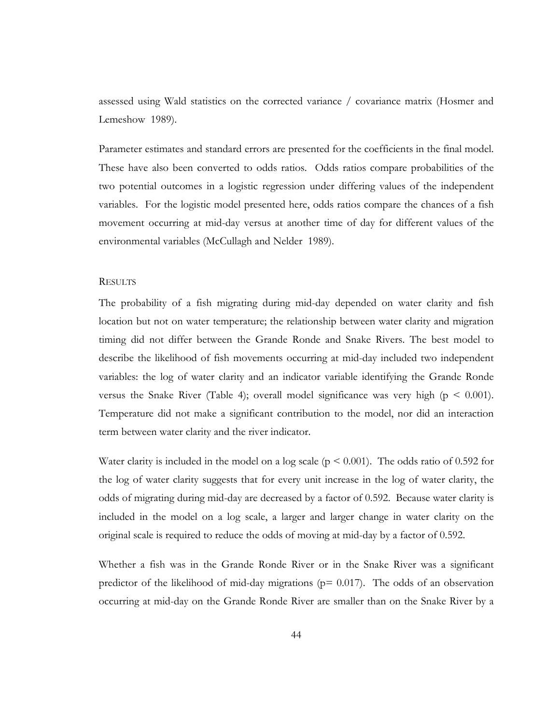assessed using Wald statistics on the corrected variance / covariance matrix (Hosmer and Lemeshow 1989).

Parameter estimates and standard errors are presented for the coefficients in the final model. These have also been converted to odds ratios. Odds ratios compare probabilities of the two potential outcomes in a logistic regression under differing values of the independent variables. For the logistic model presented here, odds ratios compare the chances of a fish movement occurring at mid-day versus at another time of day for different values of the environmental variables (McCullagh and Nelder 1989).

## **RESULTS**

The probability of a fish migrating during mid-day depended on water clarity and fish location but not on water temperature; the relationship between water clarity and migration timing did not differ between the Grande Ronde and Snake Rivers. The best model to describe the likelihood of fish movements occurring at mid-day included two independent variables: the log of water clarity and an indicator variable identifying the Grande Ronde versus the Snake River (Table 4); overall model significance was very high ( $p \le 0.001$ ). Temperature did not make a significant contribution to the model, nor did an interaction term between water clarity and the river indicator.

Water clarity is included in the model on a log scale ( $p \le 0.001$ ). The odds ratio of 0.592 for the log of water clarity suggests that for every unit increase in the log of water clarity, the odds of migrating during mid-day are decreased by a factor of 0.592. Because water clarity is included in the model on a log scale, a larger and larger change in water clarity on the original scale is required to reduce the odds of moving at mid-day by a factor of 0.592.

Whether a fish was in the Grande Ronde River or in the Snake River was a significant predictor of the likelihood of mid-day migrations ( $p= 0.017$ ). The odds of an observation occurring at mid-day on the Grande Ronde River are smaller than on the Snake River by a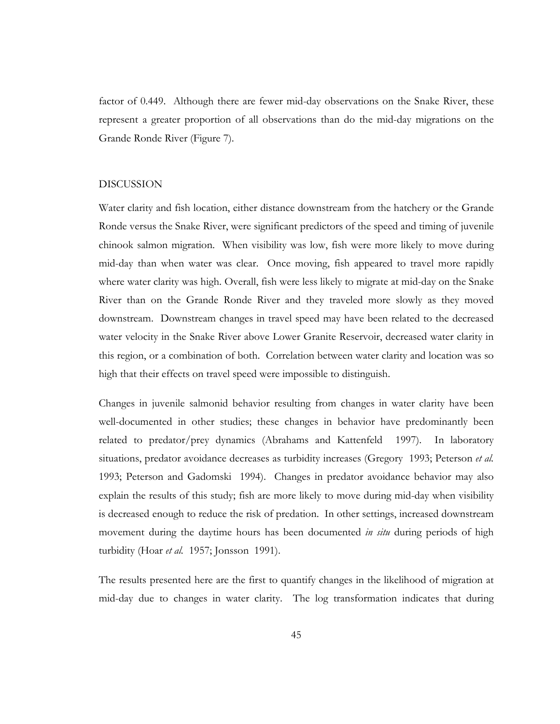factor of 0.449. Although there are fewer mid-day observations on the Snake River, these represent a greater proportion of all observations than do the mid-day migrations on the Grande Ronde River (Figure 7).

## DISCUSSION

Water clarity and fish location, either distance downstream from the hatchery or the Grande Ronde versus the Snake River, were significant predictors of the speed and timing of juvenile chinook salmon migration. When visibility was low, fish were more likely to move during mid-day than when water was clear. Once moving, fish appeared to travel more rapidly where water clarity was high. Overall, fish were less likely to migrate at mid-day on the Snake River than on the Grande Ronde River and they traveled more slowly as they moved downstream. Downstream changes in travel speed may have been related to the decreased water velocity in the Snake River above Lower Granite Reservoir, decreased water clarity in this region, or a combination of both. Correlation between water clarity and location was so high that their effects on travel speed were impossible to distinguish.

Changes in juvenile salmonid behavior resulting from changes in water clarity have been well-documented in other studies; these changes in behavior have predominantly been related to predator/prey dynamics (Abrahams and Kattenfeld 1997). In laboratory situations, predator avoidance decreases as turbidity increases (Gregory 1993; Peterson *et al.* 1993; Peterson and Gadomski 1994). Changes in predator avoidance behavior may also explain the results of this study; fish are more likely to move during mid-day when visibility is decreased enough to reduce the risk of predation. In other settings, increased downstream movement during the daytime hours has been documented *in situ* during periods of high turbidity (Hoar *et al.* 1957; Jonsson 1991).

The results presented here are the first to quantify changes in the likelihood of migration at mid-day due to changes in water clarity. The log transformation indicates that during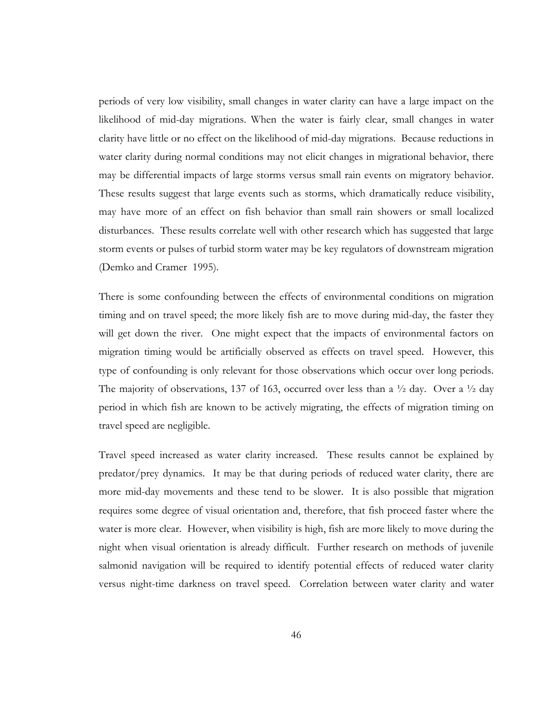periods of very low visibility, small changes in water clarity can have a large impact on the likelihood of mid-day migrations. When the water is fairly clear, small changes in water clarity have little or no effect on the likelihood of mid-day migrations. Because reductions in water clarity during normal conditions may not elicit changes in migrational behavior, there may be differential impacts of large storms versus small rain events on migratory behavior. These results suggest that large events such as storms, which dramatically reduce visibility, may have more of an effect on fish behavior than small rain showers or small localized disturbances. These results correlate well with other research which has suggested that large storm events or pulses of turbid storm water may be key regulators of downstream migration (Demko and Cramer 1995).

There is some confounding between the effects of environmental conditions on migration timing and on travel speed; the more likely fish are to move during mid-day, the faster they will get down the river. One might expect that the impacts of environmental factors on migration timing would be artificially observed as effects on travel speed. However, this type of confounding is only relevant for those observations which occur over long periods. The majority of observations, 137 of 163, occurred over less than a  $\frac{1}{2}$  day. Over a  $\frac{1}{2}$  day period in which fish are known to be actively migrating, the effects of migration timing on travel speed are negligible.

Travel speed increased as water clarity increased. These results cannot be explained by predator/prey dynamics. It may be that during periods of reduced water clarity, there are more mid-day movements and these tend to be slower. It is also possible that migration requires some degree of visual orientation and, therefore, that fish proceed faster where the water is more clear. However, when visibility is high, fish are more likely to move during the night when visual orientation is already difficult. Further research on methods of juvenile salmonid navigation will be required to identify potential effects of reduced water clarity versus night-time darkness on travel speed. Correlation between water clarity and water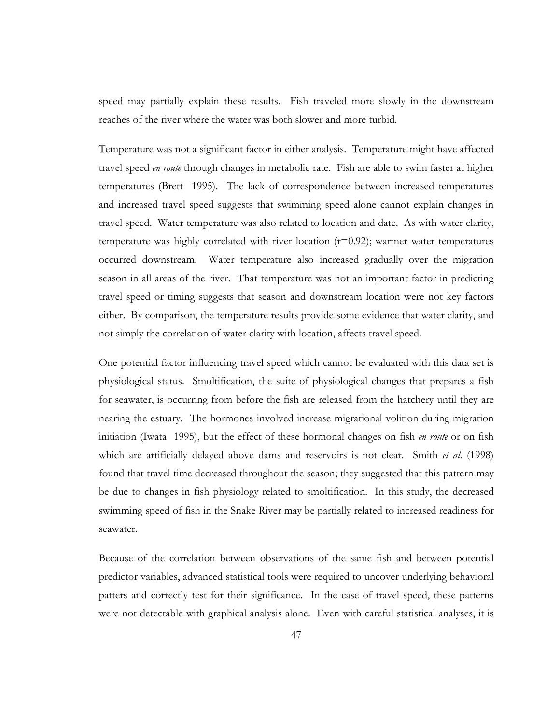speed may partially explain these results. Fish traveled more slowly in the downstream reaches of the river where the water was both slower and more turbid.

Temperature was not a significant factor in either analysis. Temperature might have affected travel speed *en route* through changes in metabolic rate. Fish are able to swim faster at higher temperatures (Brett 1995). The lack of correspondence between increased temperatures and increased travel speed suggests that swimming speed alone cannot explain changes in travel speed. Water temperature was also related to location and date. As with water clarity, temperature was highly correlated with river location  $(r=0.92)$ ; warmer water temperatures occurred downstream. Water temperature also increased gradually over the migration season in all areas of the river. That temperature was not an important factor in predicting travel speed or timing suggests that season and downstream location were not key factors either. By comparison, the temperature results provide some evidence that water clarity, and not simply the correlation of water clarity with location, affects travel speed.

One potential factor influencing travel speed which cannot be evaluated with this data set is physiological status. Smoltification, the suite of physiological changes that prepares a fish for seawater, is occurring from before the fish are released from the hatchery until they are nearing the estuary. The hormones involved increase migrational volition during migration initiation (Iwata 1995), but the effect of these hormonal changes on fish *en route* or on fish which are artificially delayed above dams and reservoirs is not clear. Smith *et al*. (1998) found that travel time decreased throughout the season; they suggested that this pattern may be due to changes in fish physiology related to smoltification. In this study, the decreased swimming speed of fish in the Snake River may be partially related to increased readiness for seawater.

Because of the correlation between observations of the same fish and between potential predictor variables, advanced statistical tools were required to uncover underlying behavioral patters and correctly test for their significance. In the case of travel speed, these patterns were not detectable with graphical analysis alone. Even with careful statistical analyses, it is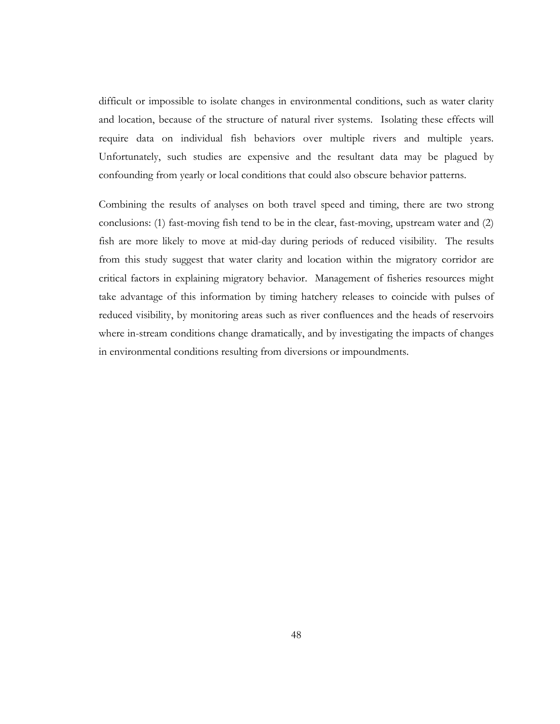difficult or impossible to isolate changes in environmental conditions, such as water clarity and location, because of the structure of natural river systems. Isolating these effects will require data on individual fish behaviors over multiple rivers and multiple years. Unfortunately, such studies are expensive and the resultant data may be plagued by confounding from yearly or local conditions that could also obscure behavior patterns.

Combining the results of analyses on both travel speed and timing, there are two strong conclusions: (1) fast-moving fish tend to be in the clear, fast-moving, upstream water and (2) fish are more likely to move at mid-day during periods of reduced visibility. The results from this study suggest that water clarity and location within the migratory corridor are critical factors in explaining migratory behavior. Management of fisheries resources might take advantage of this information by timing hatchery releases to coincide with pulses of reduced visibility, by monitoring areas such as river confluences and the heads of reservoirs where in-stream conditions change dramatically, and by investigating the impacts of changes in environmental conditions resulting from diversions or impoundments.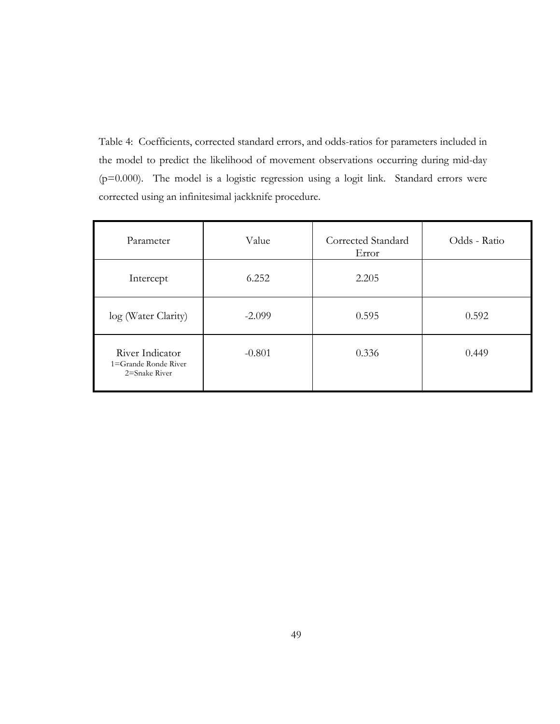Table 4: Coefficients, corrected standard errors, and odds-ratios for parameters included in the model to predict the likelihood of movement observations occurring during mid-day (p=0.000). The model is a logistic regression using a logit link. Standard errors were corrected using an infinitesimal jackknife procedure.

| Parameter                                                | Value    | Corrected Standard<br>Error | Odds - Ratio |  |
|----------------------------------------------------------|----------|-----------------------------|--------------|--|
| Intercept                                                | 6.252    | 2.205                       |              |  |
| log (Water Clarity)                                      | $-2.099$ | 0.595                       | 0.592        |  |
| River Indicator<br>1=Grande Ronde River<br>2=Snake River | $-0.801$ | 0.336                       | 0.449        |  |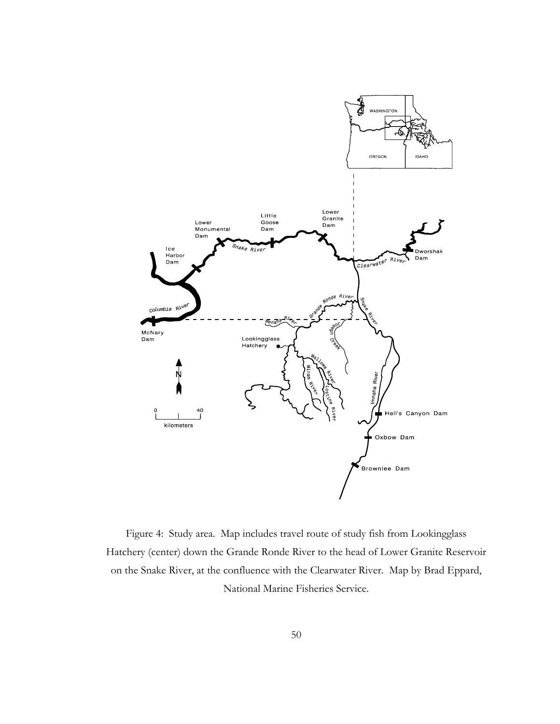

Figure 4: Study area. Map includes travel route of study fish from Lookingglass Hatchery (center) down the Grande Ronde River to the head of Lower Granite Reservoir on the Snake River, at the confluence with the Clearwater River. Map by Brad Eppard, National Marine Fisheries Service.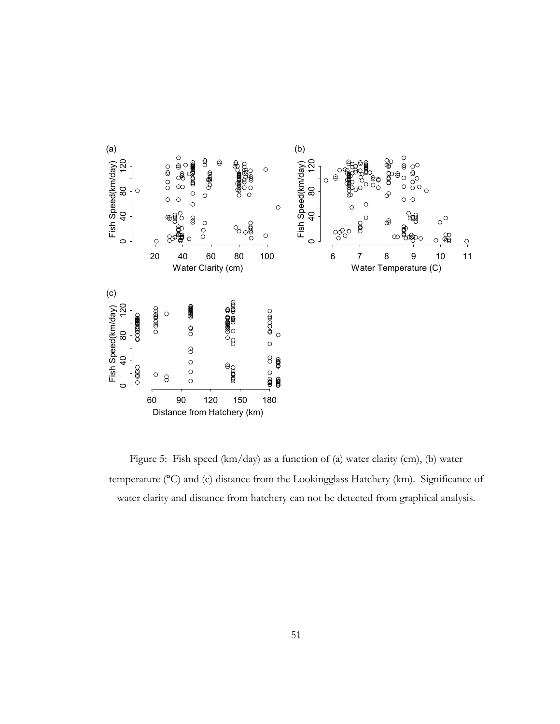

Figure 5: Fish speed (km/day) as a function of (a) water clarity (cm), (b) water temperature (°C) and (c) distance from the Lookingglass Hatchery (km). Significance of water clarity and distance from hatchery can not be detected from graphical analysis.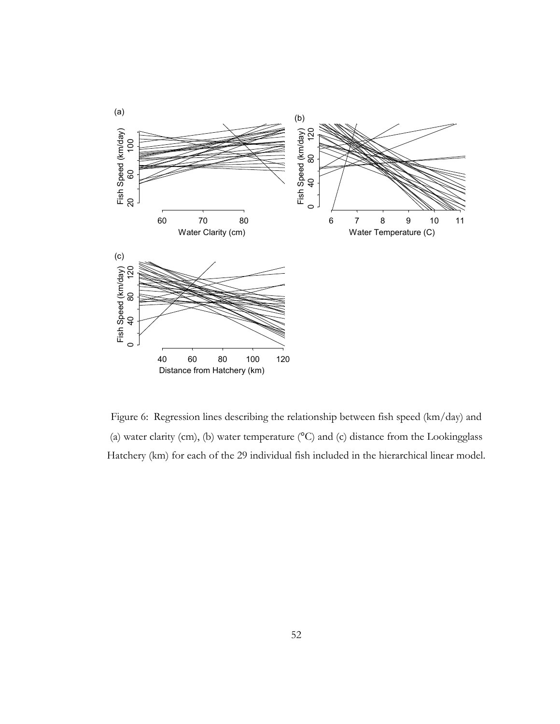

Figure 6: Regression lines describing the relationship between fish speed (km/day) and (a) water clarity (cm), (b) water temperature  $(°C)$  and (c) distance from the Lookingglass Hatchery (km) for each of the 29 individual fish included in the hierarchical linear model.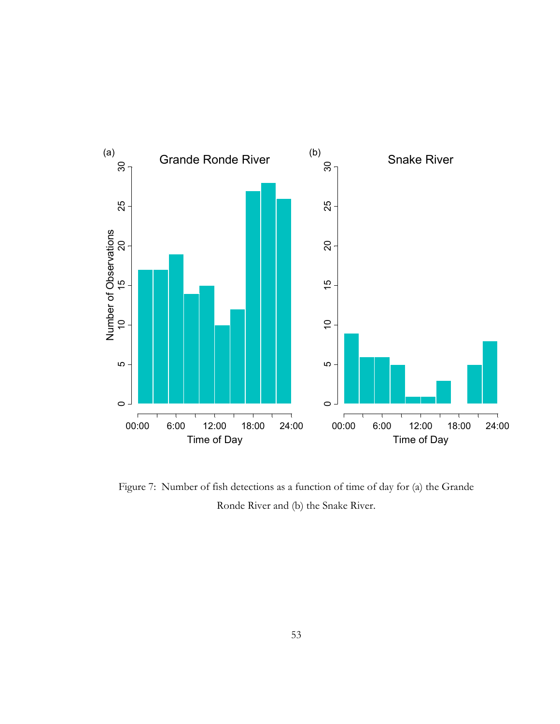

Figure 7: Number of fish detections as a function of time of day for (a) the Grande Ronde River and (b) the Snake River.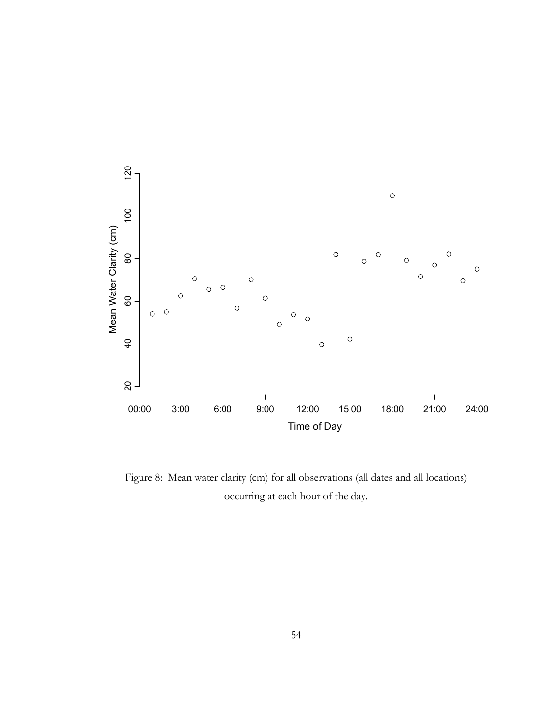

Figure 8: Mean water clarity (cm) for all observations (all dates and all locations) occurring at each hour of the day.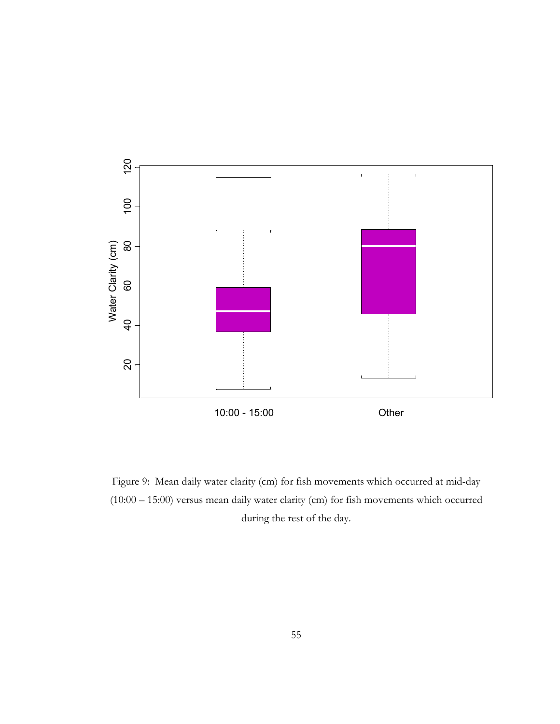

Figure 9: Mean daily water clarity (cm) for fish movements which occurred at mid-day (10:00 – 15:00) versus mean daily water clarity (cm) for fish movements which occurred during the rest of the day.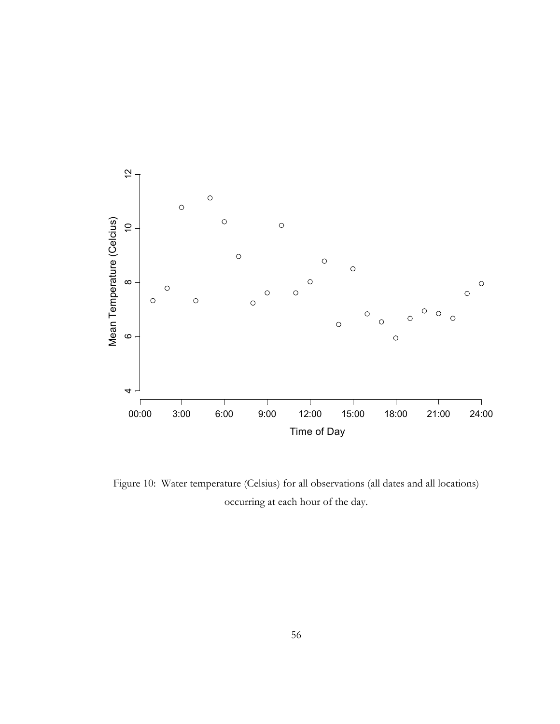

Figure 10: Water temperature (Celsius) for all observations (all dates and all locations) occurring at each hour of the day.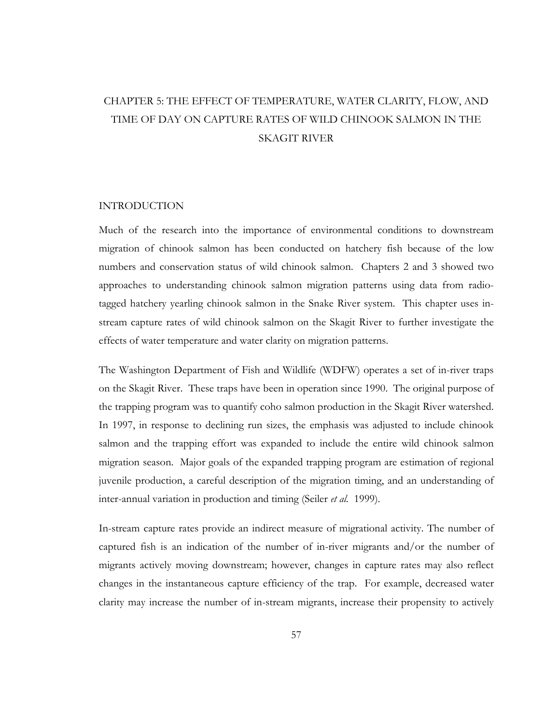# CHAPTER 5: THE EFFECT OF TEMPERATURE, WATER CLARITY, FLOW, AND TIME OF DAY ON CAPTURE RATES OF WILD CHINOOK SALMON IN THE SKAGIT RIVER

## INTRODUCTION

Much of the research into the importance of environmental conditions to downstream migration of chinook salmon has been conducted on hatchery fish because of the low numbers and conservation status of wild chinook salmon. Chapters 2 and 3 showed two approaches to understanding chinook salmon migration patterns using data from radiotagged hatchery yearling chinook salmon in the Snake River system. This chapter uses instream capture rates of wild chinook salmon on the Skagit River to further investigate the effects of water temperature and water clarity on migration patterns.

The Washington Department of Fish and Wildlife (WDFW) operates a set of in-river traps on the Skagit River. These traps have been in operation since 1990. The original purpose of the trapping program was to quantify coho salmon production in the Skagit River watershed. In 1997, in response to declining run sizes, the emphasis was adjusted to include chinook salmon and the trapping effort was expanded to include the entire wild chinook salmon migration season. Major goals of the expanded trapping program are estimation of regional juvenile production, a careful description of the migration timing, and an understanding of inter-annual variation in production and timing (Seiler *et al.* 1999).

In-stream capture rates provide an indirect measure of migrational activity. The number of captured fish is an indication of the number of in-river migrants and/or the number of migrants actively moving downstream; however, changes in capture rates may also reflect changes in the instantaneous capture efficiency of the trap. For example, decreased water clarity may increase the number of in-stream migrants, increase their propensity to actively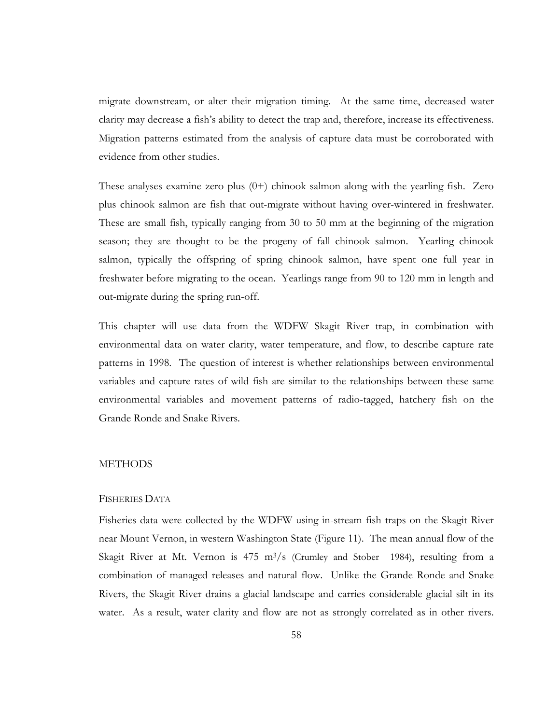migrate downstream, or alter their migration timing. At the same time, decreased water clarity may decrease a fish's ability to detect the trap and, therefore, increase its effectiveness. Migration patterns estimated from the analysis of capture data must be corroborated with evidence from other studies.

These analyses examine zero plus (0+) chinook salmon along with the yearling fish. Zero plus chinook salmon are fish that out-migrate without having over-wintered in freshwater. These are small fish, typically ranging from 30 to 50 mm at the beginning of the migration season; they are thought to be the progeny of fall chinook salmon. Yearling chinook salmon, typically the offspring of spring chinook salmon, have spent one full year in freshwater before migrating to the ocean. Yearlings range from 90 to 120 mm in length and out-migrate during the spring run-off.

This chapter will use data from the WDFW Skagit River trap, in combination with environmental data on water clarity, water temperature, and flow, to describe capture rate patterns in 1998. The question of interest is whether relationships between environmental variables and capture rates of wild fish are similar to the relationships between these same environmental variables and movement patterns of radio-tagged, hatchery fish on the Grande Ronde and Snake Rivers.

#### METHODS

#### FISHERIES DATA

Fisheries data were collected by the WDFW using in-stream fish traps on the Skagit River near Mount Vernon, in western Washington State (Figure 11). The mean annual flow of the Skagit River at Mt. Vernon is  $475 \text{ m}^3/\text{s}$  (Crumley and Stober 1984), resulting from a combination of managed releases and natural flow. Unlike the Grande Ronde and Snake Rivers, the Skagit River drains a glacial landscape and carries considerable glacial silt in its water. As a result, water clarity and flow are not as strongly correlated as in other rivers.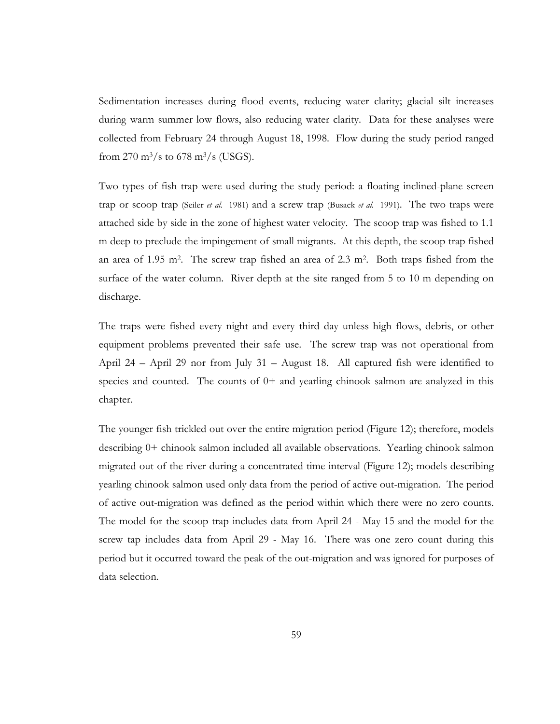Sedimentation increases during flood events, reducing water clarity; glacial silt increases during warm summer low flows, also reducing water clarity. Data for these analyses were collected from February 24 through August 18, 1998. Flow during the study period ranged from 270  $\rm m^3/s$  to 678  $\rm m^3/s$  (USGS).

Two types of fish trap were used during the study period: a floating inclined-plane screen trap or scoop trap (Seiler *et al.* 1981) and a screw trap (Busack *et al.* 1991). The two traps were attached side by side in the zone of highest water velocity. The scoop trap was fished to 1.1 m deep to preclude the impingement of small migrants. At this depth, the scoop trap fished an area of 1.95 m<sup>2</sup>. The screw trap fished an area of 2.3 m<sup>2</sup>. Both traps fished from the surface of the water column. River depth at the site ranged from 5 to 10 m depending on discharge.

The traps were fished every night and every third day unless high flows, debris, or other equipment problems prevented their safe use. The screw trap was not operational from April 24 – April 29 nor from July 31 – August 18. All captured fish were identified to species and counted. The counts of  $0+$  and yearling chinook salmon are analyzed in this chapter.

The younger fish trickled out over the entire migration period (Figure 12); therefore, models describing 0+ chinook salmon included all available observations. Yearling chinook salmon migrated out of the river during a concentrated time interval (Figure 12); models describing yearling chinook salmon used only data from the period of active out-migration. The period of active out-migration was defined as the period within which there were no zero counts. The model for the scoop trap includes data from April 24 - May 15 and the model for the screw tap includes data from April 29 - May 16. There was one zero count during this period but it occurred toward the peak of the out-migration and was ignored for purposes of data selection.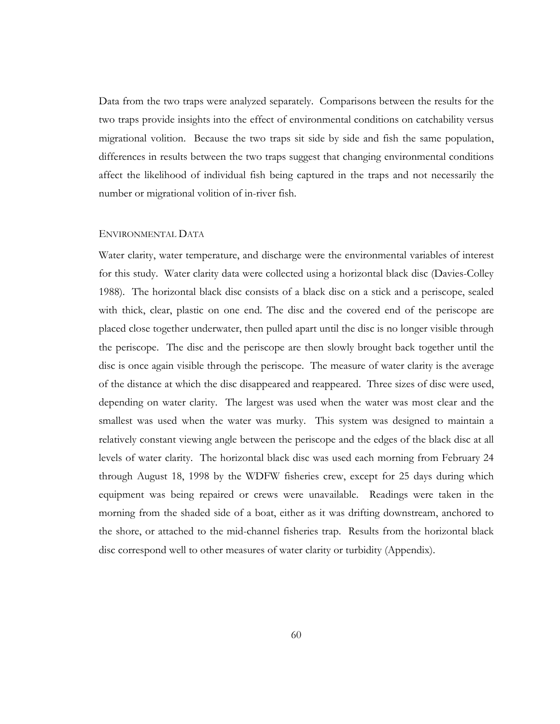Data from the two traps were analyzed separately. Comparisons between the results for the two traps provide insights into the effect of environmental conditions on catchability versus migrational volition. Because the two traps sit side by side and fish the same population, differences in results between the two traps suggest that changing environmental conditions affect the likelihood of individual fish being captured in the traps and not necessarily the number or migrational volition of in-river fish.

#### ENVIRONMENTAL DATA

Water clarity, water temperature, and discharge were the environmental variables of interest for this study. Water clarity data were collected using a horizontal black disc (Davies-Colley 1988). The horizontal black disc consists of a black disc on a stick and a periscope, sealed with thick, clear, plastic on one end. The disc and the covered end of the periscope are placed close together underwater, then pulled apart until the disc is no longer visible through the periscope. The disc and the periscope are then slowly brought back together until the disc is once again visible through the periscope. The measure of water clarity is the average of the distance at which the disc disappeared and reappeared. Three sizes of disc were used, depending on water clarity. The largest was used when the water was most clear and the smallest was used when the water was murky. This system was designed to maintain a relatively constant viewing angle between the periscope and the edges of the black disc at all levels of water clarity. The horizontal black disc was used each morning from February 24 through August 18, 1998 by the WDFW fisheries crew, except for 25 days during which equipment was being repaired or crews were unavailable. Readings were taken in the morning from the shaded side of a boat, either as it was drifting downstream, anchored to the shore, or attached to the mid-channel fisheries trap. Results from the horizontal black disc correspond well to other measures of water clarity or turbidity (Appendix).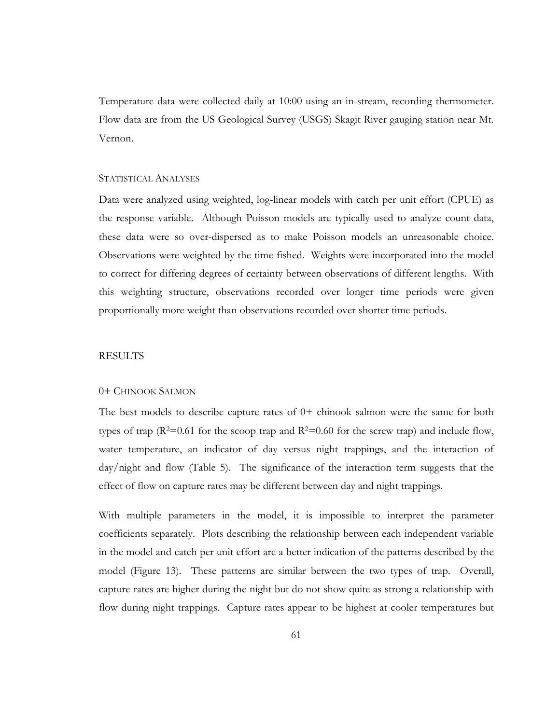Temperature data were collected daily at 10:00 using an in-stream, recording thermometer. Flow data are from the US Geological Survey (USGS) Skagit River gauging station near Mt. Vernon.

#### STATISTICAL ANALYSES

Data were analyzed using weighted, log-linear models with catch per unit effort (CPUE) as the response variable. Although Poisson models are typically used to analyze count data, these data were so over-dispersed as to make Poisson models an unreasonable choice. Observations were weighted by the time fished. Weights were incorporated into the model to correct for differing degrees of certainty between observations of different lengths. With this weighting structure, observations recorded over longer time periods were given proportionally more weight than observations recorded over shorter time periods.

#### RESULTS

#### 0+ CHINOOK SALMON

The best models to describe capture rates of 0+ chinook salmon were the same for both types of trap ( $R^2=0.61$  for the scoop trap and  $R^2=0.60$  for the screw trap) and include flow, water temperature, an indicator of day versus night trappings, and the interaction of day/night and flow (Table 5). The significance of the interaction term suggests that the effect of flow on capture rates may be different between day and night trappings.

With multiple parameters in the model, it is impossible to interpret the parameter coefficients separately. Plots describing the relationship between each independent variable in the model and catch per unit effort are a better indication of the patterns described by the model (Figure 13). These patterns are similar between the two types of trap. Overall, capture rates are higher during the night but do not show quite as strong a relationship with flow during night trappings. Capture rates appear to be highest at cooler temperatures but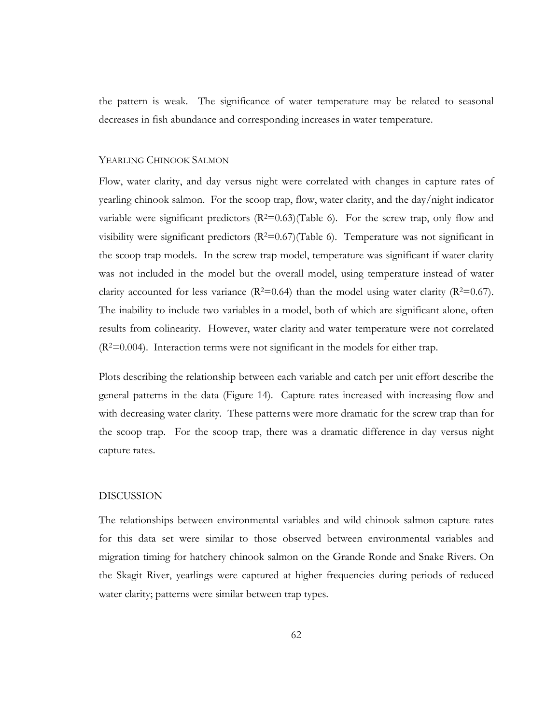the pattern is weak. The significance of water temperature may be related to seasonal decreases in fish abundance and corresponding increases in water temperature.

#### YEARLING CHINOOK SALMON

Flow, water clarity, and day versus night were correlated with changes in capture rates of yearling chinook salmon. For the scoop trap, flow, water clarity, and the day/night indicator variable were significant predictors  $(R^2=0.63)$  (Table 6). For the screw trap, only flow and visibility were significant predictors  $(R^2=0.67)(\text{Table 6})$ . Temperature was not significant in the scoop trap models. In the screw trap model, temperature was significant if water clarity was not included in the model but the overall model, using temperature instead of water clarity accounted for less variance ( $R^2=0.64$ ) than the model using water clarity ( $R^2=0.67$ ). The inability to include two variables in a model, both of which are significant alone, often results from colinearity. However, water clarity and water temperature were not correlated  $(R^2=0.004)$ . Interaction terms were not significant in the models for either trap.

Plots describing the relationship between each variable and catch per unit effort describe the general patterns in the data (Figure 14). Capture rates increased with increasing flow and with decreasing water clarity. These patterns were more dramatic for the screw trap than for the scoop trap. For the scoop trap, there was a dramatic difference in day versus night capture rates.

#### DISCUSSION

The relationships between environmental variables and wild chinook salmon capture rates for this data set were similar to those observed between environmental variables and migration timing for hatchery chinook salmon on the Grande Ronde and Snake Rivers. On the Skagit River, yearlings were captured at higher frequencies during periods of reduced water clarity; patterns were similar between trap types.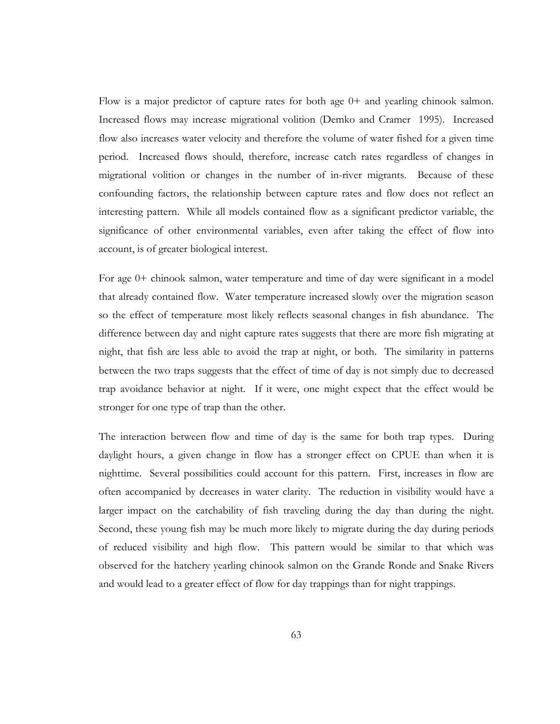Flow is a major predictor of capture rates for both age 0+ and yearling chinook salmon. Increased flows may increase migrational volition (Demko and Cramer 1995). Increased flow also increases water velocity and therefore the volume of water fished for a given time period. Increased flows should, therefore, increase catch rates regardless of changes in migrational volition or changes in the number of in-river migrants. Because of these confounding factors, the relationship between capture rates and flow does not reflect an interesting pattern. While all models contained flow as a significant predictor variable, the significance of other environmental variables, even after taking the effect of flow into account, is of greater biological interest.

For age 0+ chinook salmon, water temperature and time of day were significant in a model that already contained flow. Water temperature increased slowly over the migration season so the effect of temperature most likely reflects seasonal changes in fish abundance. The difference between day and night capture rates suggests that there are more fish migrating at night, that fish are less able to avoid the trap at night, or both. The similarity in patterns between the two traps suggests that the effect of time of day is not simply due to decreased trap avoidance behavior at night. If it were, one might expect that the effect would be stronger for one type of trap than the other.

The interaction between flow and time of day is the same for both trap types. During daylight hours, a given change in flow has a stronger effect on CPUE than when it is nighttime. Several possibilities could account for this pattern. First, increases in flow are often accompanied by decreases in water clarity. The reduction in visibility would have a larger impact on the catchability of fish traveling during the day than during the night. Second, these young fish may be much more likely to migrate during the day during periods of reduced visibility and high flow. This pattern would be similar to that which was observed for the hatchery yearling chinook salmon on the Grande Ronde and Snake Rivers and would lead to a greater effect of flow for day trappings than for night trappings.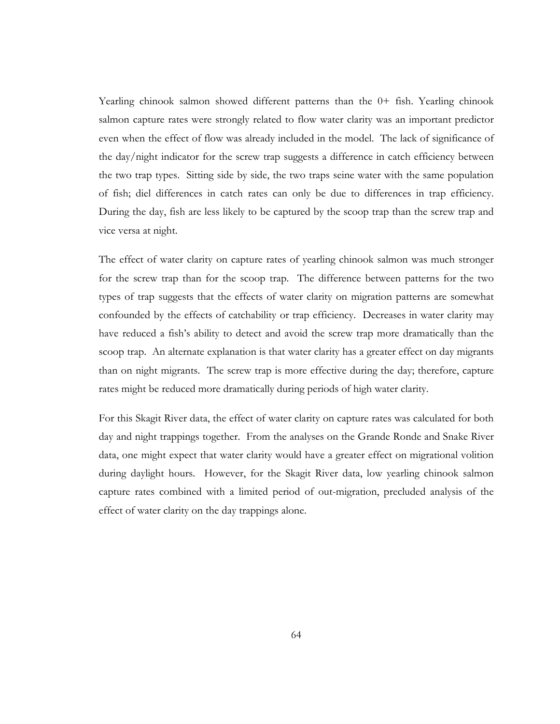Yearling chinook salmon showed different patterns than the 0+ fish. Yearling chinook salmon capture rates were strongly related to flow water clarity was an important predictor even when the effect of flow was already included in the model. The lack of significance of the day/night indicator for the screw trap suggests a difference in catch efficiency between the two trap types. Sitting side by side, the two traps seine water with the same population of fish; diel differences in catch rates can only be due to differences in trap efficiency. During the day, fish are less likely to be captured by the scoop trap than the screw trap and vice versa at night.

The effect of water clarity on capture rates of yearling chinook salmon was much stronger for the screw trap than for the scoop trap. The difference between patterns for the two types of trap suggests that the effects of water clarity on migration patterns are somewhat confounded by the effects of catchability or trap efficiency. Decreases in water clarity may have reduced a fish's ability to detect and avoid the screw trap more dramatically than the scoop trap. An alternate explanation is that water clarity has a greater effect on day migrants than on night migrants. The screw trap is more effective during the day; therefore, capture rates might be reduced more dramatically during periods of high water clarity.

For this Skagit River data, the effect of water clarity on capture rates was calculated for both day and night trappings together. From the analyses on the Grande Ronde and Snake River data, one might expect that water clarity would have a greater effect on migrational volition during daylight hours. However, for the Skagit River data, low yearling chinook salmon capture rates combined with a limited period of out-migration, precluded analysis of the effect of water clarity on the day trappings alone.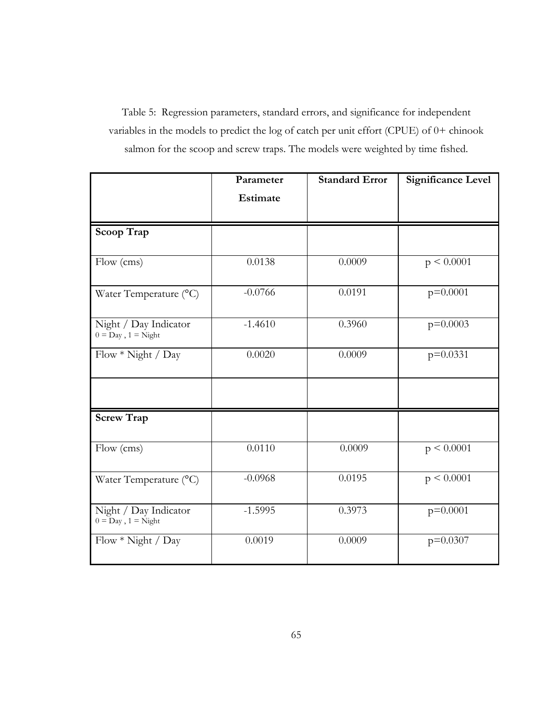Table 5: Regression parameters, standard errors, and significance for independent variables in the models to predict the log of catch per unit effort (CPUE) of 0+ chinook salmon for the scoop and screw traps. The models were weighted by time fished.

|                                               | Parameter | <b>Standard Error</b> | <b>Significance Level</b> |
|-----------------------------------------------|-----------|-----------------------|---------------------------|
|                                               | Estimate  |                       |                           |
|                                               |           |                       |                           |
| Scoop Trap                                    |           |                       |                           |
| Flow (cms)                                    | 0.0138    | 0.0009                | p < 0.0001                |
| Water Temperature (°C)                        | $-0.0766$ | 0.0191                | $p=0.0001$                |
| Night / Day Indicator<br>$0 = Day, 1 = Night$ | $-1.4610$ | 0.3960                | $p=0.0003$                |
| Flow * Night / Day                            | 0.0020    | 0.0009                | $p=0.0331$                |
|                                               |           |                       |                           |
| <b>Screw Trap</b>                             |           |                       |                           |
| Flow (cms)                                    | 0.0110    | 0.0009                | p < 0.0001                |
| Water Temperature (°C)                        | $-0.0968$ | 0.0195                | $p \le 0.0001$            |
| Night / Day Indicator<br>$0 = Day, 1 = Night$ | $-1.5995$ | 0.3973                | $p=0.0001$                |
| Flow * Night / Day                            | 0.0019    | 0.0009                | $p=0.0307$                |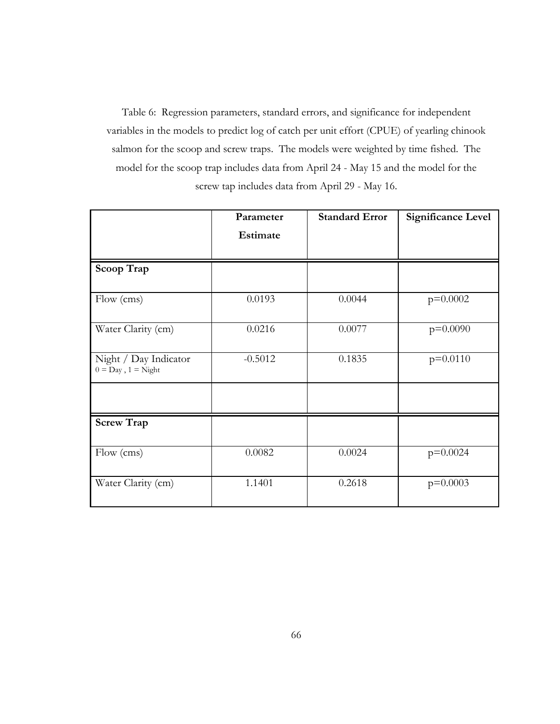Table 6: Regression parameters, standard errors, and significance for independent variables in the models to predict log of catch per unit effort (CPUE) of yearling chinook salmon for the scoop and screw traps. The models were weighted by time fished. The model for the scoop trap includes data from April 24 - May 15 and the model for the screw tap includes data from April 29 - May 16.

|                                               | Parameter | <b>Standard Error</b> | <b>Significance Level</b> |
|-----------------------------------------------|-----------|-----------------------|---------------------------|
|                                               | Estimate  |                       |                           |
|                                               |           |                       |                           |
| Scoop Trap                                    |           |                       |                           |
| Flow (cms)                                    | 0.0193    | 0.0044                | $p=0.0002$                |
| Water Clarity (cm)                            | 0.0216    | 0.0077                | $p=0.0090$                |
| Night / Day Indicator<br>$0 = Day, 1 = Night$ | $-0.5012$ | 0.1835                | $p=0.0110$                |
|                                               |           |                       |                           |
| <b>Screw Trap</b>                             |           |                       |                           |
| Flow (cms)                                    | 0.0082    | 0.0024                | $p=0.0024$                |
| Water Clarity (cm)                            | 1.1401    | 0.2618                | $p=0.0003$                |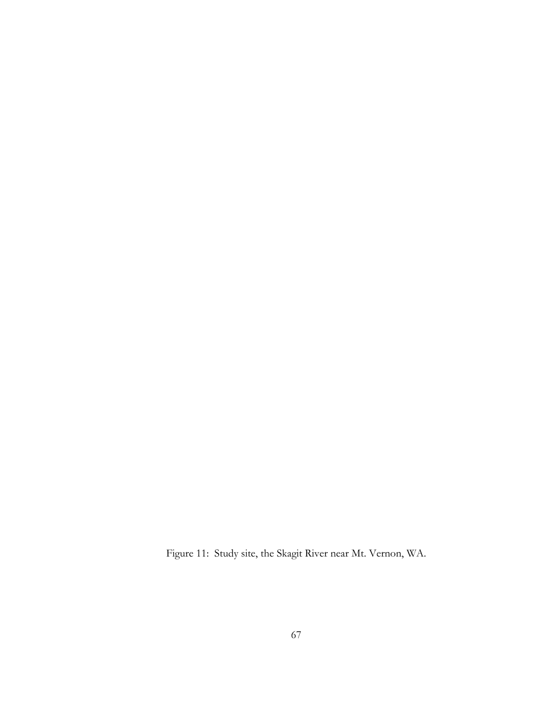Figure 11: Study site, the Skagit River near Mt. Vernon, WA.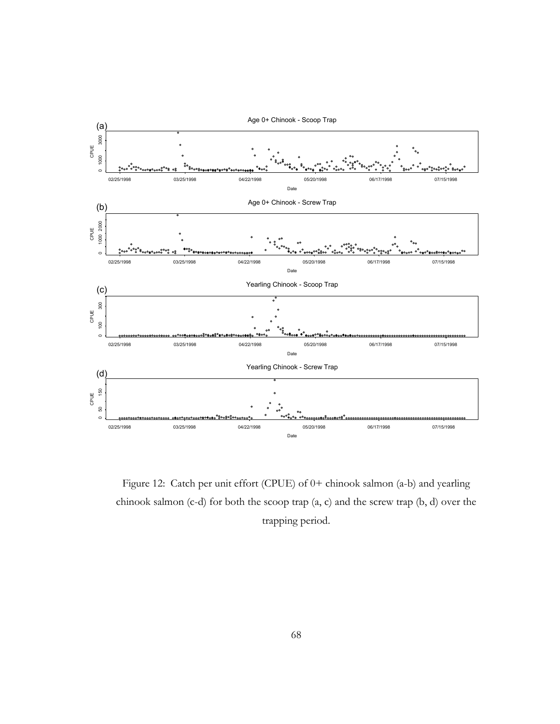

Figure 12: Catch per unit effort (CPUE) of 0+ chinook salmon (a-b) and yearling chinook salmon (c-d) for both the scoop trap (a, c) and the screw trap (b, d) over the trapping period.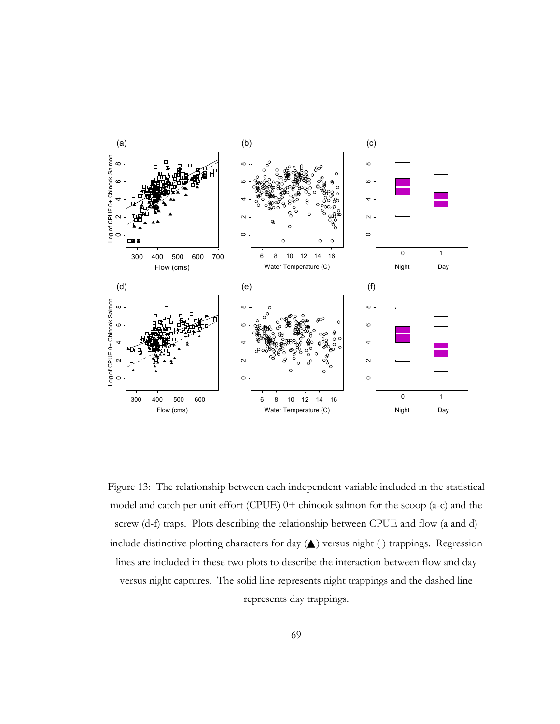

Figure 13: The relationship between each independent variable included in the statistical model and catch per unit effort (CPUE) 0+ chinook salmon for the scoop (a-c) and the screw (d-f) traps. Plots describing the relationship between CPUE and flow (a and d) include distinctive plotting characters for day (▲) versus night ( ) trappings. Regression lines are included in these two plots to describe the interaction between flow and day versus night captures. The solid line represents night trappings and the dashed line represents day trappings.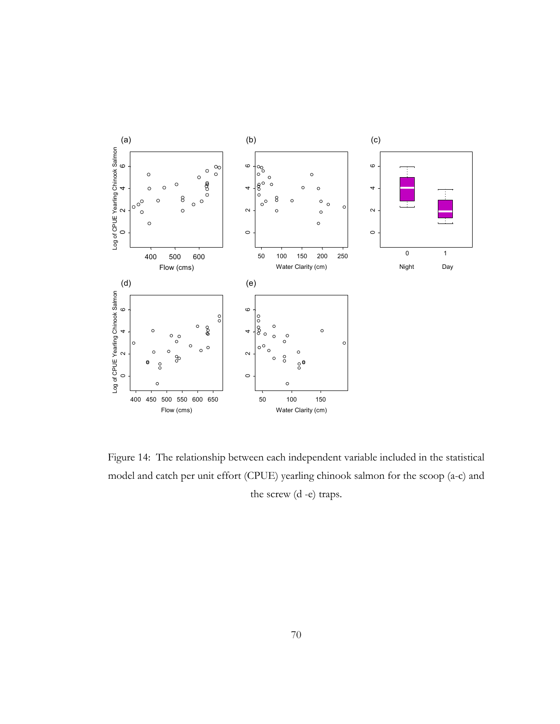

Figure 14: The relationship between each independent variable included in the statistical model and catch per unit effort (CPUE) yearling chinook salmon for the scoop (a-c) and the screw (d -e) traps.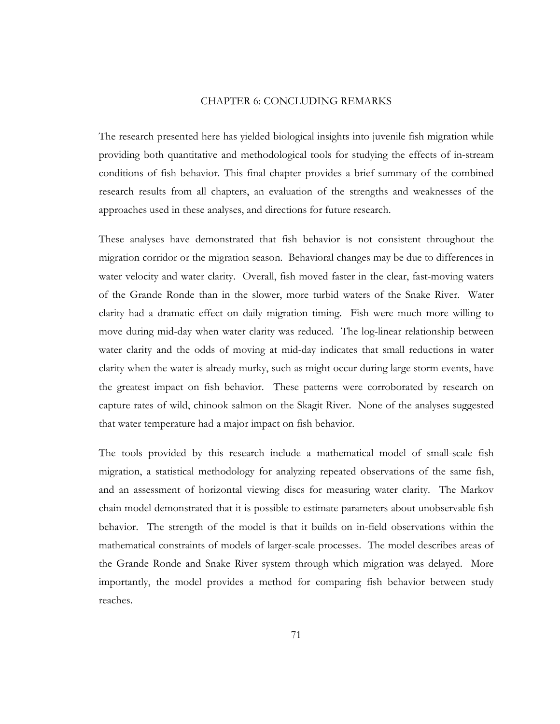#### CHAPTER 6: CONCLUDING REMARKS

The research presented here has yielded biological insights into juvenile fish migration while providing both quantitative and methodological tools for studying the effects of in-stream conditions of fish behavior. This final chapter provides a brief summary of the combined research results from all chapters, an evaluation of the strengths and weaknesses of the approaches used in these analyses, and directions for future research.

These analyses have demonstrated that fish behavior is not consistent throughout the migration corridor or the migration season. Behavioral changes may be due to differences in water velocity and water clarity. Overall, fish moved faster in the clear, fast-moving waters of the Grande Ronde than in the slower, more turbid waters of the Snake River. Water clarity had a dramatic effect on daily migration timing. Fish were much more willing to move during mid-day when water clarity was reduced. The log-linear relationship between water clarity and the odds of moving at mid-day indicates that small reductions in water clarity when the water is already murky, such as might occur during large storm events, have the greatest impact on fish behavior. These patterns were corroborated by research on capture rates of wild, chinook salmon on the Skagit River. None of the analyses suggested that water temperature had a major impact on fish behavior.

The tools provided by this research include a mathematical model of small-scale fish migration, a statistical methodology for analyzing repeated observations of the same fish, and an assessment of horizontal viewing discs for measuring water clarity. The Markov chain model demonstrated that it is possible to estimate parameters about unobservable fish behavior. The strength of the model is that it builds on in-field observations within the mathematical constraints of models of larger-scale processes. The model describes areas of the Grande Ronde and Snake River system through which migration was delayed. More importantly, the model provides a method for comparing fish behavior between study reaches.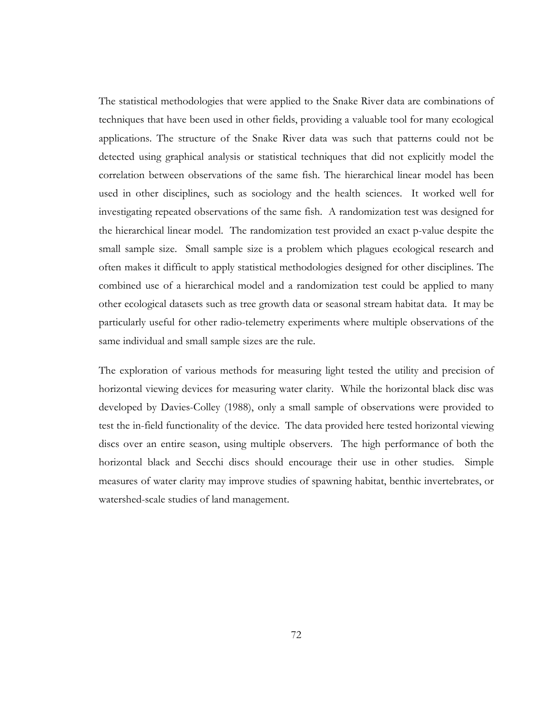The statistical methodologies that were applied to the Snake River data are combinations of techniques that have been used in other fields, providing a valuable tool for many ecological applications. The structure of the Snake River data was such that patterns could not be detected using graphical analysis or statistical techniques that did not explicitly model the correlation between observations of the same fish. The hierarchical linear model has been used in other disciplines, such as sociology and the health sciences. It worked well for investigating repeated observations of the same fish. A randomization test was designed for the hierarchical linear model. The randomization test provided an exact p-value despite the small sample size. Small sample size is a problem which plagues ecological research and often makes it difficult to apply statistical methodologies designed for other disciplines. The combined use of a hierarchical model and a randomization test could be applied to many other ecological datasets such as tree growth data or seasonal stream habitat data. It may be particularly useful for other radio-telemetry experiments where multiple observations of the same individual and small sample sizes are the rule.

The exploration of various methods for measuring light tested the utility and precision of horizontal viewing devices for measuring water clarity. While the horizontal black disc was developed by Davies-Colley (1988), only a small sample of observations were provided to test the in-field functionality of the device. The data provided here tested horizontal viewing discs over an entire season, using multiple observers. The high performance of both the horizontal black and Secchi discs should encourage their use in other studies. Simple measures of water clarity may improve studies of spawning habitat, benthic invertebrates, or watershed-scale studies of land management.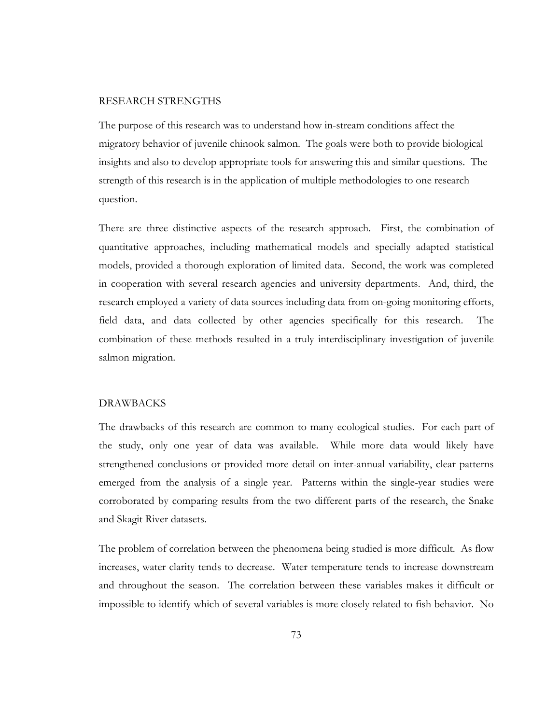#### RESEARCH STRENGTHS

The purpose of this research was to understand how in-stream conditions affect the migratory behavior of juvenile chinook salmon. The goals were both to provide biological insights and also to develop appropriate tools for answering this and similar questions. The strength of this research is in the application of multiple methodologies to one research question.

There are three distinctive aspects of the research approach. First, the combination of quantitative approaches, including mathematical models and specially adapted statistical models, provided a thorough exploration of limited data. Second, the work was completed in cooperation with several research agencies and university departments. And, third, the research employed a variety of data sources including data from on-going monitoring efforts, field data, and data collected by other agencies specifically for this research. The combination of these methods resulted in a truly interdisciplinary investigation of juvenile salmon migration.

### DRAWBACKS

The drawbacks of this research are common to many ecological studies. For each part of the study, only one year of data was available. While more data would likely have strengthened conclusions or provided more detail on inter-annual variability, clear patterns emerged from the analysis of a single year. Patterns within the single-year studies were corroborated by comparing results from the two different parts of the research, the Snake and Skagit River datasets.

The problem of correlation between the phenomena being studied is more difficult. As flow increases, water clarity tends to decrease. Water temperature tends to increase downstream and throughout the season. The correlation between these variables makes it difficult or impossible to identify which of several variables is more closely related to fish behavior. No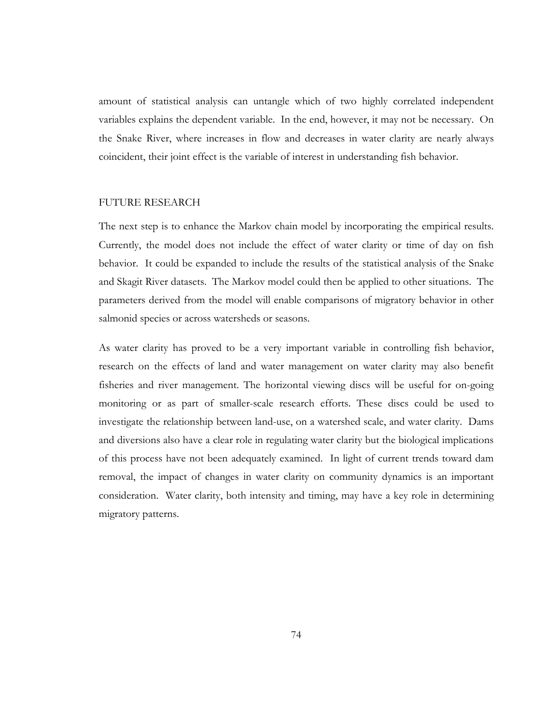amount of statistical analysis can untangle which of two highly correlated independent variables explains the dependent variable. In the end, however, it may not be necessary. On the Snake River, where increases in flow and decreases in water clarity are nearly always coincident, their joint effect is the variable of interest in understanding fish behavior.

#### FUTURE RESEARCH

The next step is to enhance the Markov chain model by incorporating the empirical results. Currently, the model does not include the effect of water clarity or time of day on fish behavior. It could be expanded to include the results of the statistical analysis of the Snake and Skagit River datasets. The Markov model could then be applied to other situations. The parameters derived from the model will enable comparisons of migratory behavior in other salmonid species or across watersheds or seasons.

As water clarity has proved to be a very important variable in controlling fish behavior, research on the effects of land and water management on water clarity may also benefit fisheries and river management. The horizontal viewing discs will be useful for on-going monitoring or as part of smaller-scale research efforts. These discs could be used to investigate the relationship between land-use, on a watershed scale, and water clarity. Dams and diversions also have a clear role in regulating water clarity but the biological implications of this process have not been adequately examined. In light of current trends toward dam removal, the impact of changes in water clarity on community dynamics is an important consideration. Water clarity, both intensity and timing, may have a key role in determining migratory patterns.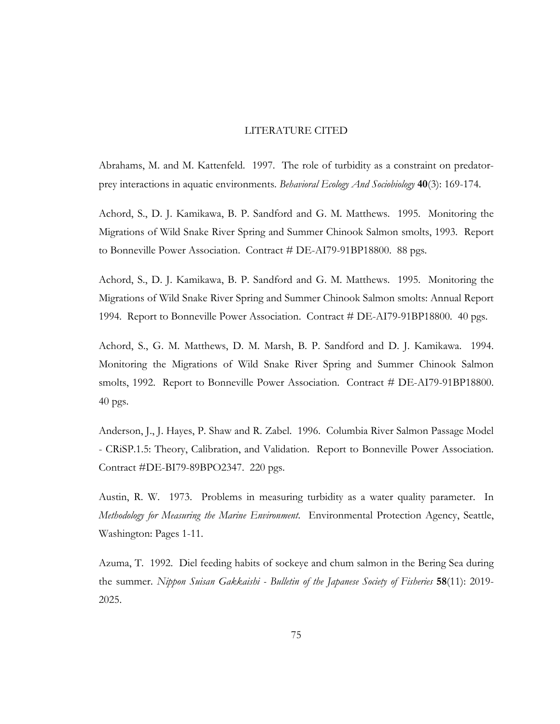#### LITERATURE CITED

Abrahams, M. and M. Kattenfeld. 1997. The role of turbidity as a constraint on predatorprey interactions in aquatic environments. *Behavioral Ecology And Sociobiology* **40**(3): 169-174.

Achord, S., D. J. Kamikawa, B. P. Sandford and G. M. Matthews. 1995. Monitoring the Migrations of Wild Snake River Spring and Summer Chinook Salmon smolts, 1993. Report to Bonneville Power Association. Contract # DE-AI79-91BP18800. 88 pgs.

Achord, S., D. J. Kamikawa, B. P. Sandford and G. M. Matthews. 1995. Monitoring the Migrations of Wild Snake River Spring and Summer Chinook Salmon smolts: Annual Report 1994. Report to Bonneville Power Association. Contract # DE-AI79-91BP18800. 40 pgs.

Achord, S., G. M. Matthews, D. M. Marsh, B. P. Sandford and D. J. Kamikawa. 1994. Monitoring the Migrations of Wild Snake River Spring and Summer Chinook Salmon smolts, 1992. Report to Bonneville Power Association. Contract # DE-AI79-91BP18800. 40 pgs.

Anderson, J., J. Hayes, P. Shaw and R. Zabel. 1996. Columbia River Salmon Passage Model - CRiSP.1.5: Theory, Calibration, and Validation. Report to Bonneville Power Association. Contract #DE-BI79-89BPO2347. 220 pgs.

Austin, R. W. 1973. Problems in measuring turbidity as a water quality parameter. In *Methodology for Measuring the Marine Environment*. Environmental Protection Agency, Seattle, Washington: Pages 1-11.

Azuma, T. 1992. Diel feeding habits of sockeye and chum salmon in the Bering Sea during the summer. *Nippon Suisan Gakkaishi - Bulletin of the Japanese Society of Fisheries* **58**(11): 2019- 2025.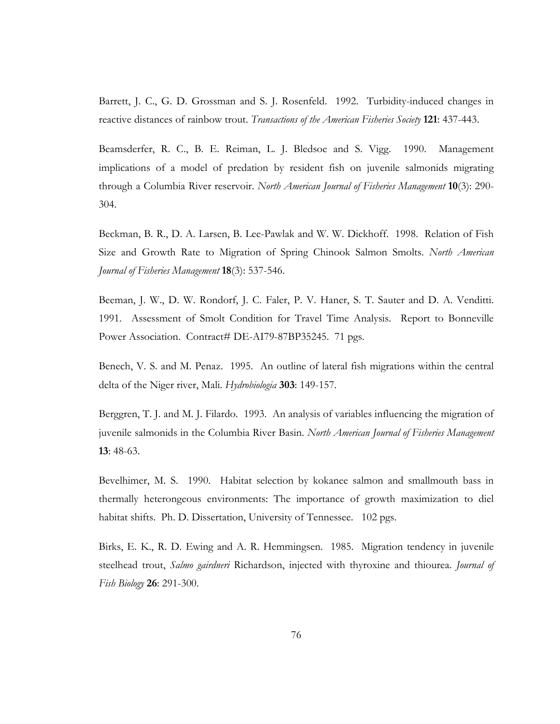Barrett, J. C., G. D. Grossman and S. J. Rosenfeld. 1992. Turbidity-induced changes in reactive distances of rainbow trout. *Transactions of the American Fisheries Society* **121**: 437-443.

Beamsderfer, R. C., B. E. Reiman, L. J. Bledsoe and S. Vigg. 1990. Management implications of a model of predation by resident fish on juvenile salmonids migrating through a Columbia River reservoir. *North American Journal of Fisheries Management* **10**(3): 290- 304.

Beckman, B. R., D. A. Larsen, B. Lee-Pawlak and W. W. Dickhoff. 1998. Relation of Fish Size and Growth Rate to Migration of Spring Chinook Salmon Smolts. *North American Journal of Fisheries Management* **18**(3): 537-546.

Beeman, J. W., D. W. Rondorf, J. C. Faler, P. V. Haner, S. T. Sauter and D. A. Venditti. 1991. Assessment of Smolt Condition for Travel Time Analysis. Report to Bonneville Power Association. Contract# DE-AI79-87BP35245. 71 pgs.

Benech, V. S. and M. Penaz. 1995. An outline of lateral fish migrations within the central delta of the Niger river, Mali. *Hydrobiologia* **303**: 149-157.

Berggren, T. J. and M. J. Filardo. 1993. An analysis of variables influencing the migration of juvenile salmonids in the Columbia River Basin. *North American Journal of Fisheries Management* **13**: 48-63.

Bevelhimer, M. S. 1990. Habitat selection by kokanee salmon and smallmouth bass in thermally heterongeous environments: The importance of growth maximization to diel habitat shifts. Ph. D. Dissertation, University of Tennessee. 102 pgs.

Birks, E. K., R. D. Ewing and A. R. Hemmingsen. 1985. Migration tendency in juvenile steelhead trout, *Salmo gairdneri* Richardson, injected with thyroxine and thiourea. *Journal of Fish Biology* **26**: 291-300.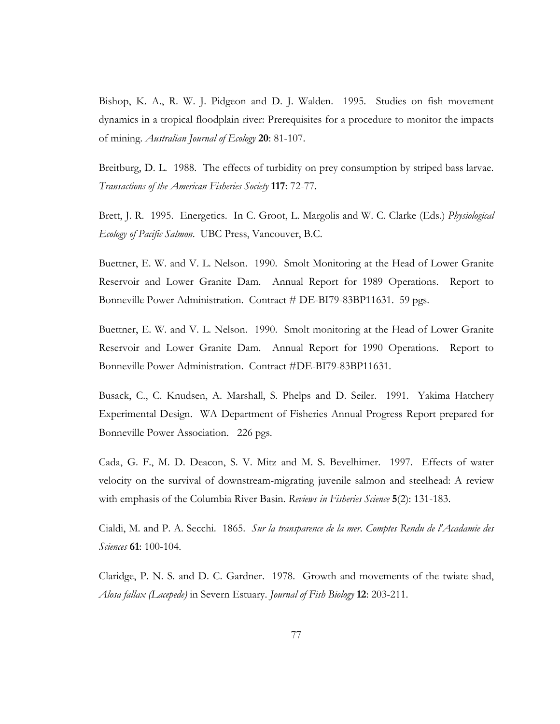Bishop, K. A., R. W. J. Pidgeon and D. J. Walden. 1995. Studies on fish movement dynamics in a tropical floodplain river: Prerequisites for a procedure to monitor the impacts of mining. *Australian Journal of Ecology* **20**: 81-107.

Breitburg, D. L. 1988. The effects of turbidity on prey consumption by striped bass larvae. *Transactions of the American Fisheries Society* **117**: 72-77.

Brett, J. R. 1995. Energetics. In C. Groot, L. Margolis and W. C. Clarke (Eds.) *Physiological Ecology of Pacific Salmon*. UBC Press, Vancouver, B.C.

Buettner, E. W. and V. L. Nelson. 1990. Smolt Monitoring at the Head of Lower Granite Reservoir and Lower Granite Dam. Annual Report for 1989 Operations. Report to Bonneville Power Administration. Contract # DE-BI79-83BP11631. 59 pgs.

Buettner, E. W. and V. L. Nelson. 1990. Smolt monitoring at the Head of Lower Granite Reservoir and Lower Granite Dam. Annual Report for 1990 Operations. Report to Bonneville Power Administration. Contract #DE-BI79-83BP11631.

Busack, C., C. Knudsen, A. Marshall, S. Phelps and D. Seiler. 1991. Yakima Hatchery Experimental Design. WA Department of Fisheries Annual Progress Report prepared for Bonneville Power Association. 226 pgs.

Cada, G. F., M. D. Deacon, S. V. Mitz and M. S. Bevelhimer. 1997. Effects of water velocity on the survival of downstream-migrating juvenile salmon and steelhead: A review with emphasis of the Columbia River Basin. *Reviews in Fisheries Science* **5**(2): 131-183.

Cialdi, M. and P. A. Secchi. 1865. *Sur la transparence de la mer*. *Comptes Rendu de l'Acadamie des Sciences* **61**: 100-104.

Claridge, P. N. S. and D. C. Gardner. 1978. Growth and movements of the twiate shad, *Alosa fallax (Lacepede)* in Severn Estuary. *Journal of Fish Biology* **12**: 203-211.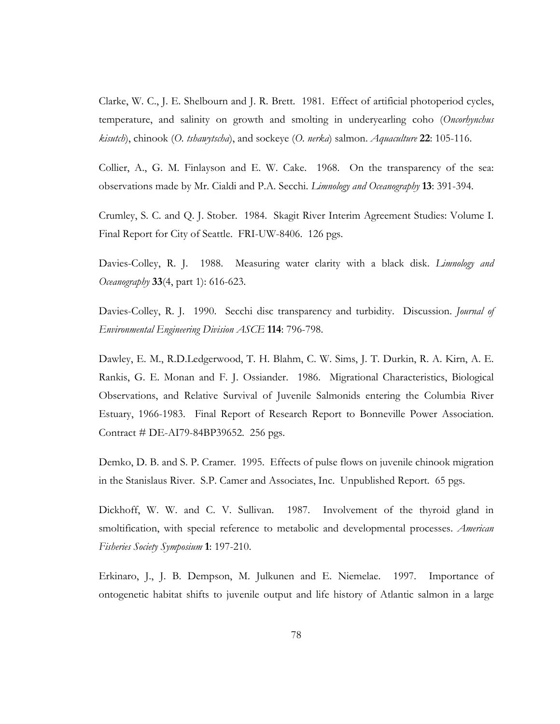Clarke, W. C., J. E. Shelbourn and J. R. Brett. 1981. Effect of artificial photoperiod cycles, temperature, and salinity on growth and smolting in underyearling coho (*Oncorhynchus kisutch*), chinook (*O. tshawytscha*), and sockeye (*O. nerka*) salmon. *Aquaculture* **22**: 105-116.

Collier, A., G. M. Finlayson and E. W. Cake. 1968. On the transparency of the sea: observations made by Mr. Cialdi and P.A. Secchi. *Limnology and Oceanography* **13**: 391-394.

Crumley, S. C. and Q. J. Stober. 1984. Skagit River Interim Agreement Studies: Volume I. Final Report for City of Seattle. FRI-UW-8406. 126 pgs.

Davies-Colley, R. J. 1988. Measuring water clarity with a black disk. *Limnology and Oceanography* **33**(4, part 1): 616-623.

Davies-Colley, R. J. 1990. Secchi disc transparency and turbidity. Discussion. *Journal of Environmental Engineering Division ASCE* **114**: 796-798.

Dawley, E. M., R.D.Ledgerwood, T. H. Blahm, C. W. Sims, J. T. Durkin, R. A. Kirn, A. E. Rankis, G. E. Monan and F. J. Ossiander. 1986. Migrational Characteristics, Biological Observations, and Relative Survival of Juvenile Salmonids entering the Columbia River Estuary, 1966-1983. Final Report of Research Report to Bonneville Power Association. Contract # DE-AI79-84BP39652. 256 pgs.

Demko, D. B. and S. P. Cramer. 1995. Effects of pulse flows on juvenile chinook migration in the Stanislaus River. S.P. Camer and Associates, Inc. Unpublished Report. 65 pgs.

Dickhoff, W. W. and C. V. Sullivan. 1987. Involvement of the thyroid gland in smoltification, with special reference to metabolic and developmental processes. *American Fisheries Society Symposium* **1**: 197-210.

Erkinaro, J., J. B. Dempson, M. Julkunen and E. Niemelae. 1997. Importance of ontogenetic habitat shifts to juvenile output and life history of Atlantic salmon in a large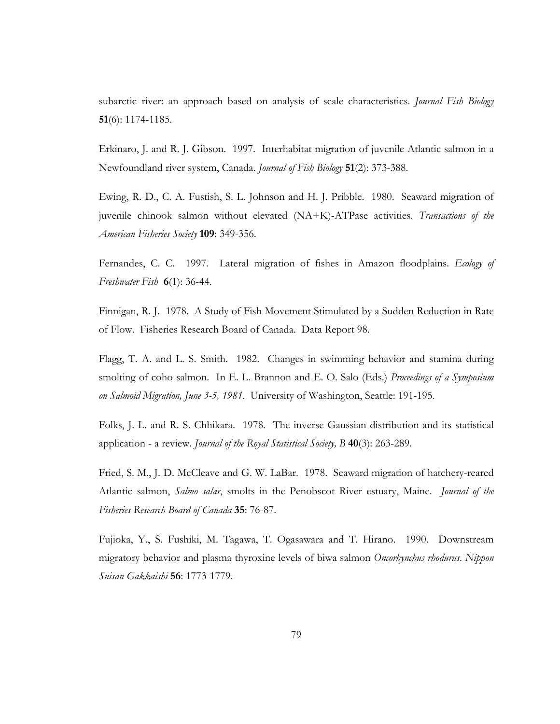subarctic river: an approach based on analysis of scale characteristics. *Journal Fish Biology* **51**(6): 1174-1185.

Erkinaro, J. and R. J. Gibson. 1997. Interhabitat migration of juvenile Atlantic salmon in a Newfoundland river system, Canada. *Journal of Fish Biology* **51**(2): 373-388.

Ewing, R. D., C. A. Fustish, S. L. Johnson and H. J. Pribble. 1980. Seaward migration of juvenile chinook salmon without elevated (NA+K)-ATPase activities. *Transactions of the American Fisheries Society* **109**: 349-356.

Fernandes, C. C. 1997. Lateral migration of fishes in Amazon floodplains. *Ecology of Freshwater Fish* **6**(1): 36-44.

Finnigan, R. J. 1978. A Study of Fish Movement Stimulated by a Sudden Reduction in Rate of Flow. Fisheries Research Board of Canada. Data Report 98.

Flagg, T. A. and L. S. Smith. 1982. Changes in swimming behavior and stamina during smolting of coho salmon. In E. L. Brannon and E. O. Salo (Eds.) *Proceedings of a Symposium on Salmoid Migration, June 3-5, 1981*. University of Washington, Seattle: 191-195.

Folks, J. L. and R. S. Chhikara. 1978. The inverse Gaussian distribution and its statistical application - a review. *Journal of the Royal Statistical Society, B* **40**(3): 263-289.

Fried, S. M., J. D. McCleave and G. W. LaBar. 1978. Seaward migration of hatchery-reared Atlantic salmon, *Salmo salar*, smolts in the Penobscot River estuary, Maine. *Journal of the Fisheries Research Board of Canada* **35**: 76-87.

Fujioka, Y., S. Fushiki, M. Tagawa, T. Ogasawara and T. Hirano. 1990. Downstream migratory behavior and plasma thyroxine levels of biwa salmon *Oncorhynchus rhodurus*. *Nippon Suisan Gakkaishi* **56**: 1773-1779.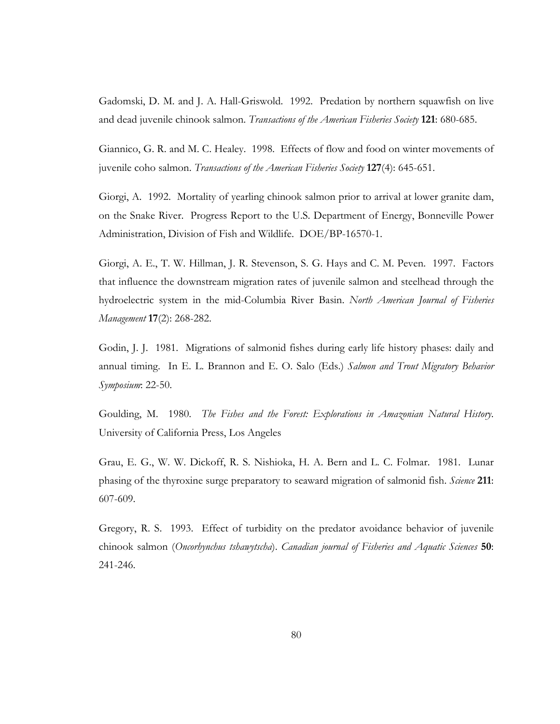Gadomski, D. M. and J. A. Hall-Griswold. 1992. Predation by northern squawfish on live and dead juvenile chinook salmon. *Transactions of the American Fisheries Society* **121**: 680-685.

Giannico, G. R. and M. C. Healey. 1998. Effects of flow and food on winter movements of juvenile coho salmon. *Transactions of the American Fisheries Society* **127**(4): 645-651.

Giorgi, A. 1992. Mortality of yearling chinook salmon prior to arrival at lower granite dam, on the Snake River. Progress Report to the U.S. Department of Energy, Bonneville Power Administration, Division of Fish and Wildlife. DOE/BP-16570-1.

Giorgi, A. E., T. W. Hillman, J. R. Stevenson, S. G. Hays and C. M. Peven. 1997. Factors that influence the downstream migration rates of juvenile salmon and steelhead through the hydroelectric system in the mid-Columbia River Basin. *North American Journal of Fisheries Management* **17**(2): 268-282.

Godin, J. J. 1981. Migrations of salmonid fishes during early life history phases: daily and annual timing. In E. L. Brannon and E. O. Salo (Eds.) *Salmon and Trout Migratory Behavior Symposium*: 22-50.

Goulding, M. 1980. *The Fishes and the Forest: Explorations in Amazonian Natural History*. University of California Press, Los Angeles

Grau, E. G., W. W. Dickoff, R. S. Nishioka, H. A. Bern and L. C. Folmar. 1981. Lunar phasing of the thyroxine surge preparatory to seaward migration of salmonid fish. *Science* **211**: 607-609.

Gregory, R. S. 1993. Effect of turbidity on the predator avoidance behavior of juvenile chinook salmon (*Oncorhynchus tshawytscha*). *Canadian journal of Fisheries and Aquatic Sciences* **50**: 241-246.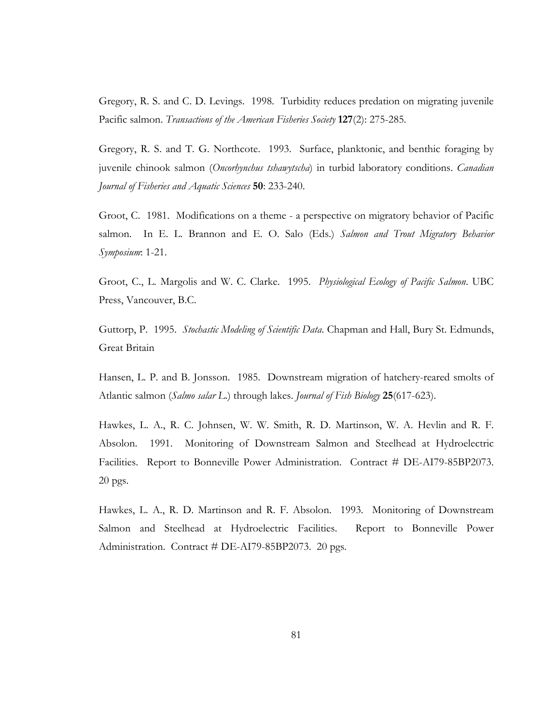Gregory, R. S. and C. D. Levings. 1998. Turbidity reduces predation on migrating juvenile Pacific salmon. *Transactions of the American Fisheries Society* **127**(2): 275-285.

Gregory, R. S. and T. G. Northcote. 1993. Surface, planktonic, and benthic foraging by juvenile chinook salmon (*Oncorhynchus tshawytscha*) in turbid laboratory conditions. *Canadian Journal of Fisheries and Aquatic Sciences* **50**: 233-240.

Groot, C. 1981. Modifications on a theme - a perspective on migratory behavior of Pacific salmon. In E. L. Brannon and E. O. Salo (Eds.) *Salmon and Trout Migratory Behavior Symposium*: 1-21.

Groot, C., L. Margolis and W. C. Clarke. 1995. *Physiological Ecology of Pacific Salmon*. UBC Press, Vancouver, B.C.

Guttorp, P. 1995. *Stochastic Modeling of Scientific Data*. Chapman and Hall, Bury St. Edmunds, Great Britain

Hansen, L. P. and B. Jonsson. 1985. Downstream migration of hatchery-reared smolts of Atlantic salmon (*Salmo salar L*.) through lakes. *Journal of Fish Biology* **25**(617-623).

Hawkes, L. A., R. C. Johnsen, W. W. Smith, R. D. Martinson, W. A. Hevlin and R. F. Absolon. 1991. Monitoring of Downstream Salmon and Steelhead at Hydroelectric Facilities. Report to Bonneville Power Administration. Contract # DE-AI79-85BP2073. 20 pgs.

Hawkes, L. A., R. D. Martinson and R. F. Absolon. 1993. Monitoring of Downstream Salmon and Steelhead at Hydroelectric Facilities. Report to Bonneville Power Administration. Contract # DE-AI79-85BP2073. 20 pgs.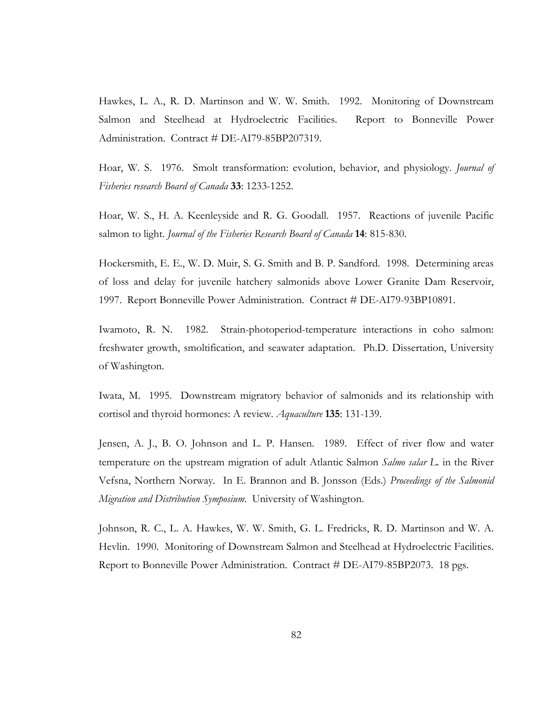Hawkes, L. A., R. D. Martinson and W. W. Smith. 1992. Monitoring of Downstream Salmon and Steelhead at Hydroelectric Facilities. Report to Bonneville Power Administration. Contract # DE-AI79-85BP207319.

Hoar, W. S. 1976. Smolt transformation: evolution, behavior, and physiology. *Journal of Fisheries research Board of Canada* **33**: 1233-1252.

Hoar, W. S., H. A. Keenleyside and R. G. Goodall. 1957. Reactions of juvenile Pacific salmon to light. *Journal of the Fisheries Research Board of Canada* **14**: 815-830.

Hockersmith, E. E., W. D. Muir, S. G. Smith and B. P. Sandford. 1998. Determining areas of loss and delay for juvenile hatchery salmonids above Lower Granite Dam Reservoir, 1997. Report Bonneville Power Administration. Contract # DE-AI79-93BP10891.

Iwamoto, R. N. 1982. Strain-photoperiod-temperature interactions in coho salmon: freshwater growth, smoltification, and seawater adaptation. Ph.D. Dissertation, University of Washington.

Iwata, M. 1995. Downstream migratory behavior of salmonids and its relationship with cortisol and thyroid hormones: A review. *Aquaculture* **135**: 131-139.

Jensen, A. J., B. O. Johnson and L. P. Hansen. 1989. Effect of river flow and water temperature on the upstream migration of adult Atlantic Salmon *Salmo salar L.* in the River Vefsna, Northern Norway. In E. Brannon and B. Jonsson (Eds.) *Proceedings of the Salmonid Migration and Distribution Symposium*. University of Washington.

Johnson, R. C., L. A. Hawkes, W. W. Smith, G. L. Fredricks, R. D. Martinson and W. A. Hevlin. 1990. Monitoring of Downstream Salmon and Steelhead at Hydroelectric Facilities. Report to Bonneville Power Administration. Contract # DE-AI79-85BP2073. 18 pgs.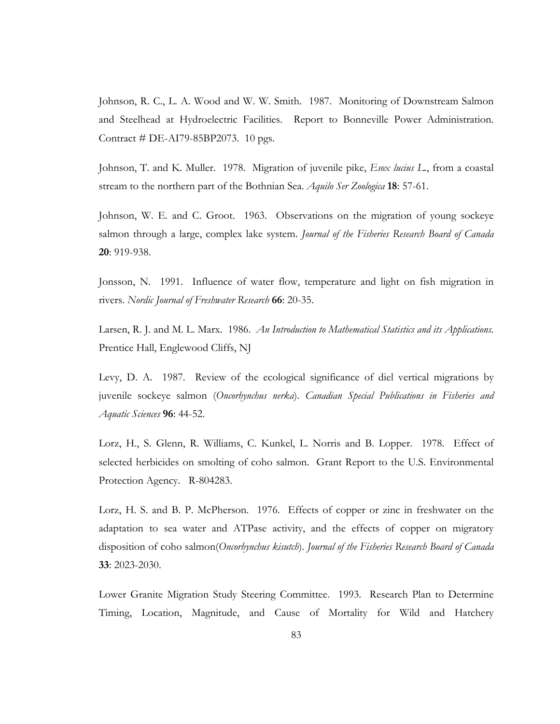Johnson, R. C., L. A. Wood and W. W. Smith. 1987. Monitoring of Downstream Salmon and Steelhead at Hydroelectric Facilities. Report to Bonneville Power Administration. Contract # DE-AI79-85BP2073. 10 pgs.

Johnson, T. and K. Muller. 1978. Migration of juvenile pike, *Esox lucius L.*, from a coastal stream to the northern part of the Bothnian Sea. *Aquilo Ser Zoologica* **18**: 57-61.

Johnson, W. E. and C. Groot. 1963. Observations on the migration of young sockeye salmon through a large, complex lake system. *Journal of the Fisheries Research Board of Canada* **20**: 919-938.

Jonsson, N. 1991. Influence of water flow, temperature and light on fish migration in rivers. *Nordic Journal of Freshwater Research* **66**: 20-35.

Larsen, R. J. and M. L. Marx. 1986. *An Introduction to Mathematical Statistics and its Applications*. Prentice Hall, Englewood Cliffs, NJ

Levy, D. A. 1987. Review of the ecological significance of diel vertical migrations by juvenile sockeye salmon (*Oncorhynchus nerka*). *Canadian Special Publications in Fisheries and Aquatic Sciences* **96**: 44-52.

Lorz, H., S. Glenn, R. Williams, C. Kunkel, L. Norris and B. Lopper. 1978. Effect of selected herbicides on smolting of coho salmon. Grant Report to the U.S. Environmental Protection Agency. R-804283.

Lorz, H. S. and B. P. McPherson. 1976. Effects of copper or zinc in freshwater on the adaptation to sea water and ATPase activity, and the effects of copper on migratory disposition of coho salmon(*Oncorhynchus kisutch*). *Journal of the Fisheries Research Board of Canada* **33**: 2023-2030.

Lower Granite Migration Study Steering Committee. 1993. Research Plan to Determine Timing, Location, Magnitude, and Cause of Mortality for Wild and Hatchery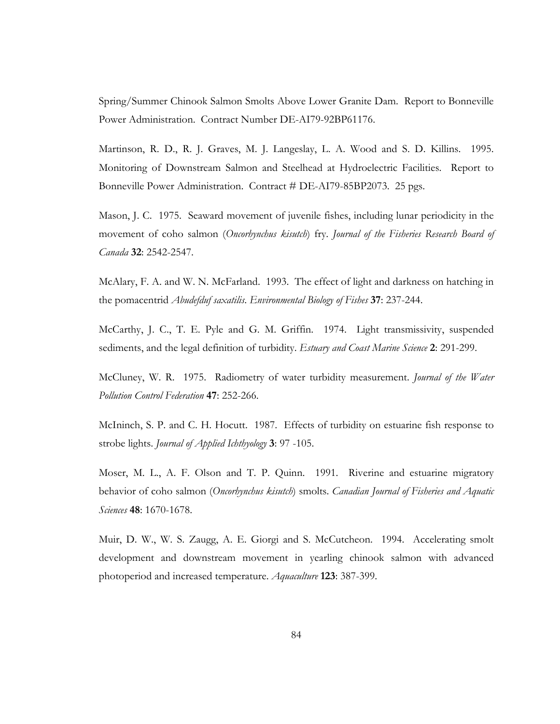Spring/Summer Chinook Salmon Smolts Above Lower Granite Dam. Report to Bonneville Power Administration. Contract Number DE-AI79-92BP61176.

Martinson, R. D., R. J. Graves, M. J. Langeslay, L. A. Wood and S. D. Killins. 1995. Monitoring of Downstream Salmon and Steelhead at Hydroelectric Facilities. Report to Bonneville Power Administration. Contract # DE-AI79-85BP2073. 25 pgs.

Mason, J. C. 1975. Seaward movement of juvenile fishes, including lunar periodicity in the movement of coho salmon (*Oncorhynchus kisutch*) fry. *Journal of the Fisheries Research Board of Canada* **32**: 2542-2547.

McAlary, F. A. and W. N. McFarland. 1993. The effect of light and darkness on hatching in the pomacentrid *Abudefduf saxatilis*. *Environmental Biology of Fishes* **37**: 237-244.

McCarthy, J. C., T. E. Pyle and G. M. Griffin. 1974. Light transmissivity, suspended sediments, and the legal definition of turbidity. *Estuary and Coast Marine Science* **2**: 291-299.

McCluney, W. R. 1975. Radiometry of water turbidity measurement. *Journal of the Water Pollution Control Federation* **47**: 252-266.

McIninch, S. P. and C. H. Hocutt. 1987. Effects of turbidity on estuarine fish response to strobe lights. *Journal of Applied Ichthyology* **3**: 97 -105.

Moser, M. L., A. F. Olson and T. P. Quinn. 1991. Riverine and estuarine migratory behavior of coho salmon (*Oncorhynchus kisutch*) smolts. *Canadian Journal of Fisheries and Aquatic Sciences* **48**: 1670-1678.

Muir, D. W., W. S. Zaugg, A. E. Giorgi and S. McCutcheon. 1994. Accelerating smolt development and downstream movement in yearling chinook salmon with advanced photoperiod and increased temperature. *Aquaculture* **123**: 387-399.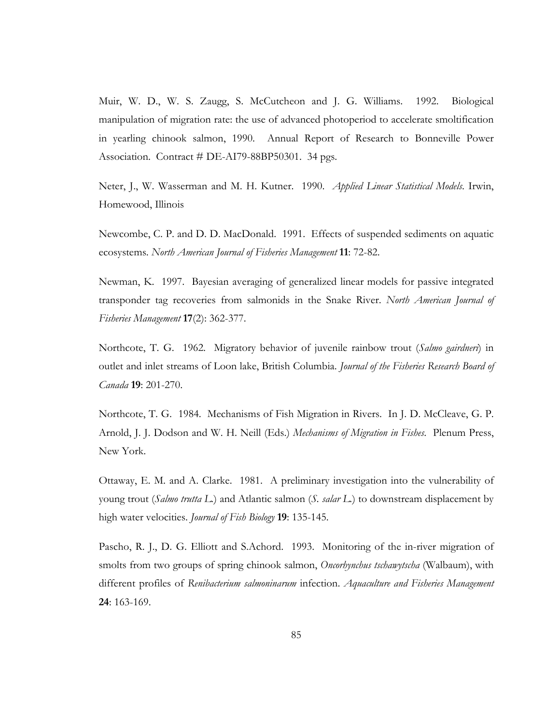Muir, W. D., W. S. Zaugg, S. McCutcheon and J. G. Williams. 1992. Biological manipulation of migration rate: the use of advanced photoperiod to accelerate smoltification in yearling chinook salmon, 1990. Annual Report of Research to Bonneville Power Association. Contract # DE-AI79-88BP50301. 34 pgs.

Neter, J., W. Wasserman and M. H. Kutner. 1990. *Applied Linear Statistical Models*. Irwin, Homewood, Illinois

Newcombe, C. P. and D. D. MacDonald. 1991. Effects of suspended sediments on aquatic ecosystems. *North American Journal of Fisheries Management* **11**: 72-82.

Newman, K. 1997. Bayesian averaging of generalized linear models for passive integrated transponder tag recoveries from salmonids in the Snake River. *North American Journal of Fisheries Management* **17**(2): 362-377.

Northcote, T. G. 1962. Migratory behavior of juvenile rainbow trout (*Salmo gairdneri*) in outlet and inlet streams of Loon lake, British Columbia. *Journal of the Fisheries Research Board of Canada* **19**: 201-270.

Northcote, T. G. 1984. Mechanisms of Fish Migration in Rivers. In J. D. McCleave, G. P. Arnold, J. J. Dodson and W. H. Neill (Eds.) *Mechanisms of Migration in Fishes*. Plenum Press, New York.

Ottaway, E. M. and A. Clarke. 1981. A preliminary investigation into the vulnerability of young trout (*Salmo trutta L.*) and Atlantic salmon (*S. salar L.*) to downstream displacement by high water velocities. *Journal of Fish Biology* **19**: 135-145.

Pascho, R. J., D. G. Elliott and S.Achord. 1993. Monitoring of the in-river migration of smolts from two groups of spring chinook salmon, *Oncorhynchus tschawytscha* (Walbaum), with different profiles of *Renibacterium salmoninarum* infection. *Aquaculture and Fisheries Management* **24**: 163-169.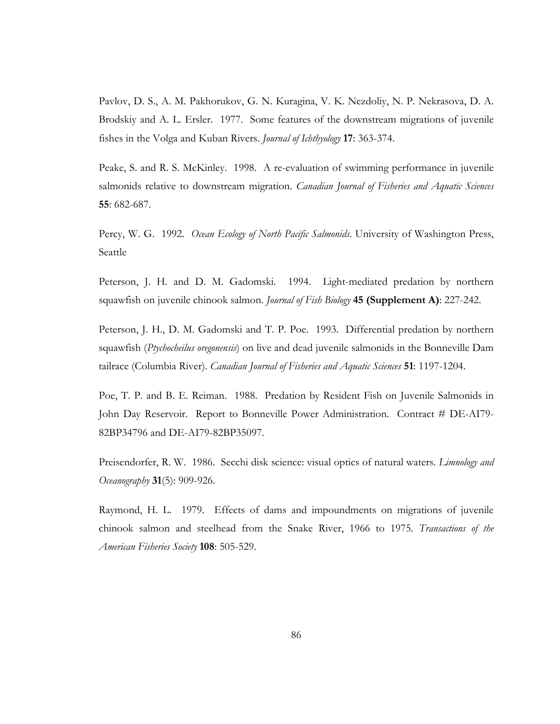Pavlov, D. S., A. M. Pakhorukov, G. N. Kuragina, V. K. Nezdoliy, N. P. Nekrasova, D. A. Brodskiy and A. L. Ersler. 1977. Some features of the downstream migrations of juvenile fishes in the Volga and Kuban Rivers. *Journal of Ichthyology* **17**: 363-374.

Peake, S. and R. S. McKinley. 1998. A re-evaluation of swimming performance in juvenile salmonids relative to downstream migration. *Canadian Journal of Fisheries and Aquatic Sciences* **55**: 682-687.

Percy, W. G. 1992. *Ocean Ecology of North Pacific Salmonids*. University of Washington Press, Seattle

Peterson, J. H. and D. M. Gadomski. 1994. Light-mediated predation by northern squawfish on juvenile chinook salmon. *Journal of Fish Biology* **45 (Supplement A)**: 227-242.

Peterson, J. H., D. M. Gadomski and T. P. Poe. 1993. Differential predation by northern squawfish (*Ptychocheilus oregonensis*) on live and dead juvenile salmonids in the Bonneville Dam tailrace (Columbia River). *Canadian Journal of Fisheries and Aquatic Sciences* **51**: 1197-1204.

Poe, T. P. and B. E. Reiman. 1988. Predation by Resident Fish on Juvenile Salmonids in John Day Reservoir. Report to Bonneville Power Administration. Contract # DE-AI79- 82BP34796 and DE-AI79-82BP35097.

Preisendorfer, R. W. 1986. Secchi disk science: visual optics of natural waters. *Limnology and Oceanography* **31**(5): 909-926.

Raymond, H. L. 1979. Effects of dams and impoundments on migrations of juvenile chinook salmon and steelhead from the Snake River, 1966 to 1975. *Transactions of the American Fisheries Society* **108**: 505-529.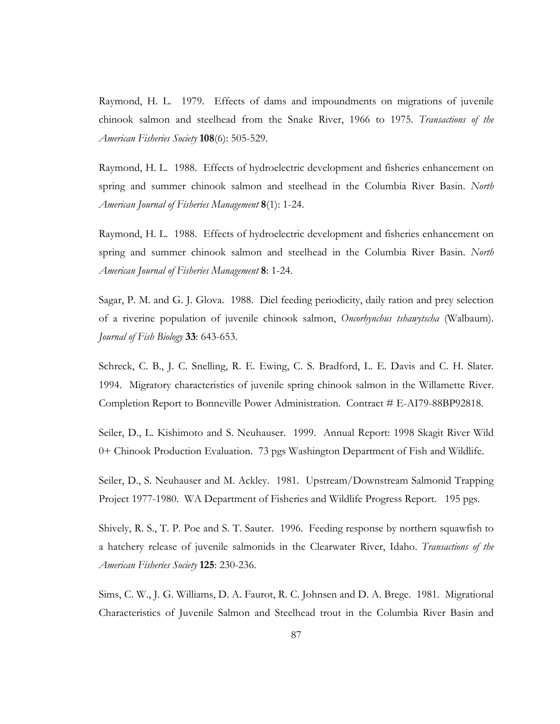Raymond, H. L. 1979. Effects of dams and impoundments on migrations of juvenile chinook salmon and steelhead from the Snake River, 1966 to 1975. *Transactions of the American Fisheries Society* **108**(6): 505-529.

Raymond, H. L. 1988. Effects of hydroelectric development and fisheries enhancement on spring and summer chinook salmon and steelhead in the Columbia River Basin. *North American Journal of Fisheries Management* **8**(1): 1-24.

Raymond, H. L. 1988. Effects of hydroelectric development and fisheries enhancement on spring and summer chinook salmon and steelhead in the Columbia River Basin. *North American Journal of Fisheries Management* **8**: 1-24.

Sagar, P. M. and G. J. Glova. 1988. Diel feeding periodicity, daily ration and prey selection of a riverine population of juvenile chinook salmon, *Oncorhynchus tshawytscha* (Walbaum). *Journal of Fish Biology* **33**: 643-653.

Schreck, C. B., J. C. Snelling, R. E. Ewing, C. S. Bradford, L. E. Davis and C. H. Slater. 1994. Migratory characteristics of juvenile spring chinook salmon in the Willamette River. Completion Report to Bonneville Power Administration. Contract # E-AI79-88BP92818.

Seiler, D., L. Kishimoto and S. Neuhauser. 1999. Annual Report: 1998 Skagit River Wild 0+ Chinook Production Evaluation. 73 pgs Washington Department of Fish and Wildlife.

Seiler, D., S. Neuhauser and M. Ackley. 1981. Upstream/Downstream Salmonid Trapping Project 1977-1980. WA Department of Fisheries and Wildlife Progress Report. 195 pgs.

Shively, R. S., T. P. Poe and S. T. Sauter. 1996. Feeding response by northern squawfish to a hatchery release of juvenile salmonids in the Clearwater River, Idaho. *Transactions of the American Fisheries Society* **125**: 230-236.

Sims, C. W., J. G. Williams, D. A. Faurot, R. C. Johnsen and D. A. Brege. 1981. Migrational Characteristics of Juvenile Salmon and Steelhead trout in the Columbia River Basin and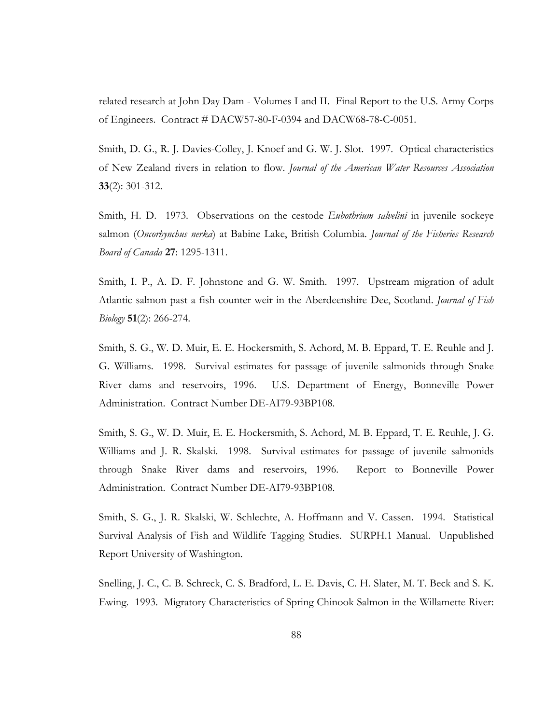related research at John Day Dam - Volumes I and II. Final Report to the U.S. Army Corps of Engineers. Contract # DACW57-80-F-0394 and DACW68-78-C-0051.

Smith, D. G., R. J. Davies-Colley, J. Knoef and G. W. J. Slot. 1997. Optical characteristics of New Zealand rivers in relation to flow. *Journal of the American Water Resources Association* **33**(2): 301-312.

Smith, H. D. 1973. Observations on the cestode *Eubothrium salvelini* in juvenile sockeye salmon (*Oncorhynchus nerka*) at Babine Lake, British Columbia. *Journal of the Fisheries Research Board of Canada* **27**: 1295-1311.

Smith, I. P., A. D. F. Johnstone and G. W. Smith. 1997. Upstream migration of adult Atlantic salmon past a fish counter weir in the Aberdeenshire Dee, Scotland. *Journal of Fish Biology* **51**(2): 266-274.

Smith, S. G., W. D. Muir, E. E. Hockersmith, S. Achord, M. B. Eppard, T. E. Reuhle and J. G. Williams. 1998. Survival estimates for passage of juvenile salmonids through Snake River dams and reservoirs, 1996. U.S. Department of Energy, Bonneville Power Administration. Contract Number DE-AI79-93BP108.

Smith, S. G., W. D. Muir, E. E. Hockersmith, S. Achord, M. B. Eppard, T. E. Reuhle, J. G. Williams and J. R. Skalski. 1998. Survival estimates for passage of juvenile salmonids through Snake River dams and reservoirs, 1996. Report to Bonneville Power Administration. Contract Number DE-AI79-93BP108.

Smith, S. G., J. R. Skalski, W. Schlechte, A. Hoffmann and V. Cassen. 1994. Statistical Survival Analysis of Fish and Wildlife Tagging Studies. SURPH.1 Manual. Unpublished Report University of Washington.

Snelling, J. C., C. B. Schreck, C. S. Bradford, L. E. Davis, C. H. Slater, M. T. Beck and S. K. Ewing. 1993. Migratory Characteristics of Spring Chinook Salmon in the Willamette River: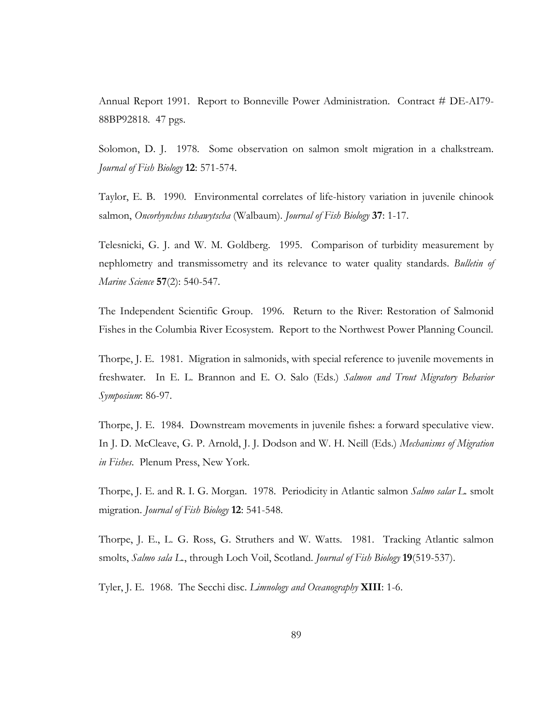Annual Report 1991. Report to Bonneville Power Administration. Contract # DE-AI79- 88BP92818. 47 pgs.

Solomon, D. J. 1978. Some observation on salmon smolt migration in a chalkstream. *Journal of Fish Biology* **12**: 571-574.

Taylor, E. B. 1990. Environmental correlates of life-history variation in juvenile chinook salmon, *Oncorhynchus tshawytscha* (Walbaum). *Journal of Fish Biology* **37**: 1-17.

Telesnicki, G. J. and W. M. Goldberg. 1995. Comparison of turbidity measurement by nephlometry and transmissometry and its relevance to water quality standards. *Bulletin of Marine Science* **57**(2): 540-547.

The Independent Scientific Group. 1996. Return to the River: Restoration of Salmonid Fishes in the Columbia River Ecosystem. Report to the Northwest Power Planning Council.

Thorpe, J. E. 1981. Migration in salmonids, with special reference to juvenile movements in freshwater. In E. L. Brannon and E. O. Salo (Eds.) *Salmon and Trout Migratory Behavior Symposium*: 86-97.

Thorpe, J. E. 1984. Downstream movements in juvenile fishes: a forward speculative view. In J. D. McCleave, G. P. Arnold, J. J. Dodson and W. H. Neill (Eds.) *Mechanisms of Migration in Fishes*. Plenum Press, New York.

Thorpe, J. E. and R. I. G. Morgan. 1978. Periodicity in Atlantic salmon *Salmo salar L.* smolt migration. *Journal of Fish Biology* **12**: 541-548.

Thorpe, J. E., L. G. Ross, G. Struthers and W. Watts. 1981. Tracking Atlantic salmon smolts, *Salmo sala L.*, through Loch Voil, Scotland. *Journal of Fish Biology* **19**(519-537).

Tyler, J. E. 1968. The Secchi disc. *Limnology and Oceanography* **XIII**: 1-6.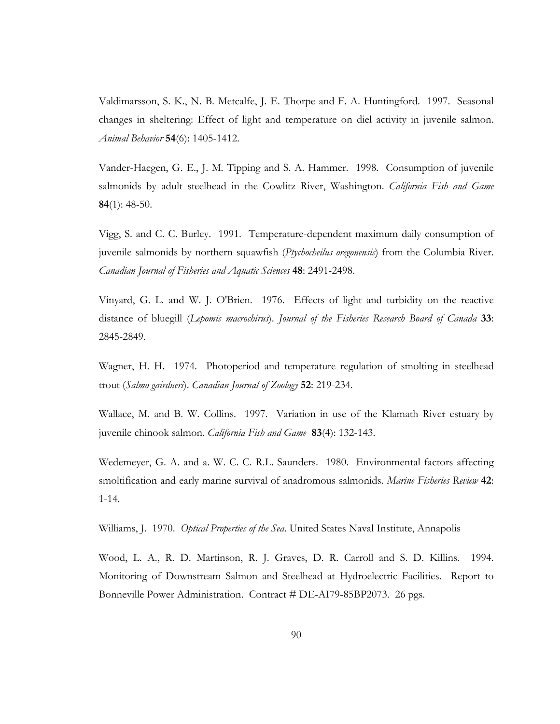Valdimarsson, S. K., N. B. Metcalfe, J. E. Thorpe and F. A. Huntingford. 1997. Seasonal changes in sheltering: Effect of light and temperature on diel activity in juvenile salmon. *Animal Behavior* **54**(6): 1405-1412.

Vander-Haegen, G. E., J. M. Tipping and S. A. Hammer. 1998. Consumption of juvenile salmonids by adult steelhead in the Cowlitz River, Washington. *California Fish and Game* **84**(1): 48-50.

Vigg, S. and C. C. Burley. 1991. Temperature-dependent maximum daily consumption of juvenile salmonids by northern squawfish (*Ptychocheilus oregonensis*) from the Columbia River. *Canadian Journal of Fisheries and Aquatic Sciences* **48**: 2491-2498.

Vinyard, G. L. and W. J. O'Brien. 1976. Effects of light and turbidity on the reactive distance of bluegill (*Lepomis macrochirus*). *Journal of the Fisheries Research Board of Canada* **33**: 2845-2849.

Wagner, H. H. 1974. Photoperiod and temperature regulation of smolting in steelhead trout (*Salmo gairdneri*). *Canadian Journal of Zoology* **52**: 219-234.

Wallace, M. and B. W. Collins. 1997. Variation in use of the Klamath River estuary by juvenile chinook salmon. *California Fish and Game* **83**(4): 132-143.

Wedemeyer, G. A. and a. W. C. C. R.L. Saunders. 1980. Environmental factors affecting smoltification and early marine survival of anadromous salmonids. *Marine Fisheries Review* **42**: 1-14.

Williams, J. 1970. *Optical Properties of the Sea*. United States Naval Institute, Annapolis

Wood, L. A., R. D. Martinson, R. J. Graves, D. R. Carroll and S. D. Killins. 1994. Monitoring of Downstream Salmon and Steelhead at Hydroelectric Facilities. Report to Bonneville Power Administration. Contract # DE-AI79-85BP2073. 26 pgs.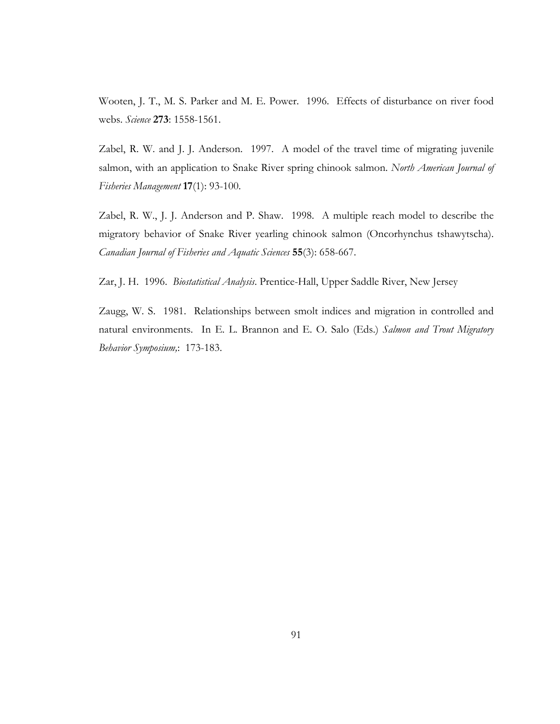Wooten, J. T., M. S. Parker and M. E. Power. 1996. Effects of disturbance on river food webs. *Science* **273**: 1558-1561.

Zabel, R. W. and J. J. Anderson. 1997. A model of the travel time of migrating juvenile salmon, with an application to Snake River spring chinook salmon. *North American Journal of Fisheries Management* **17**(1): 93-100.

Zabel, R. W., J. J. Anderson and P. Shaw. 1998. A multiple reach model to describe the migratory behavior of Snake River yearling chinook salmon (Oncorhynchus tshawytscha). *Canadian Journal of Fisheries and Aquatic Sciences* **55**(3): 658-667.

Zar, J. H. 1996. *Biostatistical Analysis*. Prentice-Hall, Upper Saddle River, New Jersey

Zaugg, W. S. 1981. Relationships between smolt indices and migration in controlled and natural environments. In E. L. Brannon and E. O. Salo (Eds.) *Salmon and Trout Migratory Behavior Symposium,*: 173-183.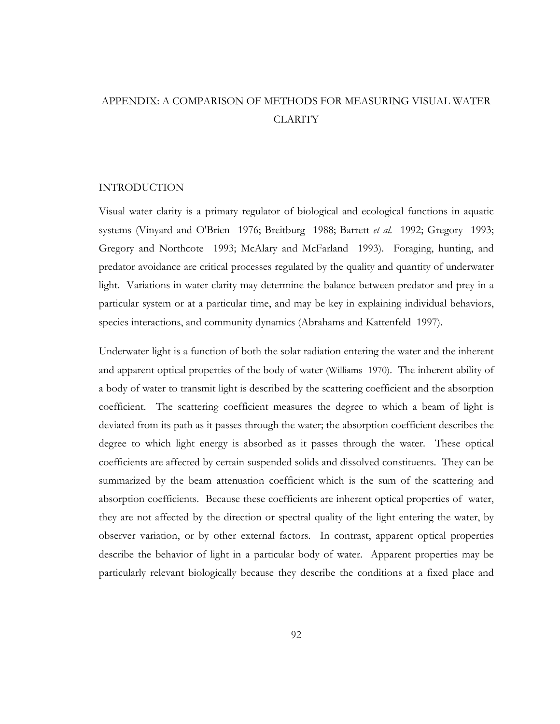## APPENDIX: A COMPARISON OF METHODS FOR MEASURING VISUAL WATER **CLARITY**

#### INTRODUCTION

Visual water clarity is a primary regulator of biological and ecological functions in aquatic systems (Vinyard and O'Brien 1976; Breitburg 1988; Barrett *et al.* 1992; Gregory 1993; Gregory and Northcote 1993; McAlary and McFarland 1993). Foraging, hunting, and predator avoidance are critical processes regulated by the quality and quantity of underwater light. Variations in water clarity may determine the balance between predator and prey in a particular system or at a particular time, and may be key in explaining individual behaviors, species interactions, and community dynamics (Abrahams and Kattenfeld 1997).

Underwater light is a function of both the solar radiation entering the water and the inherent and apparent optical properties of the body of water (Williams 1970). The inherent ability of a body of water to transmit light is described by the scattering coefficient and the absorption coefficient. The scattering coefficient measures the degree to which a beam of light is deviated from its path as it passes through the water; the absorption coefficient describes the degree to which light energy is absorbed as it passes through the water. These optical coefficients are affected by certain suspended solids and dissolved constituents. They can be summarized by the beam attenuation coefficient which is the sum of the scattering and absorption coefficients. Because these coefficients are inherent optical properties of water, they are not affected by the direction or spectral quality of the light entering the water, by observer variation, or by other external factors. In contrast, apparent optical properties describe the behavior of light in a particular body of water. Apparent properties may be particularly relevant biologically because they describe the conditions at a fixed place and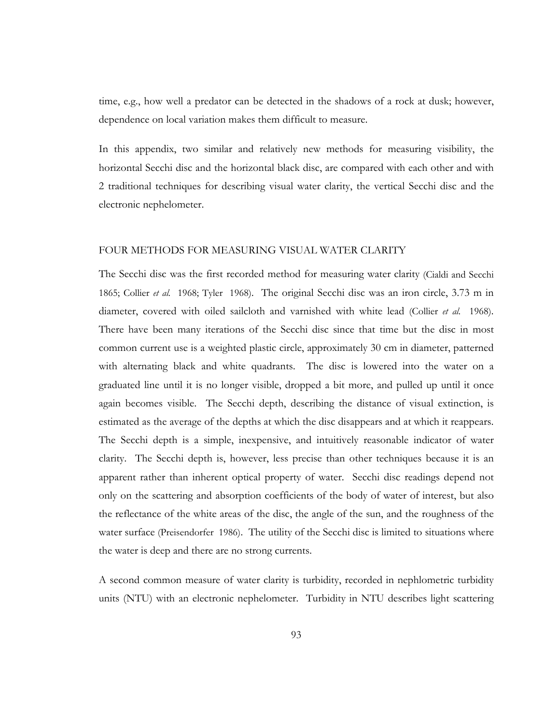time, e.g., how well a predator can be detected in the shadows of a rock at dusk; however, dependence on local variation makes them difficult to measure.

In this appendix, two similar and relatively new methods for measuring visibility, the horizontal Secchi disc and the horizontal black disc, are compared with each other and with 2 traditional techniques for describing visual water clarity, the vertical Secchi disc and the electronic nephelometer.

## FOUR METHODS FOR MEASURING VISUAL WATER CLARITY

The Secchi disc was the first recorded method for measuring water clarity (Cialdi and Secchi 1865; Collier *et al.* 1968; Tyler 1968). The original Secchi disc was an iron circle, 3.73 m in diameter, covered with oiled sailcloth and varnished with white lead (Collier *et al.* 1968). There have been many iterations of the Secchi disc since that time but the disc in most common current use is a weighted plastic circle, approximately 30 cm in diameter, patterned with alternating black and white quadrants. The disc is lowered into the water on a graduated line until it is no longer visible, dropped a bit more, and pulled up until it once again becomes visible. The Secchi depth, describing the distance of visual extinction, is estimated as the average of the depths at which the disc disappears and at which it reappears. The Secchi depth is a simple, inexpensive, and intuitively reasonable indicator of water clarity. The Secchi depth is, however, less precise than other techniques because it is an apparent rather than inherent optical property of water. Secchi disc readings depend not only on the scattering and absorption coefficients of the body of water of interest, but also the reflectance of the white areas of the disc, the angle of the sun, and the roughness of the water surface (Preisendorfer 1986). The utility of the Secchi disc is limited to situations where the water is deep and there are no strong currents.

A second common measure of water clarity is turbidity, recorded in nephlometric turbidity units (NTU) with an electronic nephelometer. Turbidity in NTU describes light scattering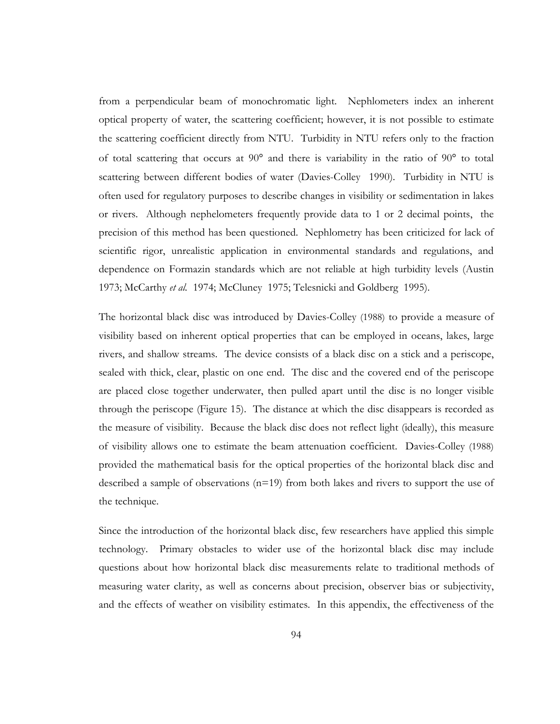from a perpendicular beam of monochromatic light. Nephlometers index an inherent optical property of water, the scattering coefficient; however, it is not possible to estimate the scattering coefficient directly from NTU. Turbidity in NTU refers only to the fraction of total scattering that occurs at  $90^{\circ}$  and there is variability in the ratio of  $90^{\circ}$  to total scattering between different bodies of water (Davies-Colley 1990). Turbidity in NTU is often used for regulatory purposes to describe changes in visibility or sedimentation in lakes or rivers. Although nephelometers frequently provide data to 1 or 2 decimal points, the precision of this method has been questioned. Nephlometry has been criticized for lack of scientific rigor, unrealistic application in environmental standards and regulations, and dependence on Formazin standards which are not reliable at high turbidity levels (Austin 1973; McCarthy *et al.* 1974; McCluney 1975; Telesnicki and Goldberg 1995).

The horizontal black disc was introduced by Davies-Colley (1988) to provide a measure of visibility based on inherent optical properties that can be employed in oceans, lakes, large rivers, and shallow streams. The device consists of a black disc on a stick and a periscope, sealed with thick, clear, plastic on one end. The disc and the covered end of the periscope are placed close together underwater, then pulled apart until the disc is no longer visible through the periscope (Figure 15). The distance at which the disc disappears is recorded as the measure of visibility. Because the black disc does not reflect light (ideally), this measure of visibility allows one to estimate the beam attenuation coefficient. Davies-Colley (1988) provided the mathematical basis for the optical properties of the horizontal black disc and described a sample of observations  $(n=19)$  from both lakes and rivers to support the use of the technique.

Since the introduction of the horizontal black disc, few researchers have applied this simple technology. Primary obstacles to wider use of the horizontal black disc may include questions about how horizontal black disc measurements relate to traditional methods of measuring water clarity, as well as concerns about precision, observer bias or subjectivity, and the effects of weather on visibility estimates. In this appendix, the effectiveness of the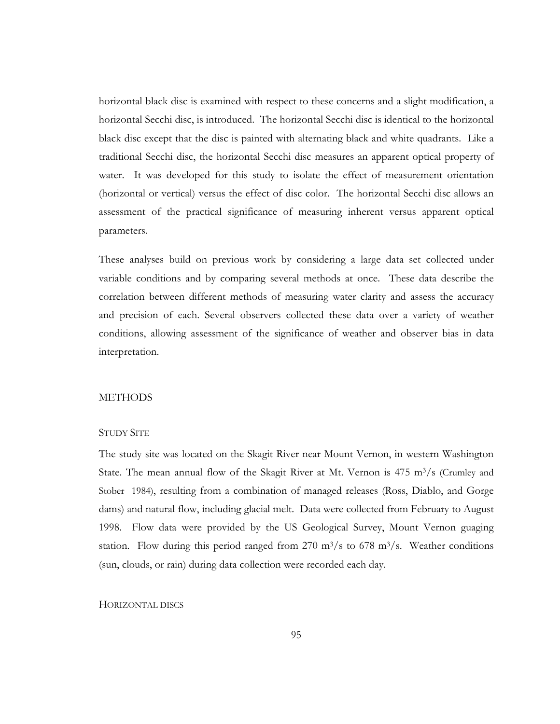horizontal black disc is examined with respect to these concerns and a slight modification, a horizontal Secchi disc, is introduced. The horizontal Secchi disc is identical to the horizontal black disc except that the disc is painted with alternating black and white quadrants. Like a traditional Secchi disc, the horizontal Secchi disc measures an apparent optical property of water. It was developed for this study to isolate the effect of measurement orientation (horizontal or vertical) versus the effect of disc color. The horizontal Secchi disc allows an assessment of the practical significance of measuring inherent versus apparent optical parameters.

These analyses build on previous work by considering a large data set collected under variable conditions and by comparing several methods at once. These data describe the correlation between different methods of measuring water clarity and assess the accuracy and precision of each. Several observers collected these data over a variety of weather conditions, allowing assessment of the significance of weather and observer bias in data interpretation.

## **METHODS**

## STUDY SITE

The study site was located on the Skagit River near Mount Vernon, in western Washington State. The mean annual flow of the Skagit River at Mt. Vernon is  $475 \text{ m}^3/\text{s}$  (Crumley and Stober 1984), resulting from a combination of managed releases (Ross, Diablo, and Gorge dams) and natural flow, including glacial melt. Data were collected from February to August 1998. Flow data were provided by the US Geological Survey, Mount Vernon guaging station. Flow during this period ranged from  $270 \text{ m}^3/\text{s}$  to  $678 \text{ m}^3/\text{s}$ . Weather conditions (sun, clouds, or rain) during data collection were recorded each day.

#### HORIZONTAL DISCS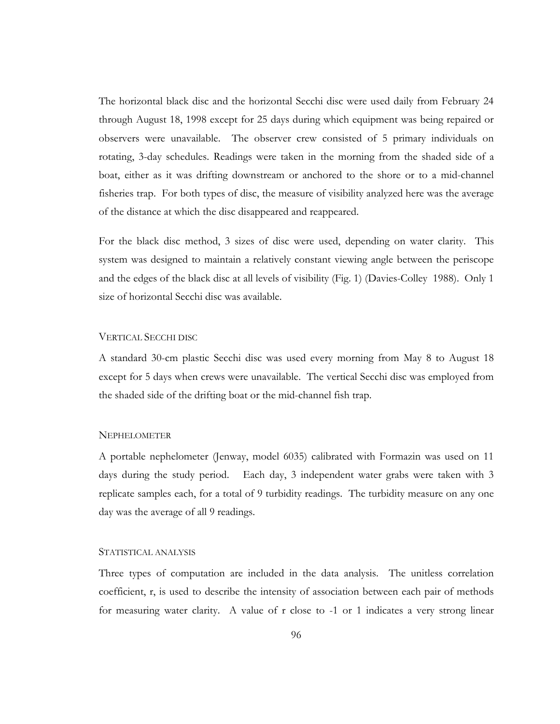The horizontal black disc and the horizontal Secchi disc were used daily from February 24 through August 18, 1998 except for 25 days during which equipment was being repaired or observers were unavailable. The observer crew consisted of 5 primary individuals on rotating, 3-day schedules. Readings were taken in the morning from the shaded side of a boat, either as it was drifting downstream or anchored to the shore or to a mid-channel fisheries trap. For both types of disc, the measure of visibility analyzed here was the average of the distance at which the disc disappeared and reappeared.

For the black disc method, 3 sizes of disc were used, depending on water clarity. This system was designed to maintain a relatively constant viewing angle between the periscope and the edges of the black disc at all levels of visibility (Fig. 1) (Davies-Colley 1988). Only 1 size of horizontal Secchi disc was available.

# VERTICAL SECCHI DISC

A standard 30-cm plastic Secchi disc was used every morning from May 8 to August 18 except for 5 days when crews were unavailable. The vertical Secchi disc was employed from the shaded side of the drifting boat or the mid-channel fish trap.

## NEPHELOMETER

A portable nephelometer (Jenway, model 6035) calibrated with Formazin was used on 11 days during the study period. Each day, 3 independent water grabs were taken with 3 replicate samples each, for a total of 9 turbidity readings. The turbidity measure on any one day was the average of all 9 readings.

## STATISTICAL ANALYSIS

Three types of computation are included in the data analysis. The unitless correlation coefficient, r, is used to describe the intensity of association between each pair of methods for measuring water clarity. A value of r close to -1 or 1 indicates a very strong linear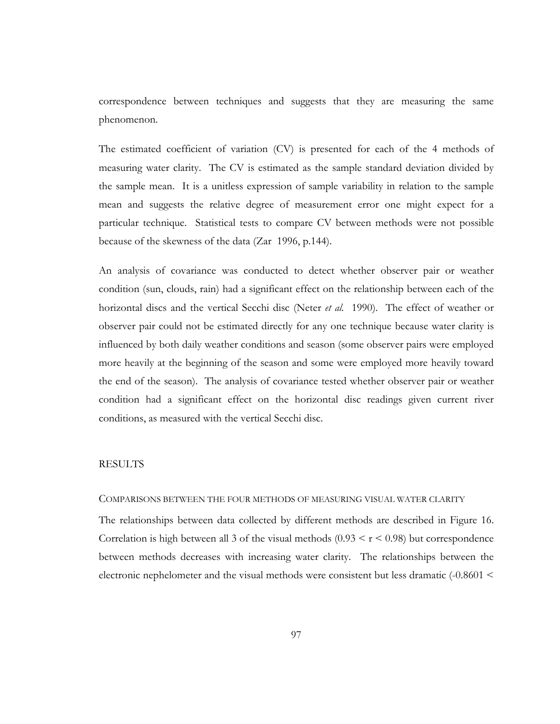correspondence between techniques and suggests that they are measuring the same phenomenon.

The estimated coefficient of variation (CV) is presented for each of the 4 methods of measuring water clarity. The CV is estimated as the sample standard deviation divided by the sample mean. It is a unitless expression of sample variability in relation to the sample mean and suggests the relative degree of measurement error one might expect for a particular technique. Statistical tests to compare CV between methods were not possible because of the skewness of the data (Zar 1996, p.144).

An analysis of covariance was conducted to detect whether observer pair or weather condition (sun, clouds, rain) had a significant effect on the relationship between each of the horizontal discs and the vertical Secchi disc (Neter *et al.* 1990). The effect of weather or observer pair could not be estimated directly for any one technique because water clarity is influenced by both daily weather conditions and season (some observer pairs were employed more heavily at the beginning of the season and some were employed more heavily toward the end of the season). The analysis of covariance tested whether observer pair or weather condition had a significant effect on the horizontal disc readings given current river conditions, as measured with the vertical Secchi disc.

### RESULTS

# COMPARISONS BETWEEN THE FOUR METHODS OF MEASURING VISUAL WATER CLARITY

The relationships between data collected by different methods are described in Figure 16. Correlation is high between all 3 of the visual methods  $(0.93 \le r \le 0.98)$  but correspondence between methods decreases with increasing water clarity. The relationships between the electronic nephelometer and the visual methods were consistent but less dramatic (-0.8601 <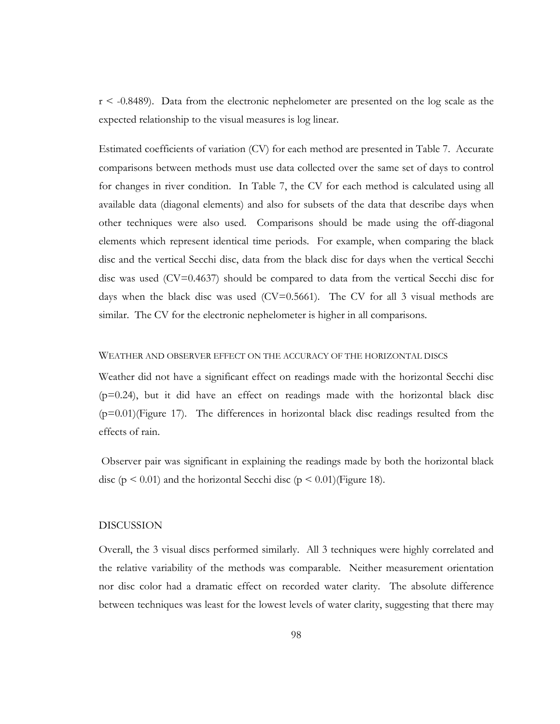r < -0.8489). Data from the electronic nephelometer are presented on the log scale as the expected relationship to the visual measures is log linear.

Estimated coefficients of variation (CV) for each method are presented in Table 7. Accurate comparisons between methods must use data collected over the same set of days to control for changes in river condition. In Table 7, the CV for each method is calculated using all available data (diagonal elements) and also for subsets of the data that describe days when other techniques were also used. Comparisons should be made using the off-diagonal elements which represent identical time periods. For example, when comparing the black disc and the vertical Secchi disc, data from the black disc for days when the vertical Secchi disc was used (CV=0.4637) should be compared to data from the vertical Secchi disc for days when the black disc was used (CV=0.5661). The CV for all 3 visual methods are similar. The CV for the electronic nephelometer is higher in all comparisons.

#### WEATHER AND OBSERVER EFFECT ON THE ACCURACY OF THE HORIZONTAL DISCS

Weather did not have a significant effect on readings made with the horizontal Secchi disc  $(p=0.24)$ , but it did have an effect on readings made with the horizontal black disc (p=0.01)(Figure 17). The differences in horizontal black disc readings resulted from the effects of rain.

 Observer pair was significant in explaining the readings made by both the horizontal black disc ( $p \le 0.01$ ) and the horizontal Secchi disc ( $p \le 0.01$ )(Figure 18).

## DISCUSSION

Overall, the 3 visual discs performed similarly. All 3 techniques were highly correlated and the relative variability of the methods was comparable. Neither measurement orientation nor disc color had a dramatic effect on recorded water clarity. The absolute difference between techniques was least for the lowest levels of water clarity, suggesting that there may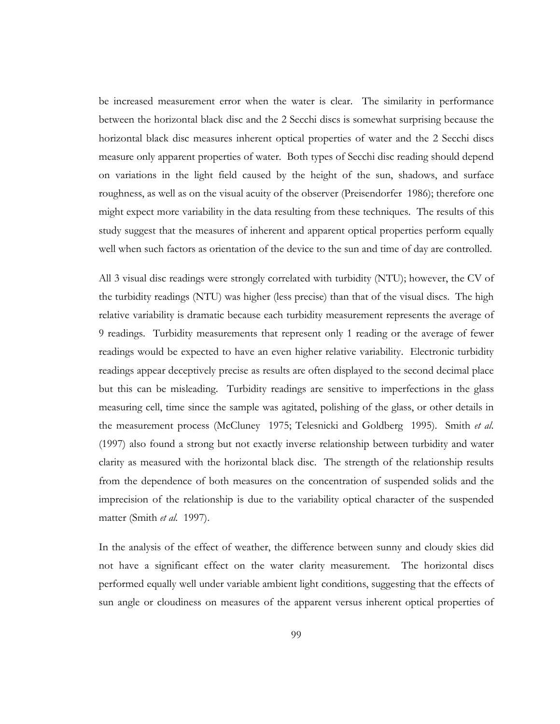be increased measurement error when the water is clear. The similarity in performance between the horizontal black disc and the 2 Secchi discs is somewhat surprising because the horizontal black disc measures inherent optical properties of water and the 2 Secchi discs measure only apparent properties of water. Both types of Secchi disc reading should depend on variations in the light field caused by the height of the sun, shadows, and surface roughness, as well as on the visual acuity of the observer (Preisendorfer 1986); therefore one might expect more variability in the data resulting from these techniques. The results of this study suggest that the measures of inherent and apparent optical properties perform equally well when such factors as orientation of the device to the sun and time of day are controlled.

All 3 visual disc readings were strongly correlated with turbidity (NTU); however, the CV of the turbidity readings (NTU) was higher (less precise) than that of the visual discs. The high relative variability is dramatic because each turbidity measurement represents the average of 9 readings. Turbidity measurements that represent only 1 reading or the average of fewer readings would be expected to have an even higher relative variability. Electronic turbidity readings appear deceptively precise as results are often displayed to the second decimal place but this can be misleading. Turbidity readings are sensitive to imperfections in the glass measuring cell, time since the sample was agitated, polishing of the glass, or other details in the measurement process (McCluney 1975; Telesnicki and Goldberg 1995). Smith *et al*. (1997) also found a strong but not exactly inverse relationship between turbidity and water clarity as measured with the horizontal black disc. The strength of the relationship results from the dependence of both measures on the concentration of suspended solids and the imprecision of the relationship is due to the variability optical character of the suspended matter (Smith *et al.* 1997).

In the analysis of the effect of weather, the difference between sunny and cloudy skies did not have a significant effect on the water clarity measurement. The horizontal discs performed equally well under variable ambient light conditions, suggesting that the effects of sun angle or cloudiness on measures of the apparent versus inherent optical properties of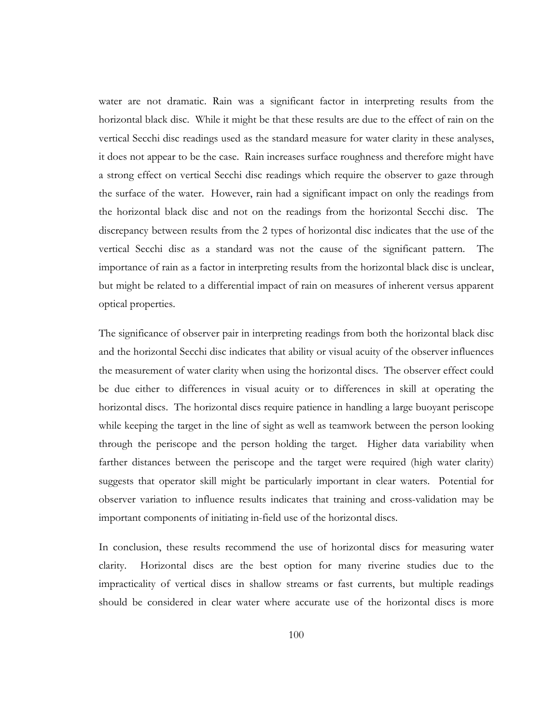water are not dramatic. Rain was a significant factor in interpreting results from the horizontal black disc. While it might be that these results are due to the effect of rain on the vertical Secchi disc readings used as the standard measure for water clarity in these analyses, it does not appear to be the case. Rain increases surface roughness and therefore might have a strong effect on vertical Secchi disc readings which require the observer to gaze through the surface of the water. However, rain had a significant impact on only the readings from the horizontal black disc and not on the readings from the horizontal Secchi disc. The discrepancy between results from the 2 types of horizontal disc indicates that the use of the vertical Secchi disc as a standard was not the cause of the significant pattern. The importance of rain as a factor in interpreting results from the horizontal black disc is unclear, but might be related to a differential impact of rain on measures of inherent versus apparent optical properties.

The significance of observer pair in interpreting readings from both the horizontal black disc and the horizontal Secchi disc indicates that ability or visual acuity of the observer influences the measurement of water clarity when using the horizontal discs. The observer effect could be due either to differences in visual acuity or to differences in skill at operating the horizontal discs. The horizontal discs require patience in handling a large buoyant periscope while keeping the target in the line of sight as well as teamwork between the person looking through the periscope and the person holding the target. Higher data variability when farther distances between the periscope and the target were required (high water clarity) suggests that operator skill might be particularly important in clear waters. Potential for observer variation to influence results indicates that training and cross-validation may be important components of initiating in-field use of the horizontal discs.

In conclusion, these results recommend the use of horizontal discs for measuring water clarity. Horizontal discs are the best option for many riverine studies due to the impracticality of vertical discs in shallow streams or fast currents, but multiple readings should be considered in clear water where accurate use of the horizontal discs is more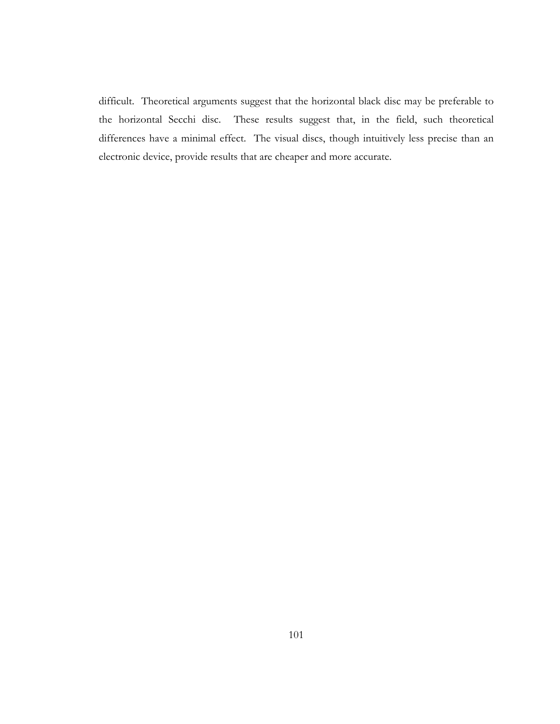difficult. Theoretical arguments suggest that the horizontal black disc may be preferable to the horizontal Secchi disc. These results suggest that, in the field, such theoretical differences have a minimal effect. The visual discs, though intuitively less precise than an electronic device, provide results that are cheaper and more accurate.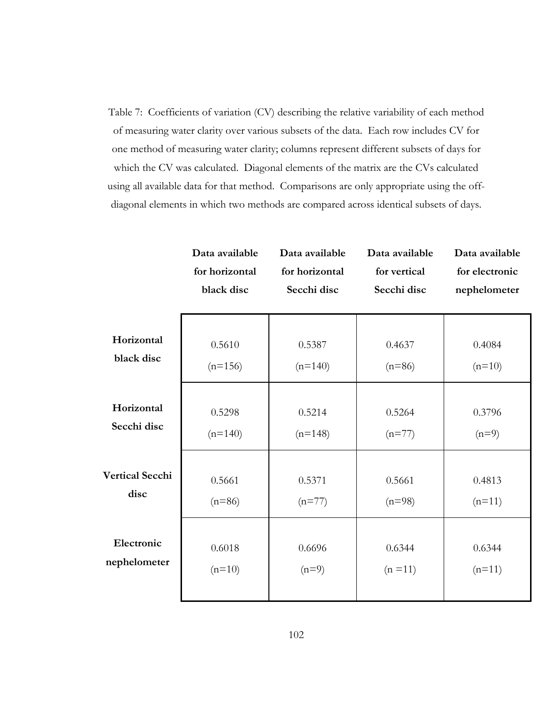Table 7: Coefficients of variation (CV) describing the relative variability of each method of measuring water clarity over various subsets of the data. Each row includes CV for one method of measuring water clarity; columns represent different subsets of days for which the CV was calculated. Diagonal elements of the matrix are the CVs calculated using all available data for that method. Comparisons are only appropriate using the offdiagonal elements in which two methods are compared across identical subsets of days.

|                        | Data available | Data available | Data available | Data available |
|------------------------|----------------|----------------|----------------|----------------|
|                        | for horizontal | for horizontal | for vertical   | for electronic |
|                        | black disc     | Secchi disc    | Secchi disc    | nephelometer   |
| Horizontal             | 0.5610         | 0.5387         | 0.4637         | 0.4084         |
| black disc             | $(n=156)$      | $(n=140)$      | $(n=86)$       | $(n=10)$       |
| Horizontal             | 0.5298         | 0.5214         | 0.5264         | 0.3796         |
| Secchi disc            | $(n=140)$      | $(n=148)$      | $(n=77)$       | $(n=9)$        |
| <b>Vertical Secchi</b> | 0.5661         | 0.5371         | 0.5661         | 0.4813         |
| disc                   | $(n=86)$       | $(n=77)$       | $(n=98)$       | $(n=11)$       |
| Electronic             | 0.6018         | 0.6696         | 0.6344         | 0.6344         |
| nephelometer           | $(n=10)$       | $(n=9)$        | $(n = 11)$     | $(n=11)$       |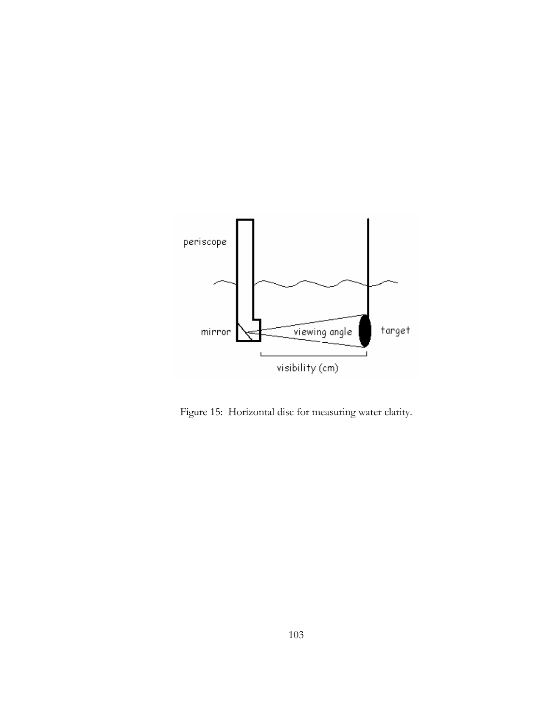

Figure 15: Horizontal disc for measuring water clarity.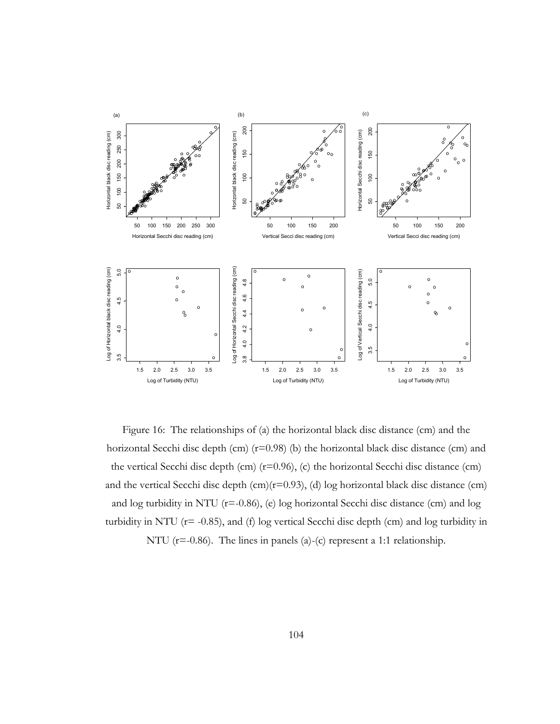

Figure 16: The relationships of (a) the horizontal black disc distance (cm) and the horizontal Secchi disc depth (cm) (r=0.98) (b) the horizontal black disc distance (cm) and the vertical Secchi disc depth (cm)  $(r=0.96)$ , (c) the horizontal Secchi disc distance (cm) and the vertical Secchi disc depth (cm)( $r=0.93$ ), (d) log horizontal black disc distance (cm) and log turbidity in NTU ( $r=0.86$ ), (e) log horizontal Secchi disc distance (cm) and log turbidity in NTU (r= -0.85), and (f) log vertical Secchi disc depth (cm) and log turbidity in

NTU ( $r = -0.86$ ). The lines in panels (a)-(c) represent a 1:1 relationship.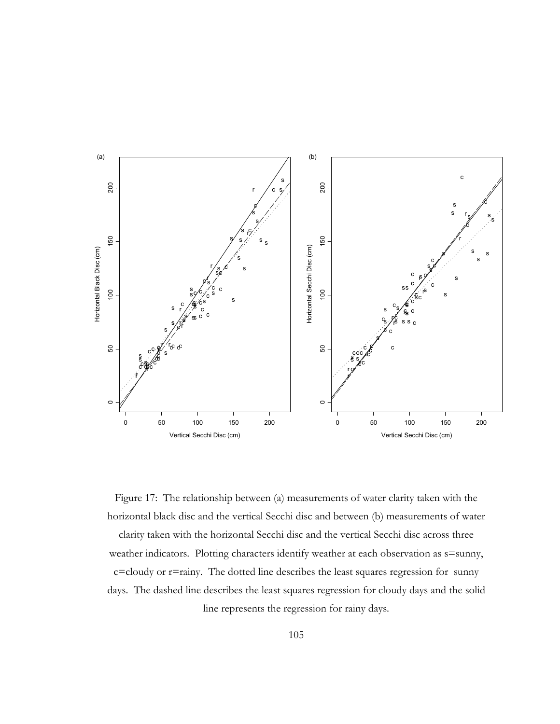

Figure 17: The relationship between (a) measurements of water clarity taken with the horizontal black disc and the vertical Secchi disc and between (b) measurements of water clarity taken with the horizontal Secchi disc and the vertical Secchi disc across three weather indicators. Plotting characters identify weather at each observation as s=sunny, c=cloudy or r=rainy. The dotted line describes the least squares regression for sunny days. The dashed line describes the least squares regression for cloudy days and the solid line represents the regression for rainy days.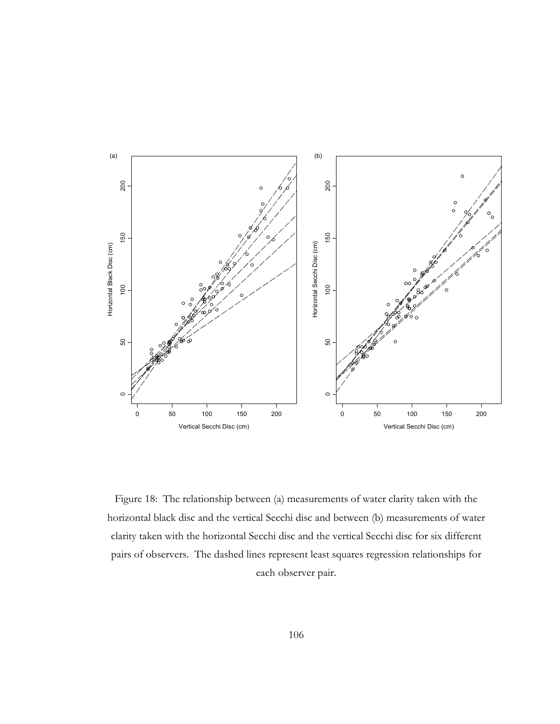

Figure 18: The relationship between (a) measurements of water clarity taken with the horizontal black disc and the vertical Secchi disc and between (b) measurements of water clarity taken with the horizontal Secchi disc and the vertical Secchi disc for six different pairs of observers. The dashed lines represent least squares regression relationships for each observer pair.